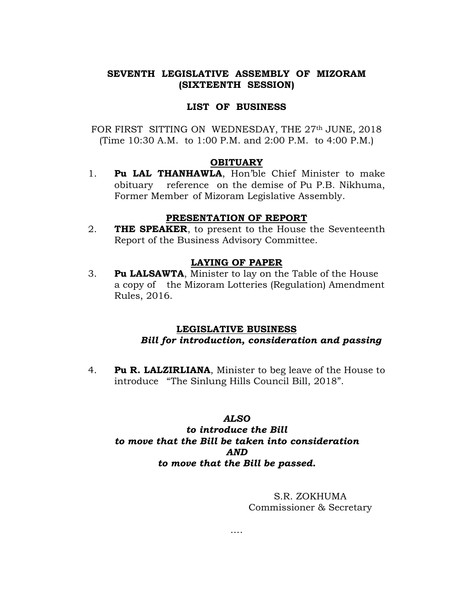# SEVENTH LEGISLATIVE ASSEMBLY OF MIZORAM (SIXTEENTH SESSION)

## LIST OF BUSINESS

FOR FIRST SITTING ON WEDNESDAY, THE 27th JUNE, 2018 (Time 10:30 A.M. to 1:00 P.M. and 2:00 P.M. to 4:00 P.M.)

### **OBITUARY**

1. Pu LAL THANHAWLA, Hon'ble Chief Minister to make obituary reference on the demise of Pu P.B. Nikhuma, Former Member of Mizoram Legislative Assembly.

## PRESENTATION OF REPORT

2. **THE SPEAKER**, to present to the House the Seventeenth Report of the Business Advisory Committee.

### LAYING OF PAPER

3. Pu LALSAWTA, Minister to lay on the Table of the House a copy of the Mizoram Lotteries (Regulation) Amendment Rules, 2016.

## LEGISLATIVE BUSINESS Bill for introduction, consideration and passing

4. Pu R. LALZIRLIANA, Minister to beg leave of the House to introduce "The Sinlung Hills Council Bill, 2018".

## ALSO

# to introduce the Bill to move that the Bill be taken into consideration AND to move that the Bill be passed.

## S.R. ZOKHUMA Commissioner & Secretary

….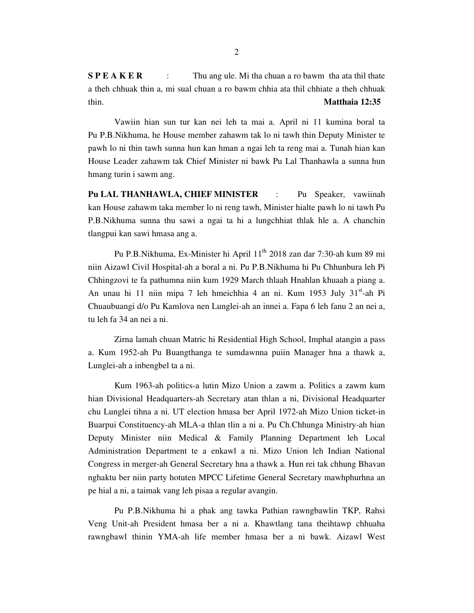**S P E A K E R** : Thu ang ule. Mi tha chuan a ro bawm tha ata thil thate a theh chhuak thin a, mi sual chuan a ro bawm chhia ata thil chhiate a theh chhuak thin. **Matthaia 12:35**

 Vawiin hian sun tur kan nei leh ta mai a. April ni 11 kumina boral ta Pu P.B.Nikhuma, he House member zahawm tak lo ni tawh thin Deputy Minister te pawh lo ni thin tawh sunna hun kan hman a ngai leh ta reng mai a. Tunah hian kan House Leader zahawm tak Chief Minister ni bawk Pu Lal Thanhawla a sunna hun hmang turin i sawm ang.

**Pu LAL THANHAWLA, CHIEF MINISTER** : Pu Speaker, vawiinah kan House zahawm taka member lo ni reng tawh, Minister hialte pawh lo ni tawh Pu P.B.Nikhuma sunna thu sawi a ngai ta hi a lungchhiat thlak hle a. A chanchin tlangpui kan sawi hmasa ang a.

 Pu P.B.Nikhuma, Ex-Minister hi April 11th 2018 zan dar 7:30-ah kum 89 mi niin Aizawl Civil Hospital-ah a boral a ni. Pu P.B.Nikhuma hi Pu Chhunbura leh Pi Chhingzovi te fa pathumna niin kum 1929 March thlaah Hnahlan khuaah a piang a. An unau hi 11 niin mipa 7 leh hmeichhia 4 an ni. Kum 1953 July 31<sup>st</sup>-ah Pi Chuaubuangi d/o Pu Kamlova nen Lunglei-ah an innei a. Fapa 6 leh fanu 2 an nei a, tu leh fa 34 an nei a ni.

 Zirna lamah chuan Matric hi Residential High School, Imphal atangin a pass a. Kum 1952-ah Pu Buangthanga te sumdawnna puiin Manager hna a thawk a, Lunglei-ah a inbengbel ta a ni.

 Kum 1963-ah politics-a lutin Mizo Union a zawm a. Politics a zawm kum hian Divisional Headquarters-ah Secretary atan thlan a ni, Divisional Headquarter chu Lunglei tihna a ni. UT election hmasa ber April 1972-ah Mizo Union ticket-in Buarpui Constituency-ah MLA-a thlan tlin a ni a. Pu Ch.Chhunga Ministry-ah hian Deputy Minister niin Medical & Family Planning Department leh Local Administration Department te a enkawl a ni. Mizo Union leh Indian National Congress in merger-ah General Secretary hna a thawk a. Hun rei tak chhung Bhavan nghaktu ber niin party hotuten MPCC Lifetime General Secretary mawhphurhna an pe hial a ni, a taimak vang leh pisaa a regular avangin.

 Pu P.B.Nikhuma hi a phak ang tawka Pathian rawngbawlin TKP, Rahsi Veng Unit-ah President hmasa ber a ni a. Khawtlang tana theihtawp chhuaha rawngbawl thinin YMA-ah life member hmasa ber a ni bawk. Aizawl West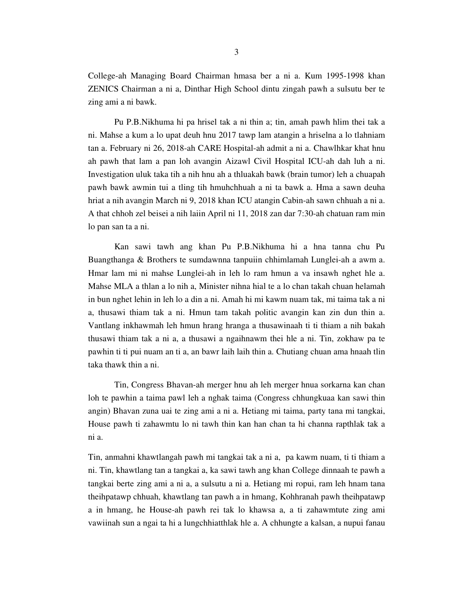College-ah Managing Board Chairman hmasa ber a ni a. Kum 1995-1998 khan ZENICS Chairman a ni a, Dinthar High School dintu zingah pawh a sulsutu ber te zing ami a ni bawk.

 Pu P.B.Nikhuma hi pa hrisel tak a ni thin a; tin, amah pawh hlim thei tak a ni. Mahse a kum a lo upat deuh hnu 2017 tawp lam atangin a hriselna a lo tlahniam tan a. February ni 26, 2018-ah CARE Hospital-ah admit a ni a. Chawlhkar khat hnu ah pawh that lam a pan loh avangin Aizawl Civil Hospital ICU-ah dah luh a ni. Investigation uluk taka tih a nih hnu ah a thluakah bawk (brain tumor) leh a chuapah pawh bawk awmin tui a tling tih hmuhchhuah a ni ta bawk a. Hma a sawn deuha hriat a nih avangin March ni 9, 2018 khan ICU atangin Cabin-ah sawn chhuah a ni a. A that chhoh zel beisei a nih laiin April ni 11, 2018 zan dar 7:30-ah chatuan ram min lo pan san ta a ni.

 Kan sawi tawh ang khan Pu P.B.Nikhuma hi a hna tanna chu Pu Buangthanga & Brothers te sumdawnna tanpuiin chhimlamah Lunglei-ah a awm a. Hmar lam mi ni mahse Lunglei-ah in leh lo ram hmun a va insawh nghet hle a. Mahse MLA a thlan a lo nih a, Minister nihna hial te a lo chan takah chuan helamah in bun nghet lehin in leh lo a din a ni. Amah hi mi kawm nuam tak, mi taima tak a ni a, thusawi thiam tak a ni. Hmun tam takah politic avangin kan zin dun thin a. Vantlang inkhawmah leh hmun hrang hranga a thusawinaah ti ti thiam a nih bakah thusawi thiam tak a ni a, a thusawi a ngaihnawm thei hle a ni. Tin, zokhaw pa te pawhin ti ti pui nuam an ti a, an bawr laih laih thin a. Chutiang chuan ama hnaah tlin taka thawk thin a ni.

 Tin, Congress Bhavan-ah merger hnu ah leh merger hnua sorkarna kan chan loh te pawhin a taima pawl leh a nghak taima (Congress chhungkuaa kan sawi thin angin) Bhavan zuna uai te zing ami a ni a. Hetiang mi taima, party tana mi tangkai, House pawh ti zahawmtu lo ni tawh thin kan han chan ta hi channa rapthlak tak a ni a.

Tin, anmahni khawtlangah pawh mi tangkai tak a ni a, pa kawm nuam, ti ti thiam a ni. Tin, khawtlang tan a tangkai a, ka sawi tawh ang khan College dinnaah te pawh a tangkai berte zing ami a ni a, a sulsutu a ni a. Hetiang mi ropui, ram leh hnam tana theihpatawp chhuah, khawtlang tan pawh a in hmang, Kohhranah pawh theihpatawp a in hmang, he House-ah pawh rei tak lo khawsa a, a ti zahawmtute zing ami vawiinah sun a ngai ta hi a lungchhiatthlak hle a. A chhungte a kalsan, a nupui fanau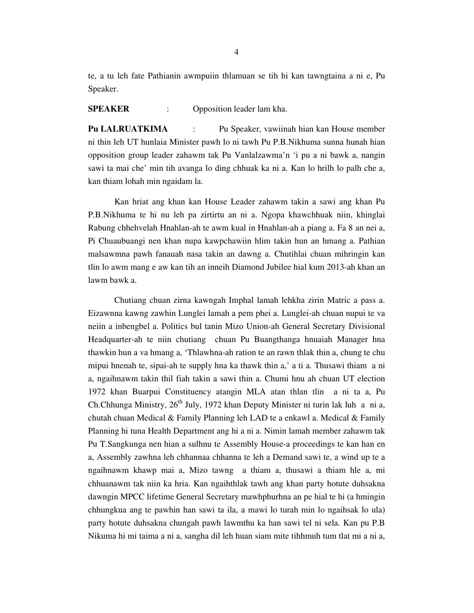te, a tu leh fate Pathianin awmpuiin thlamuan se tih hi kan tawngtaina a ni e, Pu Speaker.

#### **SPEAKER** : Opposition leader lam kha.

**Pu LALRUATKIMA** : Pu Speaker, vawiinah hian kan House member ni thin leh UT hunlaia Minister pawh lo ni tawh Pu P.B.Nikhuma sunna hunah hian opposition group leader zahawm tak Pu Vanlalzawma'n 'i pu a ni bawk a, nangin sawi ta mai che' min tih avanga lo ding chhuak ka ni a. Kan lo hrilh lo palh che a, kan thiam lohah min ngaidam la.

 Kan hriat ang khan kan House Leader zahawm takin a sawi ang khan Pu P.B.Nikhuma te hi nu leh pa zirtirtu an ni a. Ngopa khawchhuak niin, khinglai Rabung chhehvelah Hnahlan-ah te awm kual in Hnahlan-ah a piang a. Fa 8 an nei a, Pi Chuaubuangi nen khan nupa kawpchawiin hlim takin hun an hmang a. Pathian malsawmna pawh fanauah nasa takin an dawng a. Chutihlai chuan mihringin kan tlin lo awm mang e aw kan tih an inneih Diamond Jubilee hial kum 2013-ah khan an lawm bawk a.

 Chutiang chuan zirna kawngah Imphal lamah lehkha zirin Matric a pass a. Eizawnna kawng zawhin Lunglei lamah a pem phei a. Lunglei-ah chuan nupui te va neiin a inbengbel a. Politics bul tanin Mizo Union-ah General Secretary Divisional Headquarter-ah te niin chutiang chuan Pu Buangthanga hnuaiah Manager hna thawkin hun a va hmang a, 'Thlawhna-ah ration te an rawn thlak thin a, chung te chu mipui hnenah te, sipai-ah te supply hna ka thawk thin a,' a ti a. Thusawi thiam a ni a, ngaihnawm takin thil fiah takin a sawi thin a. Chumi hnu ah chuan UT election 1972 khan Buarpui Constituency atangin MLA atan thlan tlin a ni ta a, Pu Ch.Chhunga Ministry,  $26<sup>th</sup>$  July, 1972 khan Deputy Minister ni turin lak luh a ni a, chutah chuan Medical & Family Planning leh LAD te a enkawl a. Medical & Family Planning hi tuna Health Department ang hi a ni a. Nimin lamah member zahawm tak Pu T.Sangkunga nen hian a sulhnu te Assembly House-a proceedings te kan han en a, Assembly zawhna leh chhannaa chhanna te leh a Demand sawi te, a wind up te a ngaihnawm khawp mai a, Mizo tawng a thiam a, thusawi a thiam hle a, mi chhuanawm tak niin ka hria. Kan ngaihthlak tawh ang khan party hotute duhsakna dawngin MPCC lifetime General Secretary mawhphurhna an pe hial te hi (a hmingin chhungkua ang te pawhin han sawi ta ila, a mawi lo turah min lo ngaihsak lo ula) party hotute duhsakna chungah pawh lawmthu ka han sawi tel ni sela. Kan pu P.B Nikuma hi mi taima a ni a, sangha dil leh huan siam mite tihhmuh tum tlat mi a ni a,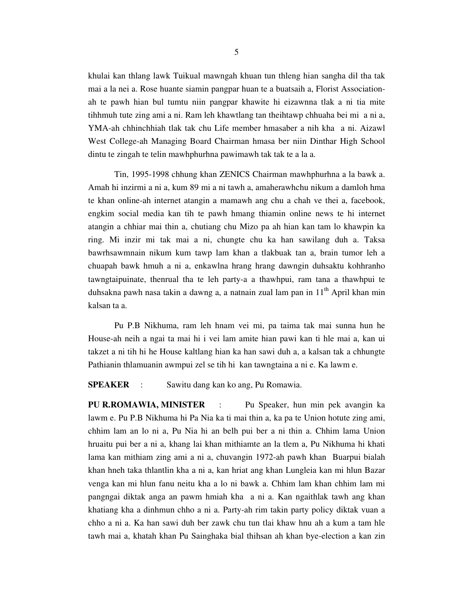khulai kan thlang lawk Tuikual mawngah khuan tun thleng hian sangha dil tha tak mai a la nei a. Rose huante siamin pangpar huan te a buatsaih a, Florist Associationah te pawh hian bul tumtu niin pangpar khawite hi eizawnna tlak a ni tia mite tihhmuh tute zing ami a ni. Ram leh khawtlang tan theihtawp chhuaha bei mi a ni a, YMA-ah chhinchhiah tlak tak chu Life member hmasaber a nih kha a ni. Aizawl West College-ah Managing Board Chairman hmasa ber niin Dinthar High School dintu te zingah te telin mawhphurhna pawimawh tak tak te a la a.

 Tin, 1995-1998 chhung khan ZENICS Chairman mawhphurhna a la bawk a. Amah hi inzirmi a ni a, kum 89 mi a ni tawh a, amaherawhchu nikum a damloh hma te khan online-ah internet atangin a mamawh ang chu a chah ve thei a, facebook, engkim social media kan tih te pawh hmang thiamin online news te hi internet atangin a chhiar mai thin a, chutiang chu Mizo pa ah hian kan tam lo khawpin ka ring. Mi inzir mi tak mai a ni, chungte chu ka han sawilang duh a. Taksa bawrhsawmnain nikum kum tawp lam khan a tlakbuak tan a, brain tumor leh a chuapah bawk hmuh a ni a, enkawlna hrang hrang dawngin duhsaktu kohhranho tawngtaipuinate, thenrual tha te leh party-a a thawhpui, ram tana a thawhpui te duhsakna pawh nasa takin a dawng a, a natnain zual lam pan in 11<sup>th</sup> April khan min kalsan ta a.

 Pu P.B Nikhuma, ram leh hnam vei mi, pa taima tak mai sunna hun he House-ah neih a ngai ta mai hi i vei lam amite hian pawi kan ti hle mai a, kan ui takzet a ni tih hi he House kaltlang hian ka han sawi duh a, a kalsan tak a chhungte Pathianin thlamuanin awmpui zel se tih hi kan tawngtaina a ni e. Ka lawm e.

**SPEAKER** : Sawitu dang kan ko ang, Pu Romawia.

**PU R.ROMAWIA, MINISTER** : Pu Speaker, hun min pek avangin ka lawm e. Pu P.B Nikhuma hi Pa Nia ka ti mai thin a, ka pa te Union hotute zing ami, chhim lam an lo ni a, Pu Nia hi an belh pui ber a ni thin a. Chhim lama Union hruaitu pui ber a ni a, khang lai khan mithiamte an la tlem a, Pu Nikhuma hi khati lama kan mithiam zing ami a ni a, chuvangin 1972-ah pawh khan Buarpui bialah khan hneh taka thlantlin kha a ni a, kan hriat ang khan Lungleia kan mi hlun Bazar venga kan mi hlun fanu neitu kha a lo ni bawk a. Chhim lam khan chhim lam mi pangngai diktak anga an pawm hmiah kha a ni a. Kan ngaithlak tawh ang khan khatiang kha a dinhmun chho a ni a. Party-ah rim takin party policy diktak vuan a chho a ni a. Ka han sawi duh ber zawk chu tun tlai khaw hnu ah a kum a tam hle tawh mai a, khatah khan Pu Sainghaka bial thihsan ah khan bye-election a kan zin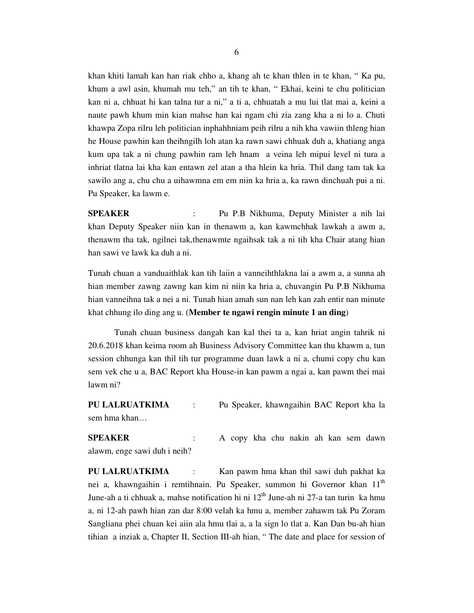khan khiti lamah kan han riak chho a, khang ah te khan thlen in te khan, " Ka pu, khum a awl asin, khumah mu teh," an tih te khan, " Ekhai, keini te chu politician kan ni a, chhuat hi kan talna tur a ni," a ti a, chhuatah a mu lui tlat mai a, keini a naute pawh khum min kian mahse han kai ngam chi zia zang kha a ni lo a. Chuti khawpa Zopa rilru leh politician inphahhniam peih rilru a nih kha vawiin thleng hian he House pawhin kan theihngilh loh atan ka rawn sawi chhuak duh a, khatiang anga kum upa tak a ni chung pawhin ram leh hnam a veina leh mipui level ni tura a inhriat tlatna lai kha kan entawn zel atan a tha hlein ka hria. Thil dang tam tak ka sawilo ang a, chu chu a uihawmna em em niin ka hria a, ka rawn dinchuah pui a ni. Pu Speaker, ka lawm e.

**SPEAKER** : Pu P.B Nikhuma, Deputy Minister a nih lai khan Deputy Speaker niin kan in thenawm a, kan kawmchhak lawkah a awm a, thenawm tha tak, ngilnei tak,thenawmte ngaihsak tak a ni tih kha Chair atang hian han sawi ve lawk ka duh a ni.

Tunah chuan a vanduaithlak kan tih laiin a vanneihthlakna lai a awm a, a sunna ah hian member zawng zawng kan kim ni niin ka hria a, chuvangin Pu P.B Nikhuma hian vanneihna tak a nei a ni. Tunah hian amah sun nan leh kan zah entir nan minute khat chhung ilo ding ang u. (**Member te ngawi rengin minute 1 an ding**)

 Tunah chuan business dangah kan kal thei ta a, kan hriat angin tahrik ni 20.6.2018 khan keima room ah Business Advisory Committee kan thu khawm a, tun session chhunga kan thil tih tur programme duan lawk a ni a, chumi copy chu kan sem vek che u a, BAC Report kha House-in kan pawm a ngai a, kan pawm thei mai lawm ni?

**PU LALRUATKIMA** : Pu Speaker, khawngaihin BAC Report kha la sem hma khan…

**SPEAKER** : A copy kha chu nakin ah kan sem dawn alawm, enge sawi duh i neih?

**PU LALRUATKIMA** : Kan pawm hma khan thil sawi duh pakhat ka nei a, khawngaihin i remtihnain. Pu Speaker, summon hi Governor khan 11<sup>th</sup> June-ah a ti chhuak a, mahse notification hi ni  $12<sup>th</sup>$  June-ah ni 27-a tan turin ka hmu a, ni 12-ah pawh hian zan dar 8:00 velah ka hmu a, member zahawm tak Pu Zoram Sangliana phei chuan kei aiin ala hmu tlai a, a la sign lo tlat a. Kan Dan bu-ah hian tihian a inziak a, Chapter II, Section III-ah hian, " The date and place for session of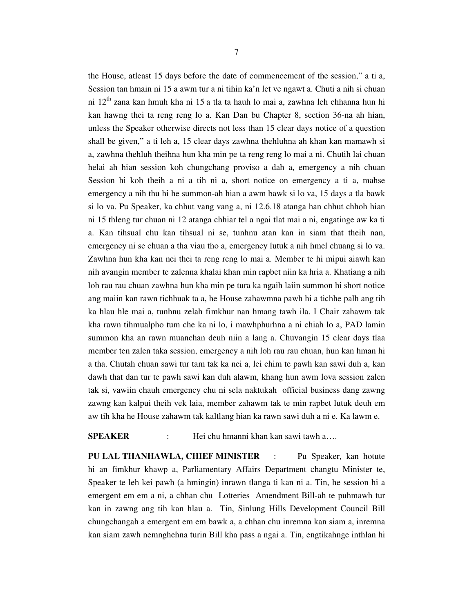the House, atleast 15 days before the date of commencement of the session," a ti a, Session tan hmain ni 15 a awm tur a ni tihin ka'n let ve ngawt a. Chuti a nih si chuan ni 12<sup>th</sup> zana kan hmuh kha ni 15 a tla ta hauh lo mai a, zawhna leh chhanna hun hi kan hawng thei ta reng reng lo a. Kan Dan bu Chapter 8, section 36-na ah hian, unless the Speaker otherwise directs not less than 15 clear days notice of a question shall be given," a ti leh a, 15 clear days zawhna thehluhna ah khan kan mamawh si a, zawhna thehluh theihna hun kha min pe ta reng reng lo mai a ni. Chutih lai chuan helai ah hian session koh chungchang proviso a dah a, emergency a nih chuan Session hi koh theih a ni a tih ni a, short notice on emergency a ti a, mahse emergency a nih thu hi he summon-ah hian a awm bawk si lo va, 15 days a tla bawk si lo va. Pu Speaker, ka chhut vang vang a, ni 12.6.18 atanga han chhut chhoh hian ni 15 thleng tur chuan ni 12 atanga chhiar tel a ngai tlat mai a ni, engatinge aw ka ti a. Kan tihsual chu kan tihsual ni se, tunhnu atan kan in siam that theih nan, emergency ni se chuan a tha viau tho a, emergency lutuk a nih hmel chuang si lo va. Zawhna hun kha kan nei thei ta reng reng lo mai a. Member te hi mipui aiawh kan nih avangin member te zalenna khalai khan min rapbet niin ka hria a. Khatiang a nih loh rau rau chuan zawhna hun kha min pe tura ka ngaih laiin summon hi short notice ang maiin kan rawn tichhuak ta a, he House zahawmna pawh hi a tichhe palh ang tih ka hlau hle mai a, tunhnu zelah fimkhur nan hmang tawh ila. I Chair zahawm tak kha rawn tihmualpho tum che ka ni lo, i mawhphurhna a ni chiah lo a, PAD lamin summon kha an rawn muanchan deuh niin a lang a. Chuvangin 15 clear days tlaa member ten zalen taka session, emergency a nih loh rau rau chuan, hun kan hman hi a tha. Chutah chuan sawi tur tam tak ka nei a, lei chim te pawh kan sawi duh a, kan dawh that dan tur te pawh sawi kan duh alawm, khang hun awm lova session zalen tak si, vawiin chauh emergency chu ni sela naktukah official business dang zawng zawng kan kalpui theih vek laia, member zahawm tak te min rapbet lutuk deuh em aw tih kha he House zahawm tak kaltlang hian ka rawn sawi duh a ni e. Ka lawm e.

### **SPEAKER** : Hei chu hmanni khan kan sawi tawh a….

**PU LAL THANHAWLA, CHIEF MINISTER** : Pu Speaker, kan hotute hi an fimkhur khawp a, Parliamentary Affairs Department changtu Minister te, Speaker te leh kei pawh (a hmingin) inrawn tlanga ti kan ni a. Tin, he session hi a emergent em em a ni, a chhan chu Lotteries Amendment Bill-ah te puhmawh tur kan in zawng ang tih kan hlau a. Tin, Sinlung Hills Development Council Bill chungchangah a emergent em em bawk a, a chhan chu inremna kan siam a, inremna kan siam zawh nemnghehna turin Bill kha pass a ngai a. Tin, engtikahnge inthlan hi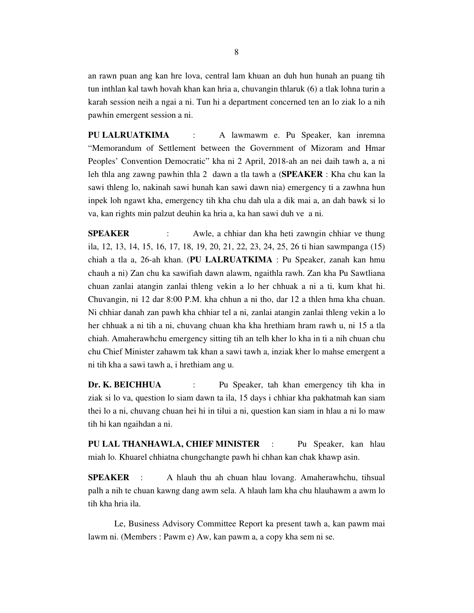an rawn puan ang kan hre lova, central lam khuan an duh hun hunah an puang tih tun inthlan kal tawh hovah khan kan hria a, chuvangin thlaruk (6) a tlak lohna turin a karah session neih a ngai a ni. Tun hi a department concerned ten an lo ziak lo a nih pawhin emergent session a ni.

**PU LALRUATKIMA** : A lawmawm e. Pu Speaker, kan inremna "Memorandum of Settlement between the Government of Mizoram and Hmar Peoples' Convention Democratic" kha ni 2 April, 2018-ah an nei daih tawh a, a ni leh thla ang zawng pawhin thla 2 dawn a tla tawh a (**SPEAKER** : Kha chu kan la sawi thleng lo, nakinah sawi hunah kan sawi dawn nia) emergency ti a zawhna hun inpek loh ngawt kha, emergency tih kha chu dah ula a dik mai a, an dah bawk si lo va, kan rights min palzut deuhin ka hria a, ka han sawi duh ve a ni.

**SPEAKER** : Awle, a chhiar dan kha heti zawngin chhiar ve thung ila, 12, 13, 14, 15, 16, 17, 18, 19, 20, 21, 22, 23, 24, 25, 26 ti hian sawmpanga (15) chiah a tla a, 26-ah khan. (**PU LALRUATKIMA** : Pu Speaker, zanah kan hmu chauh a ni) Zan chu ka sawifiah dawn alawm, ngaithla rawh. Zan kha Pu Sawtliana chuan zanlai atangin zanlai thleng vekin a lo her chhuak a ni a ti, kum khat hi. Chuvangin, ni 12 dar 8:00 P.M. kha chhun a ni tho, dar 12 a thlen hma kha chuan. Ni chhiar danah zan pawh kha chhiar tel a ni, zanlai atangin zanlai thleng vekin a lo her chhuak a ni tih a ni, chuvang chuan kha kha hrethiam hram rawh u, ni 15 a tla chiah. Amaherawhchu emergency sitting tih an telh kher lo kha in ti a nih chuan chu chu Chief Minister zahawm tak khan a sawi tawh a, inziak kher lo mahse emergent a ni tih kha a sawi tawh a, i hrethiam ang u.

**Dr. K. BEICHHUA** : Pu Speaker, tah khan emergency tih kha in ziak si lo va, question lo siam dawn ta ila, 15 days i chhiar kha pakhatmah kan siam thei lo a ni, chuvang chuan hei hi in tilui a ni, question kan siam in hlau a ni lo maw tih hi kan ngaihdan a ni.

**PU LAL THANHAWLA, CHIEF MINISTER** : Pu Speaker, kan hlau miah lo. Khuarel chhiatna chungchangte pawh hi chhan kan chak khawp asin.

**SPEAKER** : A hlauh thu ah chuan hlau lovang. Amaherawhchu, tihsual palh a nih te chuan kawng dang awm sela. A hlauh lam kha chu hlauhawm a awm lo tih kha hria ila.

 Le, Business Advisory Committee Report ka present tawh a, kan pawm mai lawm ni. (Members : Pawm e) Aw, kan pawm a, a copy kha sem ni se.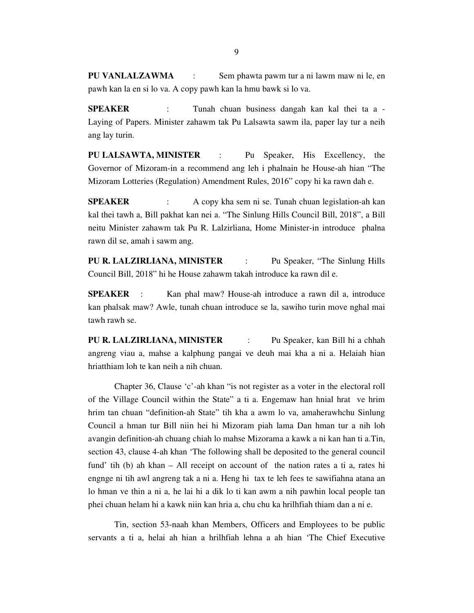**PU VANLALZAWMA** : Sem phawta pawm tur a ni lawm maw ni le, en pawh kan la en si lo va. A copy pawh kan la hmu bawk si lo va.

**SPEAKER** : Tunah chuan business dangah kan kal thei ta a -Laying of Papers. Minister zahawm tak Pu Lalsawta sawm ila, paper lay tur a neih ang lay turin.

**PU LALSAWTA, MINISTER** : Pu Speaker, His Excellency, the Governor of Mizoram-in a recommend ang leh i phalnain he House-ah hian "The Mizoram Lotteries (Regulation) Amendment Rules, 2016" copy hi ka rawn dah e.

**SPEAKER** : A copy kha sem ni se. Tunah chuan legislation-ah kan kal thei tawh a, Bill pakhat kan nei a. "The Sinlung Hills Council Bill, 2018", a Bill neitu Minister zahawm tak Pu R. Lalzirliana, Home Minister-in introduce phalna rawn dil se, amah i sawm ang.

**PU R. LALZIRLIANA, MINISTER** : Pu Speaker, "The Sinlung Hills Council Bill, 2018" hi he House zahawm takah introduce ka rawn dil e.

**SPEAKER** : Kan phal maw? House-ah introduce a rawn dil a, introduce kan phalsak maw? Awle, tunah chuan introduce se la, sawiho turin move nghal mai tawh rawh se.

**PU R. LALZIRLIANA, MINISTER** : Pu Speaker, kan Bill hi a chhah angreng viau a, mahse a kalphung pangai ve deuh mai kha a ni a. Helaiah hian hriatthiam loh te kan neih a nih chuan.

 Chapter 36, Clause 'c'-ah khan "is not register as a voter in the electoral roll of the Village Council within the State" a ti a. Engemaw han hnial hrat ve hrim hrim tan chuan "definition-ah State" tih kha a awm lo va, amaherawhchu Sinlung Council a hman tur Bill niin hei hi Mizoram piah lama Dan hman tur a nih loh avangin definition-ah chuang chiah lo mahse Mizorama a kawk a ni kan han ti a.Tin, section 43, clause 4-ah khan 'The following shall be deposited to the general council fund' tih (b) ah khan – All receipt on account of the nation rates a ti a, rates hi engnge ni tih awl angreng tak a ni a. Heng hi tax te leh fees te sawifiahna atana an lo hman ve thin a ni a, he lai hi a dik lo ti kan awm a nih pawhin local people tan phei chuan helam hi a kawk niin kan hria a, chu chu ka hrilhfiah thiam dan a ni e.

 Tin, section 53-naah khan Members, Officers and Employees to be public servants a ti a, helai ah hian a hrilhfiah lehna a ah hian 'The Chief Executive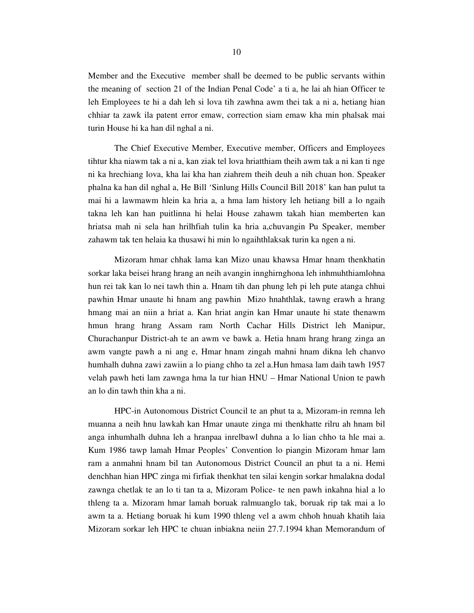Member and the Executive member shall be deemed to be public servants within the meaning of section 21 of the Indian Penal Code' a ti a, he lai ah hian Officer te leh Employees te hi a dah leh si lova tih zawhna awm thei tak a ni a, hetiang hian chhiar ta zawk ila patent error emaw, correction siam emaw kha min phalsak mai turin House hi ka han dil nghal a ni.

 The Chief Executive Member, Executive member, Officers and Employees tihtur kha niawm tak a ni a, kan ziak tel lova hriatthiam theih awm tak a ni kan ti nge ni ka hrechiang lova, kha lai kha han ziahrem theih deuh a nih chuan hon. Speaker phalna ka han dil nghal a, He Bill 'Sinlung Hills Council Bill 2018' kan han pulut ta mai hi a lawmawm hlein ka hria a, a hma lam history leh hetiang bill a lo ngaih takna leh kan han puitlinna hi helai House zahawm takah hian memberten kan hriatsa mah ni sela han hrilhfiah tulin ka hria a,chuvangin Pu Speaker, member zahawm tak ten helaia ka thusawi hi min lo ngaihthlaksak turin ka ngen a ni.

 Mizoram hmar chhak lama kan Mizo unau khawsa Hmar hnam thenkhatin sorkar laka beisei hrang hrang an neih avangin innghirnghona leh inhmuhthiamlohna hun rei tak kan lo nei tawh thin a. Hnam tih dan phung leh pi leh pute atanga chhui pawhin Hmar unaute hi hnam ang pawhin Mizo hnahthlak, tawng erawh a hrang hmang mai an niin a hriat a. Kan hriat angin kan Hmar unaute hi state thenawm hmun hrang hrang Assam ram North Cachar Hills District leh Manipur, Churachanpur District-ah te an awm ve bawk a. Hetia hnam hrang hrang zinga an awm vangte pawh a ni ang e, Hmar hnam zingah mahni hnam dikna leh chanvo humhalh duhna zawi zawiin a lo piang chho ta zel a.Hun hmasa lam daih tawh 1957 velah pawh heti lam zawnga hma la tur hian HNU – Hmar National Union te pawh an lo din tawh thin kha a ni.

 HPC-in Autonomous District Council te an phut ta a, Mizoram-in remna leh muanna a neih hnu lawkah kan Hmar unaute zinga mi thenkhatte rilru ah hnam bil anga inhumhalh duhna leh a hranpaa inrelbawl duhna a lo lian chho ta hle mai a. Kum 1986 tawp lamah Hmar Peoples' Convention lo piangin Mizoram hmar lam ram a anmahni hnam bil tan Autonomous District Council an phut ta a ni. Hemi denchhan hian HPC zinga mi firfiak thenkhat ten silai kengin sorkar hmalakna dodal zawnga chetlak te an lo ti tan ta a, Mizoram Police- te nen pawh inkahna hial a lo thleng ta a. Mizoram hmar lamah boruak ralmuanglo tak, boruak rip tak mai a lo awm ta a. Hetiang boruak hi kum 1990 thleng vel a awm chhoh hnuah khatih laia Mizoram sorkar leh HPC te chuan inbiakna neiin 27.7.1994 khan Memorandum of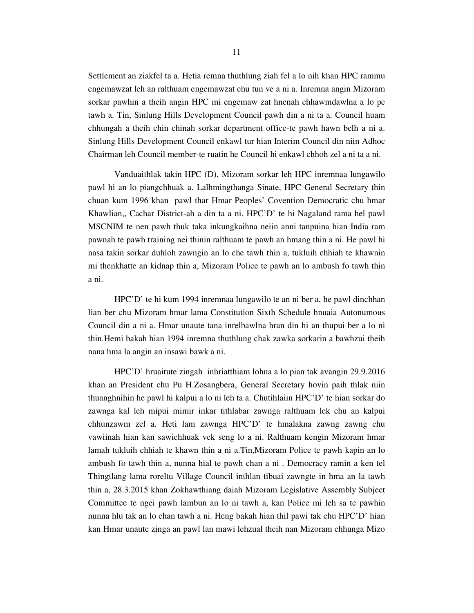Settlement an ziakfel ta a. Hetia remna thuthlung ziah fel a lo nih khan HPC rammu engemawzat leh an ralthuam engemawzat chu tun ve a ni a. Inremna angin Mizoram sorkar pawhin a theih angin HPC mi engemaw zat hnenah chhawmdawlna a lo pe tawh a. Tin, Sinlung Hills Development Council pawh din a ni ta a. Council huam chhungah a theih chin chinah sorkar department office-te pawh hawn belh a ni a. Sinlung Hills Development Council enkawl tur hian Interim Council din niin Adhoc Chairman leh Council member-te ruatin he Council hi enkawl chhoh zel a ni ta a ni.

 Vanduaithlak takin HPC (D), Mizoram sorkar leh HPC inremnaa lungawilo pawl hi an lo piangchhuak a. Lalhmingthanga Sinate, HPC General Secretary thin chuan kum 1996 khan pawl thar Hmar Peoples' Covention Democratic chu hmar Khawlian,, Cachar District-ah a din ta a ni. HPC'D' te hi Nagaland rama hel pawl MSCNIM te nen pawh thuk taka inkungkaihna neiin anni tanpuina hian India ram pawnah te pawh training nei thinin ralthuam te pawh an hmang thin a ni. He pawl hi nasa takin sorkar duhloh zawngin an lo che tawh thin a, tukluih chhiah te khawnin mi thenkhatte an kidnap thin a, Mizoram Police te pawh an lo ambush fo tawh thin a ni.

 HPC'D' te hi kum 1994 inremnaa lungawilo te an ni ber a, he pawl dinchhan lian ber chu Mizoram hmar lama Constitution Sixth Schedule hnuaia Autonumous Council din a ni a. Hmar unaute tana inrelbawlna hran din hi an thupui ber a lo ni thin.Hemi bakah hian 1994 inremna thuthlung chak zawka sorkarin a bawhzui theih nana hma la angin an insawi bawk a ni.

 HPC'D' hruaitute zingah inhriatthiam lohna a lo pian tak avangin 29.9.2016 khan an President chu Pu H.Zosangbera, General Secretary hovin paih thlak niin thuanghnihin he pawl hi kalpui a lo ni leh ta a. Chutihlaiin HPC'D' te hian sorkar do zawnga kal leh mipui mimir inkar tithlabar zawnga ralthuam lek chu an kalpui chhunzawm zel a. Heti lam zawnga HPC'D' te hmalakna zawng zawng chu vawiinah hian kan sawichhuak vek seng lo a ni. Ralthuam kengin Mizoram hmar lamah tukluih chhiah te khawn thin a ni a.Tin,Mizoram Police te pawh kapin an lo ambush fo tawh thin a, nunna hial te pawh chan a ni . Democracy ramin a ken tel Thingtlang lama roreltu Village Council inthlan tibuai zawngte in hma an la tawh thin a, 28.3.2015 khan Zokhawthiang daiah Mizoram Legislative Assembly Subject Committee te ngei pawh lambun an lo ni tawh a, kan Police mi leh sa te pawhin nunna hlu tak an lo chan tawh a ni. Heng bakah hian thil pawi tak chu HPC'D' hian kan Hmar unaute zinga an pawl lan mawi lehzual theih nan Mizoram chhunga Mizo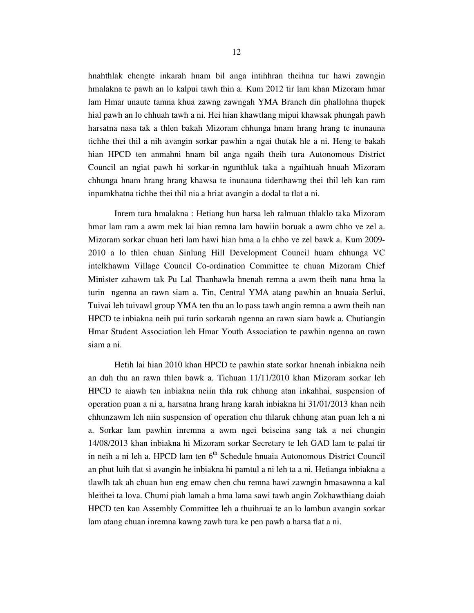hnahthlak chengte inkarah hnam bil anga intihhran theihna tur hawi zawngin hmalakna te pawh an lo kalpui tawh thin a. Kum 2012 tir lam khan Mizoram hmar lam Hmar unaute tamna khua zawng zawngah YMA Branch din phallohna thupek hial pawh an lo chhuah tawh a ni. Hei hian khawtlang mipui khawsak phungah pawh harsatna nasa tak a thlen bakah Mizoram chhunga hnam hrang hrang te inunauna tichhe thei thil a nih avangin sorkar pawhin a ngai thutak hle a ni. Heng te bakah hian HPCD ten anmahni hnam bil anga ngaih theih tura Autonomous District Council an ngiat pawh hi sorkar-in ngunthluk taka a ngaihtuah hnuah Mizoram chhunga hnam hrang hrang khawsa te inunauna tiderthawng thei thil leh kan ram inpumkhatna tichhe thei thil nia a hriat avangin a dodal ta tlat a ni.

 Inrem tura hmalakna : Hetiang hun harsa leh ralmuan thlaklo taka Mizoram hmar lam ram a awm mek lai hian remna lam hawiin boruak a awm chho ve zel a. Mizoram sorkar chuan heti lam hawi hian hma a la chho ve zel bawk a. Kum 2009- 2010 a lo thlen chuan Sinlung Hill Development Council huam chhunga VC intelkhawm Village Council Co-ordination Committee te chuan Mizoram Chief Minister zahawm tak Pu Lal Thanhawla hnenah remna a awm theih nana hma la turin ngenna an rawn siam a. Tin, Central YMA atang pawhin an hnuaia Serlui, Tuivai leh tuivawl group YMA ten thu an lo pass tawh angin remna a awm theih nan HPCD te inbiakna neih pui turin sorkarah ngenna an rawn siam bawk a. Chutiangin Hmar Student Association leh Hmar Youth Association te pawhin ngenna an rawn siam a ni.

 Hetih lai hian 2010 khan HPCD te pawhin state sorkar hnenah inbiakna neih an duh thu an rawn thlen bawk a. Tichuan 11/11/2010 khan Mizoram sorkar leh HPCD te aiawh ten inbiakna neiin thla ruk chhung atan inkahhai, suspension of operation puan a ni a, harsatna hrang hrang karah inbiakna hi 31/01/2013 khan neih chhunzawm leh niin suspension of operation chu thlaruk chhung atan puan leh a ni a. Sorkar lam pawhin inremna a awm ngei beiseina sang tak a nei chungin 14/08/2013 khan inbiakna hi Mizoram sorkar Secretary te leh GAD lam te palai tir in neih a ni leh a. HPCD lam ten  $6<sup>th</sup>$  Schedule hnuaia Autonomous District Council an phut luih tlat si avangin he inbiakna hi pamtul a ni leh ta a ni. Hetianga inbiakna a tlawlh tak ah chuan hun eng emaw chen chu remna hawi zawngin hmasawnna a kal hleithei ta lova. Chumi piah lamah a hma lama sawi tawh angin Zokhawthiang daiah HPCD ten kan Assembly Committee leh a thuihruai te an lo lambun avangin sorkar lam atang chuan inremna kawng zawh tura ke pen pawh a harsa tlat a ni.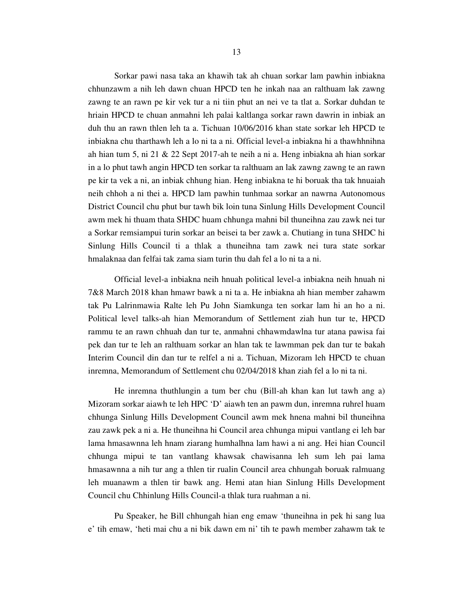Sorkar pawi nasa taka an khawih tak ah chuan sorkar lam pawhin inbiakna chhunzawm a nih leh dawn chuan HPCD ten he inkah naa an ralthuam lak zawng zawng te an rawn pe kir vek tur a ni tiin phut an nei ve ta tlat a. Sorkar duhdan te hriain HPCD te chuan anmahni leh palai kaltlanga sorkar rawn dawrin in inbiak an duh thu an rawn thlen leh ta a. Tichuan 10/06/2016 khan state sorkar leh HPCD te inbiakna chu tharthawh leh a lo ni ta a ni. Official level-a inbiakna hi a thawhhnihna ah hian tum 5, ni 21 & 22 Sept 2017-ah te neih a ni a. Heng inbiakna ah hian sorkar in a lo phut tawh angin HPCD ten sorkar ta ralthuam an lak zawng zawng te an rawn pe kir ta vek a ni, an inbiak chhung hian. Heng inbiakna te hi boruak tha tak hnuaiah neih chhoh a ni thei a. HPCD lam pawhin tunhmaa sorkar an nawrna Autonomous District Council chu phut bur tawh bik loin tuna Sinlung Hills Development Council awm mek hi thuam thata SHDC huam chhunga mahni bil thuneihna zau zawk nei tur a Sorkar remsiampui turin sorkar an beisei ta ber zawk a. Chutiang in tuna SHDC hi Sinlung Hills Council ti a thlak a thuneihna tam zawk nei tura state sorkar hmalaknaa dan felfai tak zama siam turin thu dah fel a lo ni ta a ni.

 Official level-a inbiakna neih hnuah political level-a inbiakna neih hnuah ni 7&8 March 2018 khan hmawr bawk a ni ta a. He inbiakna ah hian member zahawm tak Pu Lalrinmawia Ralte leh Pu John Siamkunga ten sorkar lam hi an ho a ni. Political level talks-ah hian Memorandum of Settlement ziah hun tur te, HPCD rammu te an rawn chhuah dan tur te, anmahni chhawmdawlna tur atana pawisa fai pek dan tur te leh an ralthuam sorkar an hlan tak te lawmman pek dan tur te bakah Interim Council din dan tur te relfel a ni a. Tichuan, Mizoram leh HPCD te chuan inremna, Memorandum of Settlement chu 02/04/2018 khan ziah fel a lo ni ta ni.

 He inremna thuthlungin a tum ber chu (Bill-ah khan kan lut tawh ang a) Mizoram sorkar aiawh te leh HPC 'D' aiawh ten an pawm dun, inremna ruhrel huam chhunga Sinlung Hills Development Council awm mek hnena mahni bil thuneihna zau zawk pek a ni a. He thuneihna hi Council area chhunga mipui vantlang ei leh bar lama hmasawnna leh hnam ziarang humhalhna lam hawi a ni ang. Hei hian Council chhunga mipui te tan vantlang khawsak chawisanna leh sum leh pai lama hmasawnna a nih tur ang a thlen tir rualin Council area chhungah boruak ralmuang leh muanawm a thlen tir bawk ang. Hemi atan hian Sinlung Hills Development Council chu Chhinlung Hills Council-a thlak tura ruahman a ni.

 Pu Speaker, he Bill chhungah hian eng emaw 'thuneihna in pek hi sang lua e' tih emaw, 'heti mai chu a ni bik dawn em ni' tih te pawh member zahawm tak te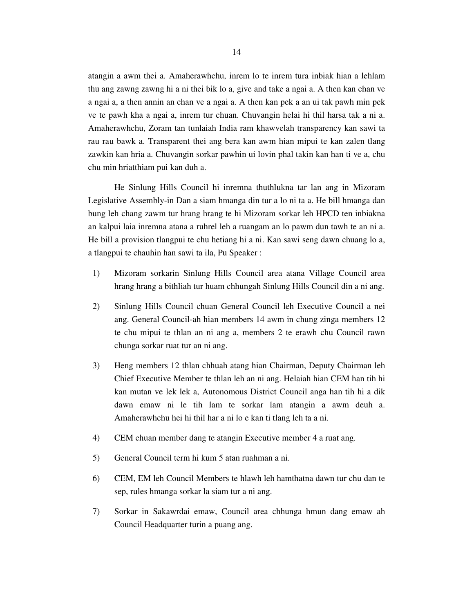atangin a awm thei a. Amaherawhchu, inrem lo te inrem tura inbiak hian a lehlam thu ang zawng zawng hi a ni thei bik lo a, give and take a ngai a. A then kan chan ve a ngai a, a then annin an chan ve a ngai a. A then kan pek a an ui tak pawh min pek ve te pawh kha a ngai a, inrem tur chuan. Chuvangin helai hi thil harsa tak a ni a. Amaherawhchu, Zoram tan tunlaiah India ram khawvelah transparency kan sawi ta rau rau bawk a. Transparent thei ang bera kan awm hian mipui te kan zalen tlang zawkin kan hria a. Chuvangin sorkar pawhin ui lovin phal takin kan han ti ve a, chu chu min hriatthiam pui kan duh a.

 He Sinlung Hills Council hi inremna thuthlukna tar lan ang in Mizoram Legislative Assembly-in Dan a siam hmanga din tur a lo ni ta a. He bill hmanga dan bung leh chang zawm tur hrang hrang te hi Mizoram sorkar leh HPCD ten inbiakna an kalpui laia inremna atana a ruhrel leh a ruangam an lo pawm dun tawh te an ni a. He bill a provision tlangpui te chu hetiang hi a ni. Kan sawi seng dawn chuang lo a, a tlangpui te chauhin han sawi ta ila, Pu Speaker :

- 1) Mizoram sorkarin Sinlung Hills Council area atana Village Council area hrang hrang a bithliah tur huam chhungah Sinlung Hills Council din a ni ang.
- 2) Sinlung Hills Council chuan General Council leh Executive Council a nei ang. General Council-ah hian members 14 awm in chung zinga members 12 te chu mipui te thlan an ni ang a, members 2 te erawh chu Council rawn chunga sorkar ruat tur an ni ang.
- 3) Heng members 12 thlan chhuah atang hian Chairman, Deputy Chairman leh Chief Executive Member te thlan leh an ni ang. Helaiah hian CEM han tih hi kan mutan ve lek lek a, Autonomous District Council anga han tih hi a dik dawn emaw ni le tih lam te sorkar lam atangin a awm deuh a. Amaherawhchu hei hi thil har a ni lo e kan ti tlang leh ta a ni.
- 4) CEM chuan member dang te atangin Executive member 4 a ruat ang.
- 5) General Council term hi kum 5 atan ruahman a ni.
- 6) CEM, EM leh Council Members te hlawh leh hamthatna dawn tur chu dan te sep, rules hmanga sorkar la siam tur a ni ang.
- 7) Sorkar in Sakawrdai emaw, Council area chhunga hmun dang emaw ah Council Headquarter turin a puang ang.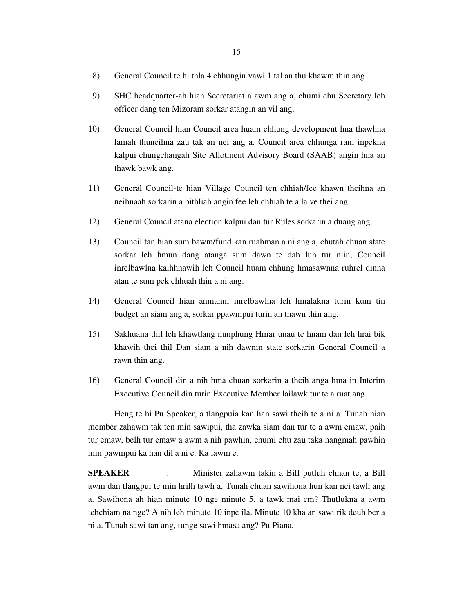- 8) General Council te hi thla 4 chhungin vawi 1 tal an thu khawm thin ang .
- 9) SHC headquarter-ah hian Secretariat a awm ang a, chumi chu Secretary leh officer dang ten Mizoram sorkar atangin an vil ang.
- 10) General Council hian Council area huam chhung development hna thawhna lamah thuneihna zau tak an nei ang a. Council area chhunga ram inpekna kalpui chungchangah Site Allotment Advisory Board (SAAB) angin hna an thawk bawk ang.
- 11) General Council-te hian Village Council ten chhiah/fee khawn theihna an neihnaah sorkarin a bithliah angin fee leh chhiah te a la ve thei ang.
- 12) General Council atana election kalpui dan tur Rules sorkarin a duang ang.
- 13) Council tan hian sum bawm/fund kan ruahman a ni ang a, chutah chuan state sorkar leh hmun dang atanga sum dawn te dah luh tur niin, Council inrelbawlna kaihhnawih leh Council huam chhung hmasawnna ruhrel dinna atan te sum pek chhuah thin a ni ang.
- 14) General Council hian anmahni inrelbawlna leh hmalakna turin kum tin budget an siam ang a, sorkar ppawmpui turin an thawn thin ang.
- 15) Sakhuana thil leh khawtlang nunphung Hmar unau te hnam dan leh hrai bik khawih thei thil Dan siam a nih dawnin state sorkarin General Council a rawn thin ang.
- 16) General Council din a nih hma chuan sorkarin a theih anga hma in Interim Executive Council din turin Executive Member lailawk tur te a ruat ang.

 Heng te hi Pu Speaker, a tlangpuia kan han sawi theih te a ni a. Tunah hian member zahawm tak ten min sawipui, tha zawka siam dan tur te a awm emaw, paih tur emaw, belh tur emaw a awm a nih pawhin, chumi chu zau taka nangmah pawhin min pawmpui ka han dil a ni e. Ka lawm e.

**SPEAKER** : Minister zahawm takin a Bill putluh chhan te, a Bill awm dan tlangpui te min hrilh tawh a. Tunah chuan sawihona hun kan nei tawh ang a. Sawihona ah hian minute 10 nge minute 5, a tawk mai em? Thutlukna a awm tehchiam na nge? A nih leh minute 10 inpe ila. Minute 10 kha an sawi rik deuh ber a ni a. Tunah sawi tan ang, tunge sawi hmasa ang? Pu Piana.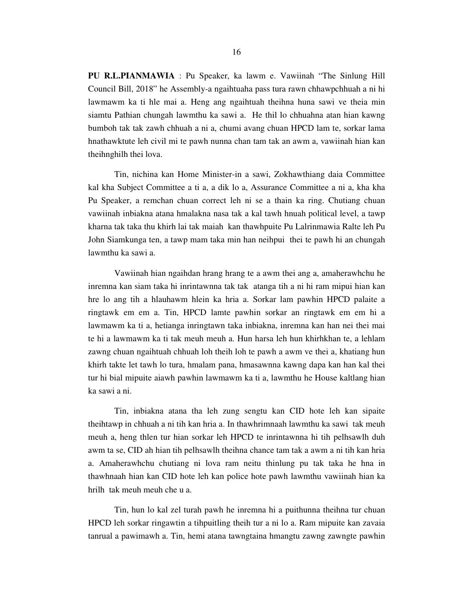**PU R.L.PIANMAWIA** : Pu Speaker, ka lawm e. Vawiinah "The Sinlung Hill Council Bill, 2018" he Assembly-a ngaihtuaha pass tura rawn chhawpchhuah a ni hi lawmawm ka ti hle mai a. Heng ang ngaihtuah theihna huna sawi ve theia min siamtu Pathian chungah lawmthu ka sawi a. He thil lo chhuahna atan hian kawng bumboh tak tak zawh chhuah a ni a, chumi avang chuan HPCD lam te, sorkar lama hnathawktute leh civil mi te pawh nunna chan tam tak an awm a, vawiinah hian kan theihnghilh thei lova.

 Tin, nichina kan Home Minister-in a sawi, Zokhawthiang daia Committee kal kha Subject Committee a ti a, a dik lo a, Assurance Committee a ni a, kha kha Pu Speaker, a remchan chuan correct leh ni se a thain ka ring. Chutiang chuan vawiinah inbiakna atana hmalakna nasa tak a kal tawh hnuah political level, a tawp kharna tak taka thu khirh lai tak maiah kan thawhpuite Pu Lalrinmawia Ralte leh Pu John Siamkunga ten, a tawp mam taka min han neihpui thei te pawh hi an chungah lawmthu ka sawi a.

 Vawiinah hian ngaihdan hrang hrang te a awm thei ang a, amaherawhchu he inremna kan siam taka hi inrintawnna tak tak atanga tih a ni hi ram mipui hian kan hre lo ang tih a hlauhawm hlein ka hria a. Sorkar lam pawhin HPCD palaite a ringtawk em em a. Tin, HPCD lamte pawhin sorkar an ringtawk em em hi a lawmawm ka ti a, hetianga inringtawn taka inbiakna, inremna kan han nei thei mai te hi a lawmawm ka ti tak meuh meuh a. Hun harsa leh hun khirhkhan te, a lehlam zawng chuan ngaihtuah chhuah loh theih loh te pawh a awm ve thei a, khatiang hun khirh takte let tawh lo tura, hmalam pana, hmasawnna kawng dapa kan han kal thei tur hi bial mipuite aiawh pawhin lawmawm ka ti a, lawmthu he House kaltlang hian ka sawi a ni.

 Tin, inbiakna atana tha leh zung sengtu kan CID hote leh kan sipaite theihtawp in chhuah a ni tih kan hria a. In thawhrimnaah lawmthu ka sawi tak meuh meuh a, heng thlen tur hian sorkar leh HPCD te inrintawnna hi tih pelhsawlh duh awm ta se, CID ah hian tih pelhsawlh theihna chance tam tak a awm a ni tih kan hria a. Amaherawhchu chutiang ni lova ram neitu thinlung pu tak taka he hna in thawhnaah hian kan CID hote leh kan police hote pawh lawmthu vawiinah hian ka hrilh tak meuh meuh che u a.

 Tin, hun lo kal zel turah pawh he inremna hi a puithunna theihna tur chuan HPCD leh sorkar ringawtin a tihpuitling theih tur a ni lo a. Ram mipuite kan zavaia tanrual a pawimawh a. Tin, hemi atana tawngtaina hmangtu zawng zawngte pawhin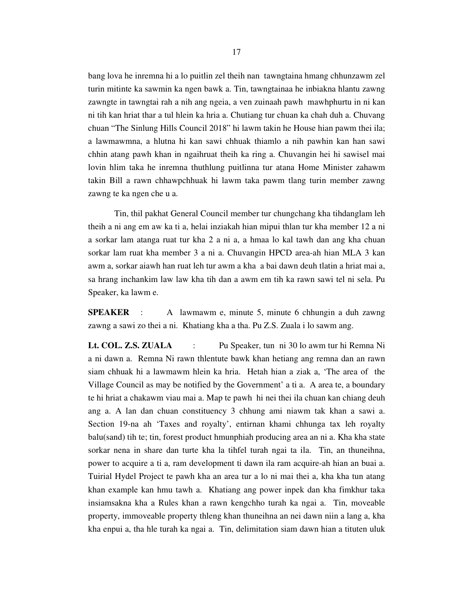bang lova he inremna hi a lo puitlin zel theih nan tawngtaina hmang chhunzawm zel turin mitinte ka sawmin ka ngen bawk a. Tin, tawngtainaa he inbiakna hlantu zawng zawngte in tawngtai rah a nih ang ngeia, a ven zuinaah pawh mawhphurtu in ni kan ni tih kan hriat thar a tul hlein ka hria a. Chutiang tur chuan ka chah duh a. Chuvang chuan "The Sinlung Hills Council 2018" hi lawm takin he House hian pawm thei ila; a lawmawmna, a hlutna hi kan sawi chhuak thiamlo a nih pawhin kan han sawi chhin atang pawh khan in ngaihruat theih ka ring a. Chuvangin hei hi sawisel mai lovin hlim taka he inremna thuthlung puitlinna tur atana Home Minister zahawm takin Bill a rawn chhawpchhuak hi lawm taka pawm tlang turin member zawng zawng te ka ngen che u a.

 Tin, thil pakhat General Council member tur chungchang kha tihdanglam leh theih a ni ang em aw ka ti a, helai inziakah hian mipui thlan tur kha member 12 a ni a sorkar lam atanga ruat tur kha 2 a ni a, a hmaa lo kal tawh dan ang kha chuan sorkar lam ruat kha member 3 a ni a. Chuvangin HPCD area-ah hian MLA 3 kan awm a, sorkar aiawh han ruat leh tur awm a kha a bai dawn deuh tlatin a hriat mai a, sa hrang inchankim law law kha tih dan a awm em tih ka rawn sawi tel ni sela. Pu Speaker, ka lawm e.

**SPEAKER** : A lawmawm e, minute 5, minute 6 chhungin a duh zawng zawng a sawi zo thei a ni. Khatiang kha a tha. Pu Z.S. Zuala i lo sawm ang.

**Lt. COL. Z.S. ZUALA** : Pu Speaker, tun ni 30 lo awm tur hi Remna Ni a ni dawn a. Remna Ni rawn thlentute bawk khan hetiang ang remna dan an rawn siam chhuak hi a lawmawm hlein ka hria. Hetah hian a ziak a, 'The area of the Village Council as may be notified by the Government' a ti a. A area te, a boundary te hi hriat a chakawm viau mai a. Map te pawh hi nei thei ila chuan kan chiang deuh ang a. A lan dan chuan constituency 3 chhung ami niawm tak khan a sawi a. Section 19-na ah 'Taxes and royalty', entirnan khami chhunga tax leh royalty balu(sand) tih te; tin, forest product hmunphiah producing area an ni a. Kha kha state sorkar nena in share dan turte kha la tihfel turah ngai ta ila. Tin, an thuneihna, power to acquire a ti a, ram development ti dawn ila ram acquire-ah hian an buai a. Tuirial Hydel Project te pawh kha an area tur a lo ni mai thei a, kha kha tun atang khan example kan hmu tawh a. Khatiang ang power inpek dan kha fimkhur taka insiamsakna kha a Rules khan a rawn kengchho turah ka ngai a. Tin, moveable property, immoveable property thleng khan thuneihna an nei dawn niin a lang a, kha kha enpui a, tha hle turah ka ngai a. Tin, delimitation siam dawn hian a tituten uluk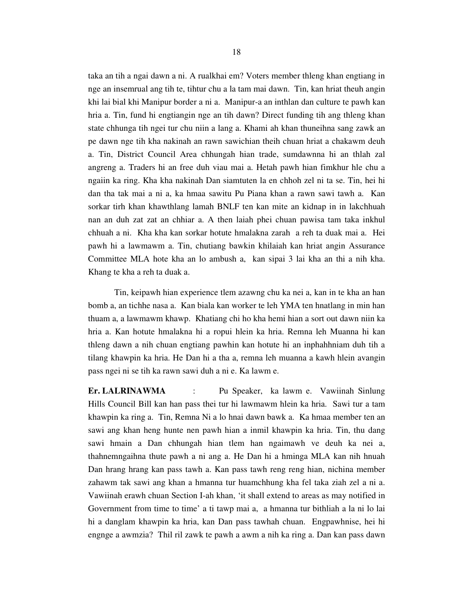taka an tih a ngai dawn a ni. A rualkhai em? Voters member thleng khan engtiang in nge an insemrual ang tih te, tihtur chu a la tam mai dawn. Tin, kan hriat theuh angin khi lai bial khi Manipur border a ni a. Manipur-a an inthlan dan culture te pawh kan hria a. Tin, fund hi engtiangin nge an tih dawn? Direct funding tih ang thleng khan state chhunga tih ngei tur chu niin a lang a. Khami ah khan thuneihna sang zawk an pe dawn nge tih kha nakinah an rawn sawichian theih chuan hriat a chakawm deuh a. Tin, District Council Area chhungah hian trade, sumdawnna hi an thlah zal angreng a. Traders hi an free duh viau mai a. Hetah pawh hian fimkhur hle chu a ngaiin ka ring. Kha kha nakinah Dan siamtuten la en chhoh zel ni ta se. Tin, hei hi dan tha tak mai a ni a, ka hmaa sawitu Pu Piana khan a rawn sawi tawh a. Kan sorkar tirh khan khawthlang lamah BNLF ten kan mite an kidnap in in lakchhuah nan an duh zat zat an chhiar a. A then laiah phei chuan pawisa tam taka inkhul chhuah a ni. Kha kha kan sorkar hotute hmalakna zarah a reh ta duak mai a. Hei pawh hi a lawmawm a. Tin, chutiang bawkin khilaiah kan hriat angin Assurance Committee MLA hote kha an lo ambush a, kan sipai 3 lai kha an thi a nih kha. Khang te kha a reh ta duak a.

 Tin, keipawh hian experience tlem azawng chu ka nei a, kan in te kha an han bomb a, an tichhe nasa a. Kan biala kan worker te leh YMA ten hnatlang in min han thuam a, a lawmawm khawp. Khatiang chi ho kha hemi hian a sort out dawn niin ka hria a. Kan hotute hmalakna hi a ropui hlein ka hria. Remna leh Muanna hi kan thleng dawn a nih chuan engtiang pawhin kan hotute hi an inphahhniam duh tih a tilang khawpin ka hria. He Dan hi a tha a, remna leh muanna a kawh hlein avangin pass ngei ni se tih ka rawn sawi duh a ni e. Ka lawm e.

**Er. LALRINAWMA** : Pu Speaker, ka lawm e. Vawiinah Sinlung Hills Council Bill kan han pass thei tur hi lawmawm hlein ka hria. Sawi tur a tam khawpin ka ring a. Tin, Remna Ni a lo hnai dawn bawk a. Ka hmaa member ten an sawi ang khan heng hunte nen pawh hian a inmil khawpin ka hria. Tin, thu dang sawi hmain a Dan chhungah hian tlem han ngaimawh ve deuh ka nei a, thahnemngaihna thute pawh a ni ang a. He Dan hi a hminga MLA kan nih hnuah Dan hrang hrang kan pass tawh a. Kan pass tawh reng reng hian, nichina member zahawm tak sawi ang khan a hmanna tur huamchhung kha fel taka ziah zel a ni a. Vawiinah erawh chuan Section I-ah khan, 'it shall extend to areas as may notified in Government from time to time' a ti tawp mai a, a hmanna tur bithliah a la ni lo lai hi a danglam khawpin ka hria, kan Dan pass tawhah chuan. Engpawhnise, hei hi engnge a awmzia? Thil ril zawk te pawh a awm a nih ka ring a. Dan kan pass dawn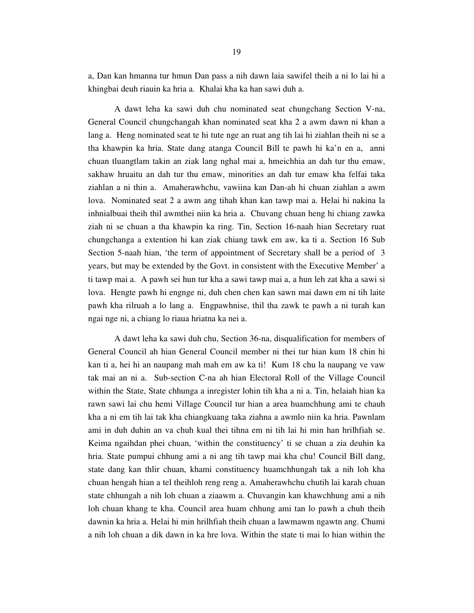a, Dan kan hmanna tur hmun Dan pass a nih dawn laia sawifel theih a ni lo lai hi a khingbai deuh riauin ka hria a. Khalai kha ka han sawi duh a.

 A dawt leha ka sawi duh chu nominated seat chungchang Section V-na, General Council chungchangah khan nominated seat kha 2 a awm dawn ni khan a lang a. Heng nominated seat te hi tute nge an ruat ang tih lai hi ziahlan theih ni se a tha khawpin ka hria. State dang atanga Council Bill te pawh hi ka'n en a, anni chuan tluangtlam takin an ziak lang nghal mai a, hmeichhia an dah tur thu emaw, sakhaw hruaitu an dah tur thu emaw, minorities an dah tur emaw kha felfai taka ziahlan a ni thin a. Amaherawhchu, vawiina kan Dan-ah hi chuan ziahlan a awm lova. Nominated seat 2 a awm ang tihah khan kan tawp mai a. Helai hi nakina la inhnialbuai theih thil awmthei niin ka hria a. Chuvang chuan heng hi chiang zawka ziah ni se chuan a tha khawpin ka ring. Tin, Section 16-naah hian Secretary ruat chungchanga a extention hi kan ziak chiang tawk em aw, ka ti a. Section 16 Sub Section 5-naah hian, 'the term of appointment of Secretary shall be a period of 3 years, but may be extended by the Govt. in consistent with the Executive Member' a ti tawp mai a. A pawh sei hun tur kha a sawi tawp mai a, a hun leh zat kha a sawi si lova. Hengte pawh hi engnge ni, duh chen chen kan sawn mai dawn em ni tih laite pawh kha rilruah a lo lang a. Engpawhnise, thil tha zawk te pawh a ni turah kan ngai nge ni, a chiang lo riaua hriatna ka nei a.

 A dawt leha ka sawi duh chu, Section 36-na, disqualification for members of General Council ah hian General Council member ni thei tur hian kum 18 chin hi kan ti a, hei hi an naupang mah mah em aw ka ti! Kum 18 chu la naupang ve vaw tak mai an ni a. Sub-section C-na ah hian Electoral Roll of the Village Council within the State, State chhunga a inregister lohin tih kha a ni a. Tin, helaiah hian ka rawn sawi lai chu hemi Village Council tur hian a area huamchhung ami te chauh kha a ni em tih lai tak kha chiangkuang taka ziahna a awmlo niin ka hria. Pawnlam ami in duh duhin an va chuh kual thei tihna em ni tih lai hi min han hrilhfiah se. Keima ngaihdan phei chuan, 'within the constituency' ti se chuan a zia deuhin ka hria. State pumpui chhung ami a ni ang tih tawp mai kha chu! Council Bill dang, state dang kan thlir chuan, khami constituency huamchhungah tak a nih loh kha chuan hengah hian a tel theihloh reng reng a. Amaherawhchu chutih lai karah chuan state chhungah a nih loh chuan a ziaawm a. Chuvangin kan khawchhung ami a nih loh chuan khang te kha. Council area huam chhung ami tan lo pawh a chuh theih dawnin ka hria a. Helai hi min hrilhfiah theih chuan a lawmawm ngawtn ang. Chumi a nih loh chuan a dik dawn in ka hre lova. Within the state ti mai lo hian within the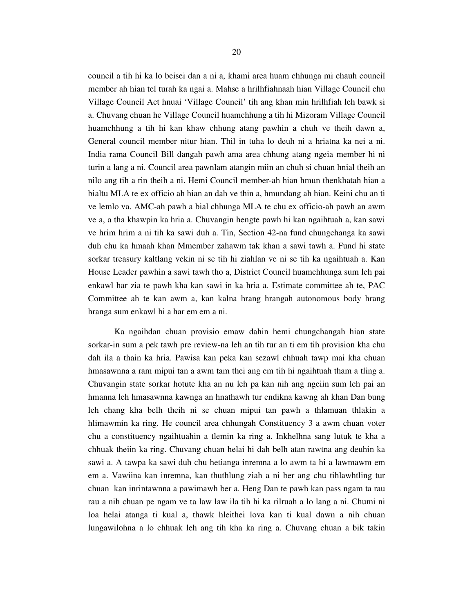council a tih hi ka lo beisei dan a ni a, khami area huam chhunga mi chauh council member ah hian tel turah ka ngai a. Mahse a hrilhfiahnaah hian Village Council chu Village Council Act hnuai 'Village Council' tih ang khan min hrilhfiah leh bawk si a. Chuvang chuan he Village Council huamchhung a tih hi Mizoram Village Council huamchhung a tih hi kan khaw chhung atang pawhin a chuh ve theih dawn a, General council member nitur hian. Thil in tuha lo deuh ni a hriatna ka nei a ni. India rama Council Bill dangah pawh ama area chhung atang ngeia member hi ni turin a lang a ni. Council area pawnlam atangin miin an chuh si chuan hnial theih an nilo ang tih a rin theih a ni. Hemi Council member-ah hian hmun thenkhatah hian a bialtu MLA te ex officio ah hian an dah ve thin a, hmundang ah hian. Keini chu an ti ve lemlo va. AMC-ah pawh a bial chhunga MLA te chu ex officio-ah pawh an awm ve a, a tha khawpin ka hria a. Chuvangin hengte pawh hi kan ngaihtuah a, kan sawi ve hrim hrim a ni tih ka sawi duh a. Tin, Section 42-na fund chungchanga ka sawi duh chu ka hmaah khan Mmember zahawm tak khan a sawi tawh a. Fund hi state sorkar treasury kaltlang vekin ni se tih hi ziahlan ve ni se tih ka ngaihtuah a. Kan House Leader pawhin a sawi tawh tho a, District Council huamchhunga sum leh pai enkawl har zia te pawh kha kan sawi in ka hria a. Estimate committee ah te, PAC Committee ah te kan awm a, kan kalna hrang hrangah autonomous body hrang hranga sum enkawl hi a har em em a ni.

 Ka ngaihdan chuan provisio emaw dahin hemi chungchangah hian state sorkar-in sum a pek tawh pre review-na leh an tih tur an ti em tih provision kha chu dah ila a thain ka hria. Pawisa kan peka kan sezawl chhuah tawp mai kha chuan hmasawnna a ram mipui tan a awm tam thei ang em tih hi ngaihtuah tham a tling a. Chuvangin state sorkar hotute kha an nu leh pa kan nih ang ngeiin sum leh pai an hmanna leh hmasawnna kawnga an hnathawh tur endikna kawng ah khan Dan bung leh chang kha belh theih ni se chuan mipui tan pawh a thlamuan thlakin a hlimawmin ka ring. He council area chhungah Constituency 3 a awm chuan voter chu a constituency ngaihtuahin a tlemin ka ring a. Inkhelhna sang lutuk te kha a chhuak theiin ka ring. Chuvang chuan helai hi dah belh atan rawtna ang deuhin ka sawi a. A tawpa ka sawi duh chu hetianga inremna a lo awm ta hi a lawmawm em em a. Vawiina kan inremna, kan thuthlung ziah a ni ber ang chu tihlawhtling tur chuan kan inrintawnna a pawimawh ber a. Heng Dan te pawh kan pass ngam ta rau rau a nih chuan pe ngam ve ta law law ila tih hi ka rilruah a lo lang a ni. Chumi ni loa helai atanga ti kual a, thawk hleithei lova kan ti kual dawn a nih chuan lungawilohna a lo chhuak leh ang tih kha ka ring a. Chuvang chuan a bik takin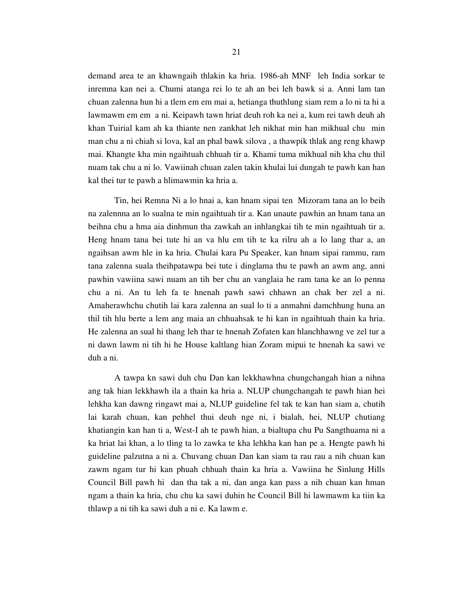demand area te an khawngaih thlakin ka hria. 1986-ah MNF leh India sorkar te inremna kan nei a. Chumi atanga rei lo te ah an bei leh bawk si a. Anni lam tan chuan zalenna hun hi a tlem em em mai a, hetianga thuthlung siam rem a lo ni ta hi a lawmawm em em a ni. Keipawh tawn hriat deuh roh ka nei a, kum rei tawh deuh ah khan Tuirial kam ah ka thiante nen zankhat leh nikhat min han mikhual chu min man chu a ni chiah si lova, kal an phal bawk silova , a thawpik thlak ang reng khawp mai. Khangte kha min ngaihtuah chhuah tir a. Khami tuma mikhual nih kha chu thil nuam tak chu a ni lo. Vawiinah chuan zalen takin khulai lui dungah te pawh kan han kal thei tur te pawh a hlimawmin ka hria a.

 Tin, hei Remna Ni a lo hnai a, kan hnam sipai ten Mizoram tana an lo beih na zalennna an lo sualna te min ngaihtuah tir a. Kan unaute pawhin an hnam tana an beihna chu a hma aia dinhmun tha zawkah an inhlangkai tih te min ngaihtuah tir a. Heng hnam tana bei tute hi an va hlu em tih te ka rilru ah a lo lang thar a, an ngaihsan awm hle in ka hria. Chulai kara Pu Speaker, kan hnam sipai rammu, ram tana zalenna suala theihpatawpa bei tute i dinglama thu te pawh an awm ang, anni pawhin vawiina sawi nuam an tih ber chu an vanglaia he ram tana ke an lo penna chu a ni. An tu leh fa te hnenah pawh sawi chhawn an chak ber zel a ni. Amaherawhchu chutih lai kara zalenna an sual lo ti a anmahni damchhung huna an thil tih hlu berte a lem ang maia an chhuahsak te hi kan in ngaihtuah thain ka hria. He zalenna an sual hi thang leh thar te hnenah Zofaten kan hlanchhawng ve zel tur a ni dawn lawm ni tih hi he House kaltlang hian Zoram mipui te hnenah ka sawi ve duh a ni.

 A tawpa kn sawi duh chu Dan kan lekkhawhna chungchangah hian a nihna ang tak hian lekkhawh ila a thain ka hria a. NLUP chungchangah te pawh hian hei lehkha kan dawng ringawt mai a, NLUP guideline fel tak te kan han siam a, chutih lai karah chuan, kan pehhel thui deuh nge ni, i bialah, hei, NLUP chutiang khatiangin kan han ti a, West-I ah te pawh hian, a bialtupa chu Pu Sangthuama ni a ka hriat lai khan, a lo tling ta lo zawka te kha lehkha kan han pe a. Hengte pawh hi guideline palzutna a ni a. Chuvang chuan Dan kan siam ta rau rau a nih chuan kan zawm ngam tur hi kan phuah chhuah thain ka hria a. Vawiina he Sinlung Hills Council Bill pawh hi dan tha tak a ni, dan anga kan pass a nih chuan kan hman ngam a thain ka hria, chu chu ka sawi duhin he Council Bill hi lawmawm ka tiin ka thlawp a ni tih ka sawi duh a ni e. Ka lawm e.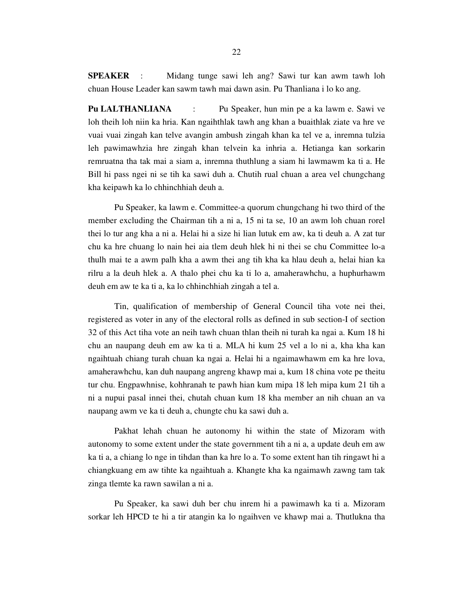**SPEAKER** : Midang tunge sawi leh ang? Sawi tur kan awm tawh loh chuan House Leader kan sawm tawh mai dawn asin. Pu Thanliana i lo ko ang.

**Pu LALTHANLIANA** : Pu Speaker, hun min pe a ka lawm e. Sawi ve loh theih loh niin ka hria. Kan ngaihthlak tawh ang khan a buaithlak ziate va hre ve vuai vuai zingah kan telve avangin ambush zingah khan ka tel ve a, inremna tulzia leh pawimawhzia hre zingah khan telvein ka inhria a. Hetianga kan sorkarin remruatna tha tak mai a siam a, inremna thuthlung a siam hi lawmawm ka ti a. He Bill hi pass ngei ni se tih ka sawi duh a. Chutih rual chuan a area vel chungchang kha keipawh ka lo chhinchhiah deuh a.

Pu Speaker, ka lawm e. Committee-a quorum chungchang hi two third of the member excluding the Chairman tih a ni a, 15 ni ta se, 10 an awm loh chuan rorel thei lo tur ang kha a ni a. Helai hi a size hi lian lutuk em aw, ka ti deuh a. A zat tur chu ka hre chuang lo nain hei aia tlem deuh hlek hi ni thei se chu Committee lo-a thulh mai te a awm palh kha a awm thei ang tih kha ka hlau deuh a, helai hian ka rilru a la deuh hlek a. A thalo phei chu ka ti lo a, amaherawhchu, a huphurhawm deuh em aw te ka ti a, ka lo chhinchhiah zingah a tel a.

 Tin, qualification of membership of General Council tiha vote nei thei, registered as voter in any of the electoral rolls as defined in sub section-I of section 32 of this Act tiha vote an neih tawh chuan thlan theih ni turah ka ngai a. Kum 18 hi chu an naupang deuh em aw ka ti a. MLA hi kum 25 vel a lo ni a, kha kha kan ngaihtuah chiang turah chuan ka ngai a. Helai hi a ngaimawhawm em ka hre lova, amaherawhchu, kan duh naupang angreng khawp mai a, kum 18 china vote pe theitu tur chu. Engpawhnise, kohhranah te pawh hian kum mipa 18 leh mipa kum 21 tih a ni a nupui pasal innei thei, chutah chuan kum 18 kha member an nih chuan an va naupang awm ve ka ti deuh a, chungte chu ka sawi duh a.

 Pakhat lehah chuan he autonomy hi within the state of Mizoram with autonomy to some extent under the state government tih a ni a, a update deuh em aw ka ti a, a chiang lo nge in tihdan than ka hre lo a. To some extent han tih ringawt hi a chiangkuang em aw tihte ka ngaihtuah a. Khangte kha ka ngaimawh zawng tam tak zinga tlemte ka rawn sawilan a ni a.

 Pu Speaker, ka sawi duh ber chu inrem hi a pawimawh ka ti a. Mizoram sorkar leh HPCD te hi a tir atangin ka lo ngaihven ve khawp mai a. Thutlukna tha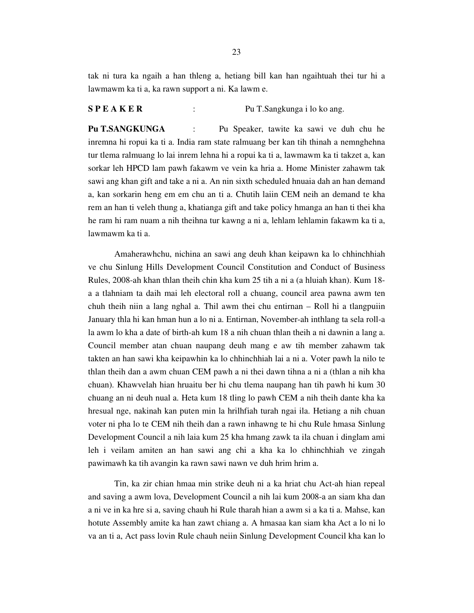tak ni tura ka ngaih a han thleng a, hetiang bill kan han ngaihtuah thei tur hi a lawmawm ka ti a, ka rawn support a ni. Ka lawm e.

#### **S P E A K E R** : Pu T.Sangkunga i lo ko ang.

**Pu T.SANGKUNGA** : Pu Speaker, tawite ka sawi ve duh chu he inremna hi ropui ka ti a. India ram state ralmuang ber kan tih thinah a nemnghehna tur tlema ralmuang lo lai inrem lehna hi a ropui ka ti a, lawmawm ka ti takzet a, kan sorkar leh HPCD lam pawh fakawm ve vein ka hria a. Home Minister zahawm tak sawi ang khan gift and take a ni a. An nin sixth scheduled hnuaia dah an han demand a, kan sorkarin heng em em chu an ti a. Chutih laiin CEM neih an demand te kha rem an han ti veleh thung a, khatianga gift and take policy hmanga an han ti thei kha he ram hi ram nuam a nih theihna tur kawng a ni a, lehlam lehlamin fakawm ka ti a, lawmawm ka ti a.

 Amaherawhchu, nichina an sawi ang deuh khan keipawn ka lo chhinchhiah ve chu Sinlung Hills Development Council Constitution and Conduct of Business Rules, 2008-ah khan thlan theih chin kha kum 25 tih a ni a (a hluiah khan). Kum 18 a a tlahniam ta daih mai leh electoral roll a chuang, council area pawna awm ten chuh theih niin a lang nghal a. Thil awm thei chu entirnan – Roll hi a tlangpuiin January thla hi kan hman hun a lo ni a. Entirnan, November-ah inthlang ta sela roll-a la awm lo kha a date of birth-ah kum 18 a nih chuan thlan theih a ni dawnin a lang a. Council member atan chuan naupang deuh mang e aw tih member zahawm tak takten an han sawi kha keipawhin ka lo chhinchhiah lai a ni a. Voter pawh la nilo te thlan theih dan a awm chuan CEM pawh a ni thei dawn tihna a ni a (thlan a nih kha chuan). Khawvelah hian hruaitu ber hi chu tlema naupang han tih pawh hi kum 30 chuang an ni deuh nual a. Heta kum 18 tling lo pawh CEM a nih theih dante kha ka hresual nge, nakinah kan puten min la hrilhfiah turah ngai ila. Hetiang a nih chuan voter ni pha lo te CEM nih theih dan a rawn inhawng te hi chu Rule hmasa Sinlung Development Council a nih laia kum 25 kha hmang zawk ta ila chuan i dinglam ami leh i veilam amiten an han sawi ang chi a kha ka lo chhinchhiah ve zingah pawimawh ka tih avangin ka rawn sawi nawn ve duh hrim hrim a.

 Tin, ka zir chian hmaa min strike deuh ni a ka hriat chu Act-ah hian repeal and saving a awm lova, Development Council a nih lai kum 2008-a an siam kha dan a ni ve in ka hre si a, saving chauh hi Rule tharah hian a awm si a ka ti a. Mahse, kan hotute Assembly amite ka han zawt chiang a. A hmasaa kan siam kha Act a lo ni lo va an ti a, Act pass lovin Rule chauh neiin Sinlung Development Council kha kan lo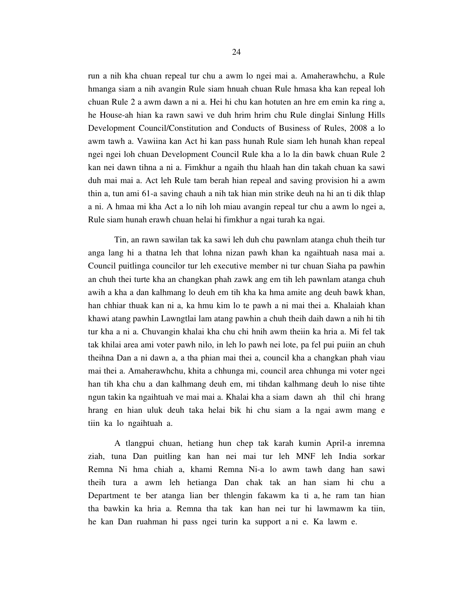run a nih kha chuan repeal tur chu a awm lo ngei mai a. Amaherawhchu, a Rule hmanga siam a nih avangin Rule siam hnuah chuan Rule hmasa kha kan repeal loh chuan Rule 2 a awm dawn a ni a. Hei hi chu kan hotuten an hre em emin ka ring a, he House-ah hian ka rawn sawi ve duh hrim hrim chu Rule dinglai Sinlung Hills Development Council/Constitution and Conducts of Business of Rules, 2008 a lo awm tawh a. Vawiina kan Act hi kan pass hunah Rule siam leh hunah khan repeal ngei ngei loh chuan Development Council Rule kha a lo la din bawk chuan Rule 2 kan nei dawn tihna a ni a. Fimkhur a ngaih thu hlaah han din takah chuan ka sawi duh mai mai a. Act leh Rule tam berah hian repeal and saving provision hi a awm thin a, tun ami 61-a saving chauh a nih tak hian min strike deuh na hi an ti dik thlap a ni. A hmaa mi kha Act a lo nih loh miau avangin repeal tur chu a awm lo ngei a, Rule siam hunah erawh chuan helai hi fimkhur a ngai turah ka ngai.

 Tin, an rawn sawilan tak ka sawi leh duh chu pawnlam atanga chuh theih tur anga lang hi a thatna leh that lohna nizan pawh khan ka ngaihtuah nasa mai a. Council puitlinga councilor tur leh executive member ni tur chuan Siaha pa pawhin an chuh thei turte kha an changkan phah zawk ang em tih leh pawnlam atanga chuh awih a kha a dan kalhmang lo deuh em tih kha ka hma amite ang deuh bawk khan, han chhiar thuak kan ni a, ka hmu kim lo te pawh a ni mai thei a. Khalaiah khan khawi atang pawhin Lawngtlai lam atang pawhin a chuh theih daih dawn a nih hi tih tur kha a ni a. Chuvangin khalai kha chu chi hnih awm theiin ka hria a. Mi fel tak tak khilai area ami voter pawh nilo, in leh lo pawh nei lote, pa fel pui puiin an chuh theihna Dan a ni dawn a, a tha phian mai thei a, council kha a changkan phah viau mai thei a. Amaherawhchu, khita a chhunga mi, council area chhunga mi voter ngei han tih kha chu a dan kalhmang deuh em, mi tihdan kalhmang deuh lo nise tihte ngun takin ka ngaihtuah ve mai mai a. Khalai kha a siam dawn ah thil chi hrang hrang en hian uluk deuh taka helai bik hi chu siam a la ngai awm mang e tiin ka lo ngaihtuah a.

 A tlangpui chuan, hetiang hun chep tak karah kumin April-a inremna ziah, tuna Dan puitling kan han nei mai tur leh MNF leh India sorkar Remna Ni hma chiah a, khami Remna Ni-a lo awm tawh dang han sawi theih tura a awm leh hetianga Dan chak tak an han siam hi chu a Department te ber atanga lian ber thlengin fakawm ka ti a, he ram tan hian tha bawkin ka hria a. Remna tha tak kan han nei tur hi lawmawm ka tiin, he kan Dan ruahman hi pass ngei turin ka support a ni e. Ka lawm e.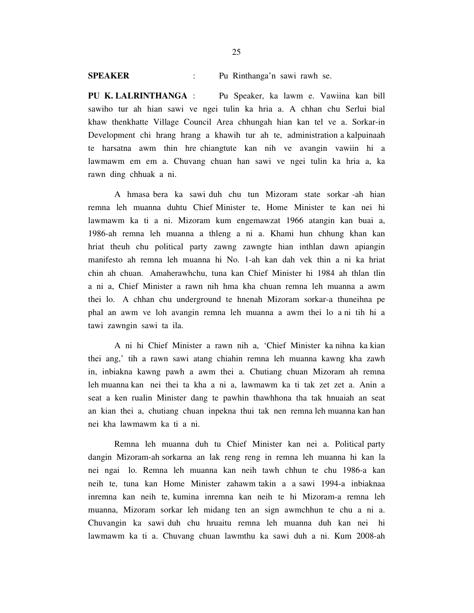**SPEAKER** : Pu Rinthanga'n sawi rawh se.

**PU K. LALRINTHANGA** : Pu Speaker, ka lawm e. Vawiina kan bill sawiho tur ah hian sawi ve ngei tulin ka hria a. A chhan chu Serlui bial khaw thenkhatte Village Council Area chhungah hian kan tel ve a. Sorkar-in Development chi hrang hrang a khawih tur ah te, administration a kalpuinaah te harsatna awm thin hre chiangtute kan nih ve avangin vawiin hi a lawmawm em em a. Chuvang chuan han sawi ve ngei tulin ka hria a, ka rawn ding chhuak a ni.

 A hmasa bera ka sawi duh chu tun Mizoram state sorkar -ah hian remna leh muanna duhtu Chief Minister te, Home Minister te kan nei hi lawmawm ka ti a ni. Mizoram kum engemawzat 1966 atangin kan buai a, 1986-ah remna leh muanna a thleng a ni a. Khami hun chhung khan kan hriat theuh chu political party zawng zawngte hian inthlan dawn apiangin manifesto ah remna leh muanna hi No. 1-ah kan dah vek thin a ni ka hriat chin ah chuan. Amaherawhchu, tuna kan Chief Minister hi 1984 ah thlan tlin a ni a, Chief Minister a rawn nih hma kha chuan remna leh muanna a awm thei lo. A chhan chu underground te hnenah Mizoram sorkar-a thuneihna pe phal an awm ve loh avangin remna leh muanna a awm thei lo a ni tih hi a tawi zawngin sawi ta ila.

 A ni hi Chief Minister a rawn nih a, 'Chief Minister ka nihna ka kian thei ang,' tih a rawn sawi atang chiahin remna leh muanna kawng kha zawh in, inbiakna kawng pawh a awm thei a. Chutiang chuan Mizoram ah remna leh muanna kan nei thei ta kha a ni a, lawmawm ka ti tak zet zet a. Anin a seat a ken rualin Minister dang te pawhin thawhhona tha tak hnuaiah an seat an kian thei a, chutiang chuan inpekna thui tak nen remna leh muanna kan han nei kha lawmawm ka ti a ni.

 Remna leh muanna duh tu Chief Minister kan nei a. Political party dangin Mizoram-ah sorkarna an lak reng reng in remna leh muanna hi kan la nei ngai lo. Remna leh muanna kan neih tawh chhun te chu 1986-a kan neih te, tuna kan Home Minister zahawm takin a a sawi 1994-a inbiaknaa inremna kan neih te, kumina inremna kan neih te hi Mizoram-a remna leh muanna, Mizoram sorkar leh midang ten an sign awmchhun te chu a ni a. Chuvangin ka sawi duh chu hruaitu remna leh muanna duh kan nei hi lawmawm ka ti a. Chuvang chuan lawmthu ka sawi duh a ni. Kum 2008-ah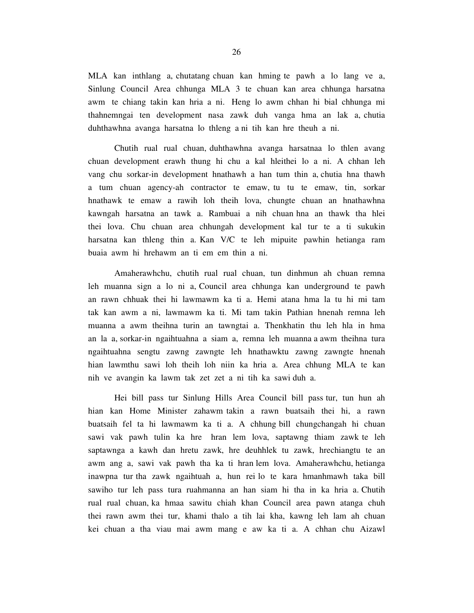MLA kan inthlang a, chutatang chuan kan hming te pawh a lo lang ve a, Sinlung Council Area chhunga MLA 3 te chuan kan area chhunga harsatna awm te chiang takin kan hria a ni. Heng lo awm chhan hi bial chhunga mi thahnemngai ten development nasa zawk duh vanga hma an lak a, chutia duhthawhna avanga harsatna lo thleng a ni tih kan hre theuh a ni.

 Chutih rual rual chuan, duhthawhna avanga harsatnaa lo thlen avang chuan development erawh thung hi chu a kal hleithei lo a ni. A chhan leh vang chu sorkar-in development hnathawh a han tum thin a, chutia hna thawh a tum chuan agency-ah contractor te emaw, tu tu te emaw, tin, sorkar hnathawk te emaw a rawih loh theih lova, chungte chuan an hnathawhna kawngah harsatna an tawk a. Rambuai a nih chuan hna an thawk tha hlei thei lova. Chu chuan area chhungah development kal tur te a ti sukukin harsatna kan thleng thin a. Kan V/C te leh mipuite pawhin hetianga ram buaia awm hi hrehawm an ti em em thin a ni.

 Amaherawhchu, chutih rual rual chuan, tun dinhmun ah chuan remna leh muanna sign a lo ni a, Council area chhunga kan underground te pawh an rawn chhuak thei hi lawmawm ka ti a. Hemi atana hma la tu hi mi tam tak kan awm a ni, lawmawm ka ti. Mi tam takin Pathian hnenah remna leh muanna a awm theihna turin an tawngtai a. Thenkhatin thu leh hla in hma an la a, sorkar-in ngaihtuahna a siam a, remna leh muanna a awm theihna tura ngaihtuahna sengtu zawng zawngte leh hnathawktu zawng zawngte hnenah hian lawmthu sawi loh theih loh niin ka hria a. Area chhung MLA te kan nih ve avangin ka lawm tak zet zet a ni tih ka sawi duh a.

 Hei bill pass tur Sinlung Hills Area Council bill pass tur, tun hun ah hian kan Home Minister zahawm takin a rawn buatsaih thei hi, a rawn buatsaih fel ta hi lawmawm ka ti a. A chhung bill chungchangah hi chuan sawi vak pawh tulin ka hre hran lem lova, saptawng thiam zawk te leh saptawnga a kawh dan hretu zawk, hre deuhhlek tu zawk, hrechiangtu te an awm ang a, sawi vak pawh tha ka ti hran lem lova. Amaherawhchu, hetianga inawpna tur tha zawk ngaihtuah a, hun rei lo te kara hmanhmawh taka bill sawiho tur leh pass tura ruahmanna an han siam hi tha in ka hria a. Chutih rual rual chuan, ka hmaa sawitu chiah khan Council area pawn atanga chuh thei rawn awm thei tur, khami thalo a tih lai kha, kawng leh lam ah chuan kei chuan a tha viau mai awm mang e aw ka ti a. A chhan chu Aizawl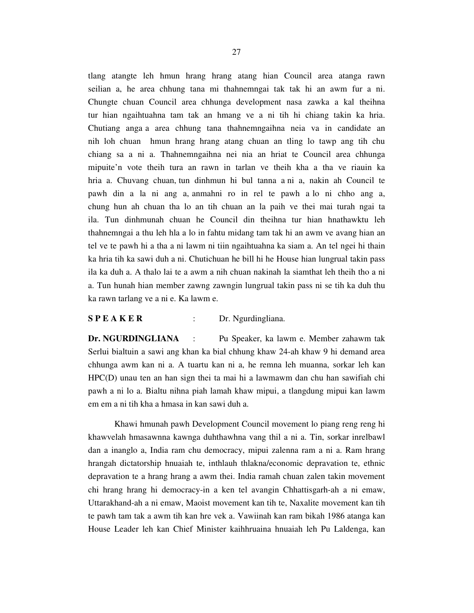27

tlang atangte leh hmun hrang hrang atang hian Council area atanga rawn seilian a, he area chhung tana mi thahnemngai tak tak hi an awm fur a ni. Chungte chuan Council area chhunga development nasa zawka a kal theihna tur hian ngaihtuahna tam tak an hmang ve a ni tih hi chiang takin ka hria. Chutiang anga a area chhung tana thahnemngaihna neia va in candidate an nih loh chuan hmun hrang hrang atang chuan an tling lo tawp ang tih chu chiang sa a ni a. Thahnemngaihna nei nia an hriat te Council area chhunga mipuite'n vote theih tura an rawn in tarlan ve theih kha a tha ve riauin ka hria a. Chuvang chuan, tun dinhmun hi bul tanna a ni a, nakin ah Council te pawh din a la ni ang a, anmahni ro in rel te pawh a lo ni chho ang a, chung hun ah chuan tha lo an tih chuan an la paih ve thei mai turah ngai ta ila. Tun dinhmunah chuan he Council din theihna tur hian hnathawktu leh thahnemngai a thu leh hla a lo in fahtu midang tam tak hi an awm ve avang hian an tel ve te pawh hi a tha a ni lawm ni tiin ngaihtuahna ka siam a. An tel ngei hi thain ka hria tih ka sawi duh a ni. Chutichuan he bill hi he House hian lungrual takin pass ila ka duh a. A thalo lai te a awm a nih chuan nakinah la siamthat leh theih tho a ni a. Tun hunah hian member zawng zawngin lungrual takin pass ni se tih ka duh thu ka rawn tarlang ve a ni e. Ka lawm e.

### **S P E A K E R** : Dr. Ngurdingliana.

**Dr. NGURDINGLIANA** : Pu Speaker, ka lawm e. Member zahawm tak Serlui bialtuin a sawi ang khan ka bial chhung khaw 24-ah khaw 9 hi demand area chhunga awm kan ni a. A tuartu kan ni a, he remna leh muanna, sorkar leh kan HPC(D) unau ten an han sign thei ta mai hi a lawmawm dan chu han sawifiah chi pawh a ni lo a. Bialtu nihna piah lamah khaw mipui, a tlangdung mipui kan lawm em em a ni tih kha a hmasa in kan sawi duh a.

 Khawi hmunah pawh Development Council movement lo piang reng reng hi khawvelah hmasawnna kawnga duhthawhna vang thil a ni a. Tin, sorkar inrelbawl dan a inanglo a, India ram chu democracy, mipui zalenna ram a ni a. Ram hrang hrangah dictatorship hnuaiah te, inthlauh thlakna/economic depravation te, ethnic depravation te a hrang hrang a awm thei. India ramah chuan zalen takin movement chi hrang hrang hi democracy-in a ken tel avangin Chhattisgarh-ah a ni emaw, Uttarakhand-ah a ni emaw, Maoist movement kan tih te, Naxalite movement kan tih te pawh tam tak a awm tih kan hre vek a. Vawiinah kan ram bikah 1986 atanga kan House Leader leh kan Chief Minister kaihhruaina hnuaiah leh Pu Laldenga, kan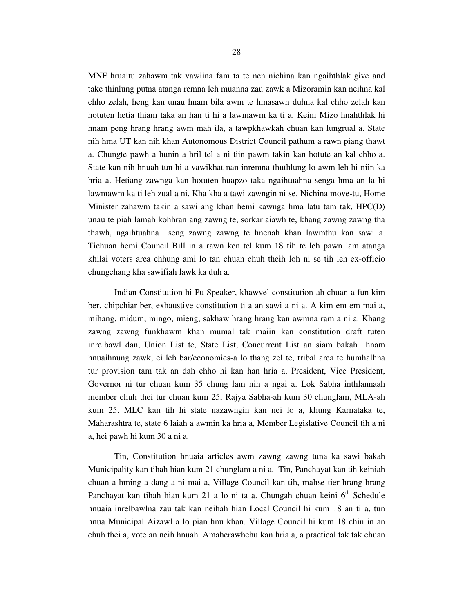MNF hruaitu zahawm tak vawiina fam ta te nen nichina kan ngaihthlak give and take thinlung putna atanga remna leh muanna zau zawk a Mizoramin kan neihna kal chho zelah, heng kan unau hnam bila awm te hmasawn duhna kal chho zelah kan hotuten hetia thiam taka an han ti hi a lawmawm ka ti a. Keini Mizo hnahthlak hi hnam peng hrang hrang awm mah ila, a tawpkhawkah chuan kan lungrual a. State nih hma UT kan nih khan Autonomous District Council pathum a rawn piang thawt a. Chungte pawh a hunin a hril tel a ni tiin pawm takin kan hotute an kal chho a. State kan nih hnuah tun hi a vawikhat nan inremna thuthlung lo awm leh hi niin ka hria a. Hetiang zawnga kan hotuten huapzo taka ngaihtuahna senga hma an la hi lawmawm ka ti leh zual a ni. Kha kha a tawi zawngin ni se. Nichina move-tu, Home Minister zahawm takin a sawi ang khan hemi kawnga hma latu tam tak, HPC(D) unau te piah lamah kohhran ang zawng te, sorkar aiawh te, khang zawng zawng tha thawh, ngaihtuahna seng zawng zawng te hnenah khan lawmthu kan sawi a. Tichuan hemi Council Bill in a rawn ken tel kum 18 tih te leh pawn lam atanga khilai voters area chhung ami lo tan chuan chuh theih loh ni se tih leh ex-officio chungchang kha sawifiah lawk ka duh a.

 Indian Constitution hi Pu Speaker, khawvel constitution-ah chuan a fun kim ber, chipchiar ber, exhaustive constitution ti a an sawi a ni a. A kim em em mai a, mihang, midum, mingo, mieng, sakhaw hrang hrang kan awmna ram a ni a. Khang zawng zawng funkhawm khan mumal tak maiin kan constitution draft tuten inrelbawl dan, Union List te, State List, Concurrent List an siam bakah hnam hnuaihnung zawk, ei leh bar/economics-a lo thang zel te, tribal area te humhalhna tur provision tam tak an dah chho hi kan han hria a, President, Vice President, Governor ni tur chuan kum 35 chung lam nih a ngai a. Lok Sabha inthlannaah member chuh thei tur chuan kum 25, Rajya Sabha-ah kum 30 chunglam, MLA-ah kum 25. MLC kan tih hi state nazawngin kan nei lo a, khung Karnataka te, Maharashtra te, state 6 laiah a awmin ka hria a, Member Legislative Council tih a ni a, hei pawh hi kum 30 a ni a.

 Tin, Constitution hnuaia articles awm zawng zawng tuna ka sawi bakah Municipality kan tihah hian kum 21 chunglam a ni a. Tin, Panchayat kan tih keiniah chuan a hming a dang a ni mai a, Village Council kan tih, mahse tier hrang hrang Panchayat kan tihah hian kum 21 a lo ni ta a. Chungah chuan keini  $6<sup>th</sup>$  Schedule hnuaia inrelbawlna zau tak kan neihah hian Local Council hi kum 18 an ti a, tun hnua Municipal Aizawl a lo pian hnu khan. Village Council hi kum 18 chin in an chuh thei a, vote an neih hnuah. Amaherawhchu kan hria a, a practical tak tak chuan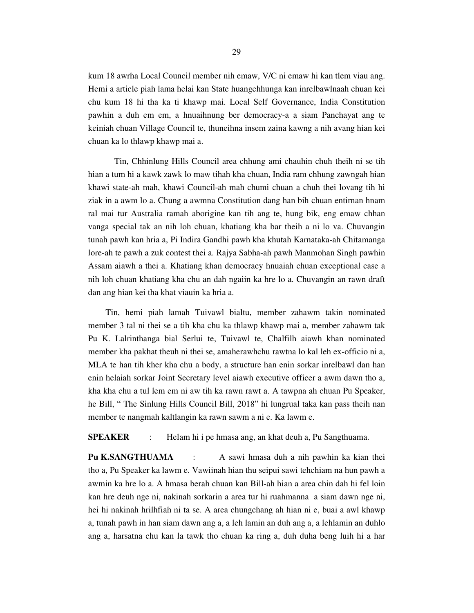kum 18 awrha Local Council member nih emaw, V/C ni emaw hi kan tlem viau ang. Hemi a article piah lama helai kan State huangchhunga kan inrelbawlnaah chuan kei chu kum 18 hi tha ka ti khawp mai. Local Self Governance, India Constitution pawhin a duh em em, a hnuaihnung ber democracy-a a siam Panchayat ang te keiniah chuan Village Council te, thuneihna insem zaina kawng a nih avang hian kei chuan ka lo thlawp khawp mai a.

 Tin, Chhinlung Hills Council area chhung ami chauhin chuh theih ni se tih hian a tum hi a kawk zawk lo maw tihah kha chuan, India ram chhung zawngah hian khawi state-ah mah, khawi Council-ah mah chumi chuan a chuh thei lovang tih hi ziak in a awm lo a. Chung a awmna Constitution dang han bih chuan entirnan hnam ral mai tur Australia ramah aborigine kan tih ang te, hung bik, eng emaw chhan vanga special tak an nih loh chuan, khatiang kha bar theih a ni lo va. Chuvangin tunah pawh kan hria a, Pi Indira Gandhi pawh kha khutah Karnataka-ah Chitamanga lore-ah te pawh a zuk contest thei a. Rajya Sabha-ah pawh Manmohan Singh pawhin Assam aiawh a thei a. Khatiang khan democracy hnuaiah chuan exceptional case a nih loh chuan khatiang kha chu an dah ngaiin ka hre lo a. Chuvangin an rawn draft dan ang hian kei tha khat viauin ka hria a.

 Tin, hemi piah lamah Tuivawl bialtu, member zahawm takin nominated member 3 tal ni thei se a tih kha chu ka thlawp khawp mai a, member zahawm tak Pu K. Lalrinthanga bial Serlui te, Tuivawl te, Chalfilh aiawh khan nominated member kha pakhat theuh ni thei se, amaherawhchu rawtna lo kal leh ex-officio ni a, MLA te han tih kher kha chu a body, a structure han enin sorkar inrelbawl dan han enin helaiah sorkar Joint Secretary level aiawh executive officer a awm dawn tho a, kha kha chu a tul lem em ni aw tih ka rawn rawt a. A tawpna ah chuan Pu Speaker, he Bill, " The Sinlung Hills Council Bill, 2018" hi lungrual taka kan pass theih nan member te nangmah kaltlangin ka rawn sawm a ni e. Ka lawm e.

**SPEAKER** : Helam hi i pe hmasa ang, an khat deuh a, Pu Sangthuama.

**Pu K.SANGTHUAMA** : A sawi hmasa duh a nih pawhin ka kian thei tho a, Pu Speaker ka lawm e. Vawiinah hian thu seipui sawi tehchiam na hun pawh a awmin ka hre lo a. A hmasa berah chuan kan Bill-ah hian a area chin dah hi fel loin kan hre deuh nge ni, nakinah sorkarin a area tur hi ruahmanna a siam dawn nge ni, hei hi nakinah hrilhfiah ni ta se. A area chungchang ah hian ni e, buai a awl khawp a, tunah pawh in han siam dawn ang a, a leh lamin an duh ang a, a lehlamin an duhlo ang a, harsatna chu kan la tawk tho chuan ka ring a, duh duha beng luih hi a har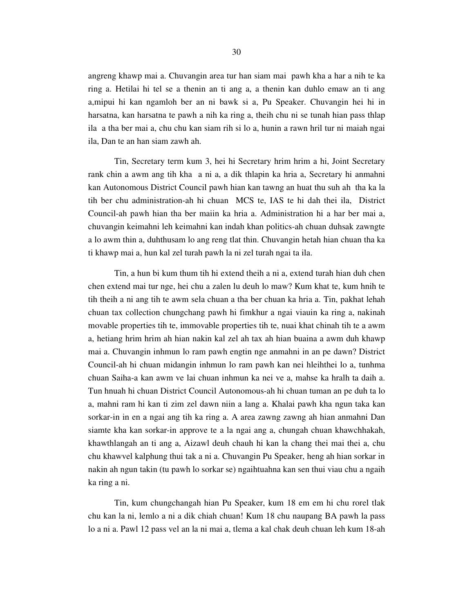angreng khawp mai a. Chuvangin area tur han siam mai pawh kha a har a nih te ka ring a. Hetilai hi tel se a thenin an ti ang a, a thenin kan duhlo emaw an ti ang a,mipui hi kan ngamloh ber an ni bawk si a, Pu Speaker. Chuvangin hei hi in harsatna, kan harsatna te pawh a nih ka ring a, theih chu ni se tunah hian pass thlap ila a tha ber mai a, chu chu kan siam rih si lo a, hunin a rawn hril tur ni maiah ngai ila, Dan te an han siam zawh ah.

 Tin, Secretary term kum 3, hei hi Secretary hrim hrim a hi, Joint Secretary rank chin a awm ang tih kha a ni a, a dik thlapin ka hria a, Secretary hi anmahni kan Autonomous District Council pawh hian kan tawng an huat thu suh ah tha ka la tih ber chu administration-ah hi chuan MCS te, IAS te hi dah thei ila, District Council-ah pawh hian tha ber maiin ka hria a. Administration hi a har ber mai a, chuvangin keimahni leh keimahni kan indah khan politics-ah chuan duhsak zawngte a lo awm thin a, duhthusam lo ang reng tlat thin. Chuvangin hetah hian chuan tha ka ti khawp mai a, hun kal zel turah pawh la ni zel turah ngai ta ila.

 Tin, a hun bi kum thum tih hi extend theih a ni a, extend turah hian duh chen chen extend mai tur nge, hei chu a zalen lu deuh lo maw? Kum khat te, kum hnih te tih theih a ni ang tih te awm sela chuan a tha ber chuan ka hria a. Tin, pakhat lehah chuan tax collection chungchang pawh hi fimkhur a ngai viauin ka ring a, nakinah movable properties tih te, immovable properties tih te, nuai khat chinah tih te a awm a, hetiang hrim hrim ah hian nakin kal zel ah tax ah hian buaina a awm duh khawp mai a. Chuvangin inhmun lo ram pawh engtin nge anmahni in an pe dawn? District Council-ah hi chuan midangin inhmun lo ram pawh kan nei hleihthei lo a, tunhma chuan Saiha-a kan awm ve lai chuan inhmun ka nei ve a, mahse ka hralh ta daih a. Tun hnuah hi chuan District Council Autonomous-ah hi chuan tuman an pe duh ta lo a, mahni ram hi kan ti zim zel dawn niin a lang a. Khalai pawh kha ngun taka kan sorkar-in in en a ngai ang tih ka ring a. A area zawng zawng ah hian anmahni Dan siamte kha kan sorkar-in approve te a la ngai ang a, chungah chuan khawchhakah, khawthlangah an ti ang a, Aizawl deuh chauh hi kan la chang thei mai thei a, chu chu khawvel kalphung thui tak a ni a. Chuvangin Pu Speaker, heng ah hian sorkar in nakin ah ngun takin (tu pawh lo sorkar se) ngaihtuahna kan sen thui viau chu a ngaih ka ring a ni.

 Tin, kum chungchangah hian Pu Speaker, kum 18 em em hi chu rorel tlak chu kan la ni, lemlo a ni a dik chiah chuan! Kum 18 chu naupang BA pawh la pass lo a ni a. Pawl 12 pass vel an la ni mai a, tlema a kal chak deuh chuan leh kum 18-ah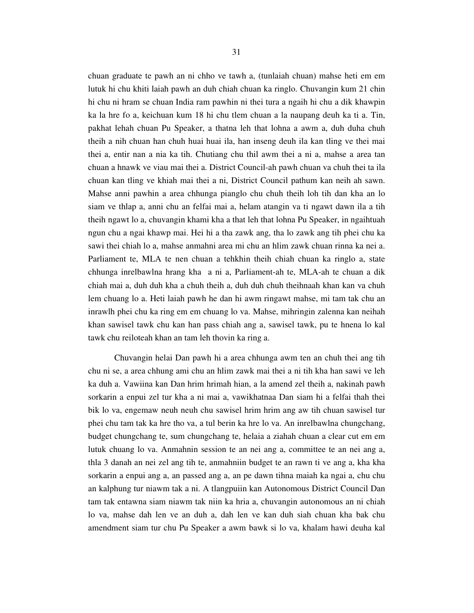chuan graduate te pawh an ni chho ve tawh a, (tunlaiah chuan) mahse heti em em lutuk hi chu khiti laiah pawh an duh chiah chuan ka ringlo. Chuvangin kum 21 chin hi chu ni hram se chuan India ram pawhin ni thei tura a ngaih hi chu a dik khawpin ka la hre fo a, keichuan kum 18 hi chu tlem chuan a la naupang deuh ka ti a. Tin, pakhat lehah chuan Pu Speaker, a thatna leh that lohna a awm a, duh duha chuh theih a nih chuan han chuh huai huai ila, han inseng deuh ila kan tling ve thei mai thei a, entir nan a nia ka tih. Chutiang chu thil awm thei a ni a, mahse a area tan chuan a hnawk ve viau mai thei a. District Council-ah pawh chuan va chuh thei ta ila chuan kan tling ve khiah mai thei a ni, District Council pathum kan neih ah sawn. Mahse anni pawhin a area chhunga pianglo chu chuh theih loh tih dan kha an lo siam ve thlap a, anni chu an felfai mai a, helam atangin va ti ngawt dawn ila a tih theih ngawt lo a, chuvangin khami kha a that leh that lohna Pu Speaker, in ngaihtuah ngun chu a ngai khawp mai. Hei hi a tha zawk ang, tha lo zawk ang tih phei chu ka sawi thei chiah lo a, mahse anmahni area mi chu an hlim zawk chuan rinna ka nei a. Parliament te, MLA te nen chuan a tehkhin theih chiah chuan ka ringlo a, state chhunga inrelbawlna hrang kha a ni a, Parliament-ah te, MLA-ah te chuan a dik chiah mai a, duh duh kha a chuh theih a, duh duh chuh theihnaah khan kan va chuh lem chuang lo a. Heti laiah pawh he dan hi awm ringawt mahse, mi tam tak chu an inrawlh phei chu ka ring em em chuang lo va. Mahse, mihringin zalenna kan neihah khan sawisel tawk chu kan han pass chiah ang a, sawisel tawk, pu te hnena lo kal tawk chu reiloteah khan an tam leh thovin ka ring a.

 Chuvangin helai Dan pawh hi a area chhunga awm ten an chuh thei ang tih chu ni se, a area chhung ami chu an hlim zawk mai thei a ni tih kha han sawi ve leh ka duh a. Vawiina kan Dan hrim hrimah hian, a la amend zel theih a, nakinah pawh sorkarin a enpui zel tur kha a ni mai a, vawikhatnaa Dan siam hi a felfai thah thei bik lo va, engemaw neuh neuh chu sawisel hrim hrim ang aw tih chuan sawisel tur phei chu tam tak ka hre tho va, a tul berin ka hre lo va. An inrelbawlna chungchang, budget chungchang te, sum chungchang te, helaia a ziahah chuan a clear cut em em lutuk chuang lo va. Anmahnin session te an nei ang a, committee te an nei ang a, thla 3 danah an nei zel ang tih te, anmahniin budget te an rawn ti ve ang a, kha kha sorkarin a enpui ang a, an passed ang a, an pe dawn tihna maiah ka ngai a, chu chu an kalphung tur niawm tak a ni. A tlangpuiin kan Autonomous District Council Dan tam tak entawna siam niawm tak niin ka hria a, chuvangin autonomous an ni chiah lo va, mahse dah len ve an duh a, dah len ve kan duh siah chuan kha bak chu amendment siam tur chu Pu Speaker a awm bawk si lo va, khalam hawi deuha kal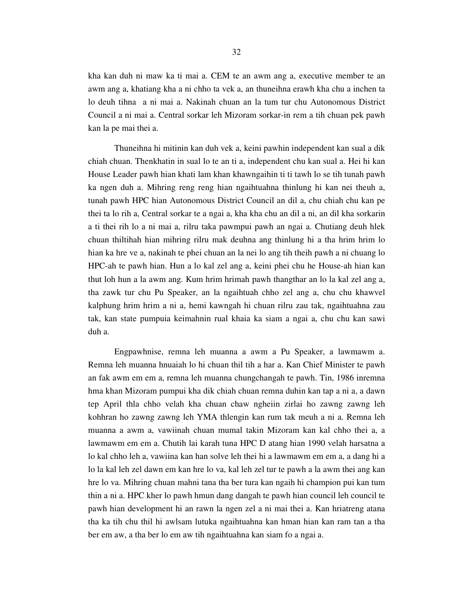kha kan duh ni maw ka ti mai a. CEM te an awm ang a, executive member te an awm ang a, khatiang kha a ni chho ta vek a, an thuneihna erawh kha chu a inchen ta lo deuh tihna a ni mai a. Nakinah chuan an la tum tur chu Autonomous District Council a ni mai a. Central sorkar leh Mizoram sorkar-in rem a tih chuan pek pawh kan la pe mai thei a.

 Thuneihna hi mitinin kan duh vek a, keini pawhin independent kan sual a dik chiah chuan. Thenkhatin in sual lo te an ti a, independent chu kan sual a. Hei hi kan House Leader pawh hian khati lam khan khawngaihin ti ti tawh lo se tih tunah pawh ka ngen duh a. Mihring reng reng hian ngaihtuahna thinlung hi kan nei theuh a, tunah pawh HPC hian Autonomous District Council an dil a, chu chiah chu kan pe thei ta lo rih a, Central sorkar te a ngai a, kha kha chu an dil a ni, an dil kha sorkarin a ti thei rih lo a ni mai a, rilru taka pawmpui pawh an ngai a. Chutiang deuh hlek chuan thiltihah hian mihring rilru mak deuhna ang thinlung hi a tha hrim hrim lo hian ka hre ve a, nakinah te phei chuan an la nei lo ang tih theih pawh a ni chuang lo HPC-ah te pawh hian. Hun a lo kal zel ang a, keini phei chu he House-ah hian kan thut loh hun a la awm ang. Kum hrim hrimah pawh thangthar an lo la kal zel ang a, tha zawk tur chu Pu Speaker, an la ngaihtuah chho zel ang a, chu chu khawvel kalphung hrim hrim a ni a, hemi kawngah hi chuan rilru zau tak, ngaihtuahna zau tak, kan state pumpuia keimahnin rual khaia ka siam a ngai a, chu chu kan sawi duh a.

 Engpawhnise, remna leh muanna a awm a Pu Speaker, a lawmawm a. Remna leh muanna hnuaiah lo hi chuan thil tih a har a. Kan Chief Minister te pawh an fak awm em em a, remna leh muanna chungchangah te pawh. Tin, 1986 inremna hma khan Mizoram pumpui kha dik chiah chuan remna duhin kan tap a ni a, a dawn tep April thla chho velah kha chuan chaw ngheiin zirlai ho zawng zawng leh kohhran ho zawng zawng leh YMA thlengin kan rum tak meuh a ni a. Remna leh muanna a awm a, vawiinah chuan mumal takin Mizoram kan kal chho thei a, a lawmawm em em a. Chutih lai karah tuna HPC D atang hian 1990 velah harsatna a lo kal chho leh a, vawiina kan han solve leh thei hi a lawmawm em em a, a dang hi a lo la kal leh zel dawn em kan hre lo va, kal leh zel tur te pawh a la awm thei ang kan hre lo va. Mihring chuan mahni tana tha ber tura kan ngaih hi champion pui kan tum thin a ni a. HPC kher lo pawh hmun dang dangah te pawh hian council leh council te pawh hian development hi an rawn la ngen zel a ni mai thei a. Kan hriatreng atana tha ka tih chu thil hi awlsam lutuka ngaihtuahna kan hman hian kan ram tan a tha ber em aw, a tha ber lo em aw tih ngaihtuahna kan siam fo a ngai a.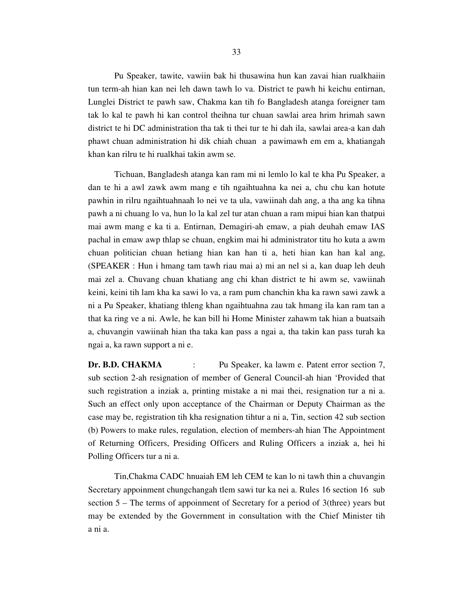Pu Speaker, tawite, vawiin bak hi thusawina hun kan zavai hian rualkhaiin tun term-ah hian kan nei leh dawn tawh lo va. District te pawh hi keichu entirnan, Lunglei District te pawh saw, Chakma kan tih fo Bangladesh atanga foreigner tam tak lo kal te pawh hi kan control theihna tur chuan sawlai area hrim hrimah sawn district te hi DC administration tha tak ti thei tur te hi dah ila, sawlai area-a kan dah phawt chuan administration hi dik chiah chuan a pawimawh em em a, khatiangah khan kan rilru te hi rualkhai takin awm se.

 Tichuan, Bangladesh atanga kan ram mi ni lemlo lo kal te kha Pu Speaker, a dan te hi a awl zawk awm mang e tih ngaihtuahna ka nei a, chu chu kan hotute pawhin in rilru ngaihtuahnaah lo nei ve ta ula, vawiinah dah ang, a tha ang ka tihna pawh a ni chuang lo va, hun lo la kal zel tur atan chuan a ram mipui hian kan thatpui mai awm mang e ka ti a. Entirnan, Demagiri-ah emaw, a piah deuhah emaw IAS pachal in emaw awp thlap se chuan, engkim mai hi administrator titu ho kuta a awm chuan politician chuan hetiang hian kan han ti a, heti hian kan han kal ang, (SPEAKER : Hun i hmang tam tawh riau mai a) mi an nel si a, kan duap leh deuh mai zel a. Chuvang chuan khatiang ang chi khan district te hi awm se, vawiinah keini, keini tih lam kha ka sawi lo va, a ram pum chanchin kha ka rawn sawi zawk a ni a Pu Speaker, khatiang thleng khan ngaihtuahna zau tak hmang ila kan ram tan a that ka ring ve a ni. Awle, he kan bill hi Home Minister zahawm tak hian a buatsaih a, chuvangin vawiinah hian tha taka kan pass a ngai a, tha takin kan pass turah ka ngai a, ka rawn support a ni e.

**Dr. B.D. CHAKMA** : Pu Speaker, ka lawm e. Patent error section 7, sub section 2-ah resignation of member of General Council-ah hian 'Provided that such registration a inziak a, printing mistake a ni mai thei, resignation tur a ni a. Such an effect only upon acceptance of the Chairman or Deputy Chairman as the case may be, registration tih kha resignation tihtur a ni a, Tin, section 42 sub section (b) Powers to make rules, regulation, election of members-ah hian The Appointment of Returning Officers, Presiding Officers and Ruling Officers a inziak a, hei hi Polling Officers tur a ni a.

 Tin,Chakma CADC hnuaiah EM leh CEM te kan lo ni tawh thin a chuvangin Secretary appoinment chungchangah tlem sawi tur ka nei a. Rules 16 section 16 sub section  $5 -$ The terms of appoinment of Secretary for a period of 3(three) years but may be extended by the Government in consultation with the Chief Minister tih a ni a.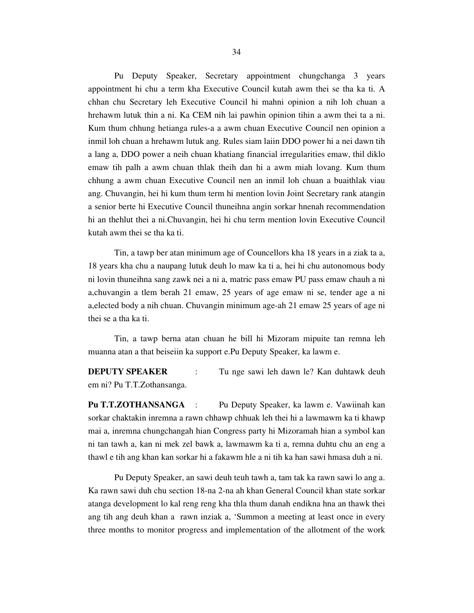Pu Deputy Speaker, Secretary appointment chungchanga 3 years appointment hi chu a term kha Executive Council kutah awm thei se tha ka ti. A chhan chu Secretary leh Executive Council hi mahni opinion a nih loh chuan a hrehawm lutuk thin a ni. Ka CEM nih lai pawhin opinion tihin a awm thei ta a ni. Kum thum chhung hetianga rules-a a awm chuan Executive Council nen opinion a inmil loh chuan a hrehawm lutuk ang. Rules siam laiin DDO power hi a nei dawn tih a lang a, DDO power a neih chuan khatiang financial irregularities emaw, thil diklo emaw tih palh a awm chuan thlak theih dan hi a awm miah lovang. Kum thum chhung a awm chuan Executive Council nen an inmil loh chuan a buaithlak viau ang. Chuvangin, hei hi kum thum term hi mention lovin Joint Secretary rank atangin a senior berte hi Executive Council thuneihna angin sorkar hnenah recommendation hi an thehlut thei a ni.Chuvangin, hei hi chu term mention lovin Executive Council kutah awm thei se tha ka ti.

 Tin, a tawp ber atan minimum age of Councellors kha 18 years in a ziak ta a, 18 years kha chu a naupang lutuk deuh lo maw ka ti a, hei hi chu autonomous body ni lovin thuneihna sang zawk nei a ni a, matric pass emaw PU pass emaw chauh a ni a,chuvangin a tlem berah 21 emaw, 25 years of age emaw ni se, tender age a ni a,elected body a nih chuan. Chuvangin minimum age-ah 21 emaw 25 years of age ni thei se a tha ka ti.

 Tin, a tawp berna atan chuan he bill hi Mizoram mipuite tan remna leh muanna atan a that beiseiin ka support e.Pu Deputy Speaker, ka lawm e.

**DEPUTY SPEAKER** : Tu nge sawi leh dawn le? Kan duhtawk deuh em ni? Pu T.T.Zothansanga.

**Pu T.T.ZOTHANSANGA** : Pu Deputy Speaker, ka lawm e. Vawiinah kan sorkar chaktakin inremna a rawn chhawp chhuak leh thei hi a lawmawm ka ti khawp mai a, inremna chungchangah hian Congress party hi Mizoramah hian a symbol kan ni tan tawh a, kan ni mek zel bawk a, lawmawm ka ti a, remna duhtu chu an eng a thawl e tih ang khan kan sorkar hi a fakawm hle a ni tih ka han sawi hmasa duh a ni.

 Pu Deputy Speaker, an sawi deuh teuh tawh a, tam tak ka rawn sawi lo ang a. Ka rawn sawi duh chu section 18-na 2-na ah khan General Council khan state sorkar atanga development lo kal reng reng kha thla thum danah endikna hna an thawk thei ang tih ang deuh khan a rawn inziak a, 'Summon a meeting at least once in every three months to monitor progress and implementation of the allotment of the work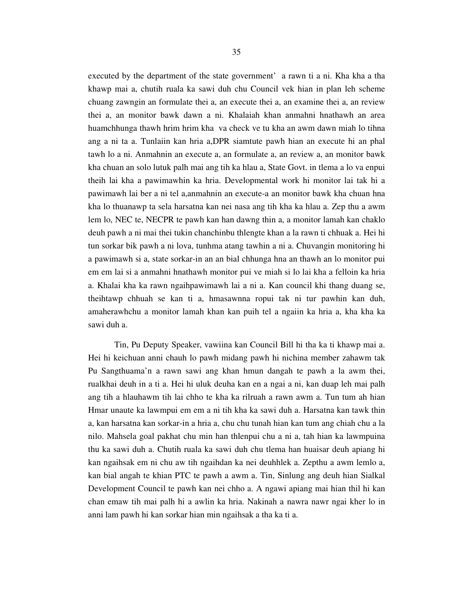executed by the department of the state government' a rawn ti a ni. Kha kha a tha khawp mai a, chutih ruala ka sawi duh chu Council vek hian in plan leh scheme chuang zawngin an formulate thei a, an execute thei a, an examine thei a, an review thei a, an monitor bawk dawn a ni. Khalaiah khan anmahni hnathawh an area huamchhunga thawh hrim hrim kha va check ve tu kha an awm dawn miah lo tihna ang a ni ta a. Tunlaiin kan hria a,DPR siamtute pawh hian an execute hi an phal tawh lo a ni. Anmahnin an execute a, an formulate a, an review a, an monitor bawk kha chuan an solo lutuk palh mai ang tih ka hlau a, State Govt. in tlema a lo va enpui theih lai kha a pawimawhin ka hria. Developmental work hi monitor lai tak hi a pawimawh lai ber a ni tel a,anmahnin an execute-a an monitor bawk kha chuan hna kha lo thuanawp ta sela harsatna kan nei nasa ang tih kha ka hlau a. Zep thu a awm lem lo, NEC te, NECPR te pawh kan han dawng thin a, a monitor lamah kan chaklo deuh pawh a ni mai thei tukin chanchinbu thlengte khan a la rawn ti chhuak a. Hei hi tun sorkar bik pawh a ni lova, tunhma atang tawhin a ni a. Chuvangin monitoring hi a pawimawh si a, state sorkar-in an an bial chhunga hna an thawh an lo monitor pui em em lai si a anmahni hnathawh monitor pui ve miah si lo lai kha a felloin ka hria a. Khalai kha ka rawn ngaihpawimawh lai a ni a. Kan council khi thang duang se, theihtawp chhuah se kan ti a, hmasawnna ropui tak ni tur pawhin kan duh, amaherawhchu a monitor lamah khan kan puih tel a ngaiin ka hria a, kha kha ka sawi duh a.

 Tin, Pu Deputy Speaker, vawiina kan Council Bill hi tha ka ti khawp mai a. Hei hi keichuan anni chauh lo pawh midang pawh hi nichina member zahawm tak Pu Sangthuama'n a rawn sawi ang khan hmun dangah te pawh a la awm thei, rualkhai deuh in a ti a. Hei hi uluk deuha kan en a ngai a ni, kan duap leh mai palh ang tih a hlauhawm tih lai chho te kha ka rilruah a rawn awm a. Tun tum ah hian Hmar unaute ka lawmpui em em a ni tih kha ka sawi duh a. Harsatna kan tawk thin a, kan harsatna kan sorkar-in a hria a, chu chu tunah hian kan tum ang chiah chu a la nilo. Mahsela goal pakhat chu min han thlenpui chu a ni a, tah hian ka lawmpuina thu ka sawi duh a. Chutih ruala ka sawi duh chu tlema han huaisar deuh apiang hi kan ngaihsak em ni chu aw tih ngaihdan ka nei deuhhlek a. Zepthu a awm lemlo a, kan bial angah te khian PTC te pawh a awm a. Tin, Sinlung ang deuh hian Sialkal Development Council te pawh kan nei chho a. A ngawi apiang mai hian thil hi kan chan emaw tih mai palh hi a awlin ka hria. Nakinah a nawra nawr ngai kher lo in anni lam pawh hi kan sorkar hian min ngaihsak a tha ka ti a.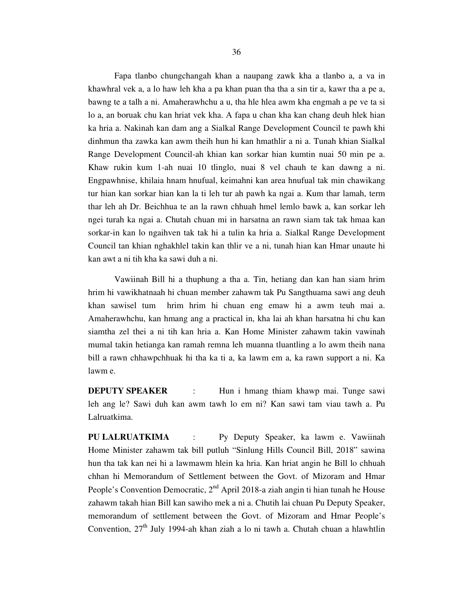Fapa tlanbo chungchangah khan a naupang zawk kha a tlanbo a, a va in khawhral vek a, a lo haw leh kha a pa khan puan tha tha a sin tir a, kawr tha a pe a, bawng te a talh a ni. Amaherawhchu a u, tha hle hlea awm kha engmah a pe ve ta si lo a, an boruak chu kan hriat vek kha. A fapa u chan kha kan chang deuh hlek hian ka hria a. Nakinah kan dam ang a Sialkal Range Development Council te pawh khi dinhmun tha zawka kan awm theih hun hi kan hmathlir a ni a. Tunah khian Sialkal Range Development Council-ah khian kan sorkar hian kumtin nuai 50 min pe a. Khaw rukin kum 1-ah nuai 10 tlinglo, nuai 8 vel chauh te kan dawng a ni. Engpawhnise, khilaia hnam hnufual, keimahni kan area hnufual tak min chawikang tur hian kan sorkar hian kan la ti leh tur ah pawh ka ngai a. Kum thar lamah, term thar leh ah Dr. Beichhua te an la rawn chhuah hmel lemlo bawk a, kan sorkar leh ngei turah ka ngai a. Chutah chuan mi in harsatna an rawn siam tak tak hmaa kan sorkar-in kan lo ngaihven tak tak hi a tulin ka hria a. Sialkal Range Development Council tan khian nghakhlel takin kan thlir ve a ni, tunah hian kan Hmar unaute hi kan awt a ni tih kha ka sawi duh a ni.

 Vawiinah Bill hi a thuphung a tha a. Tin, hetiang dan kan han siam hrim hrim hi vawikhatnaah hi chuan member zahawm tak Pu Sangthuama sawi ang deuh khan sawisel tum hrim hrim hi chuan eng emaw hi a awm teuh mai a. Amaherawhchu, kan hmang ang a practical in, kha lai ah khan harsatna hi chu kan siamtha zel thei a ni tih kan hria a. Kan Home Minister zahawm takin vawinah mumal takin hetianga kan ramah remna leh muanna tluantling a lo awm theih nana bill a rawn chhawpchhuak hi tha ka ti a, ka lawm em a, ka rawn support a ni. Ka lawm e.

**DEPUTY SPEAKER** : Hun i hmang thiam khawp mai. Tunge sawi leh ang le? Sawi duh kan awm tawh lo em ni? Kan sawi tam viau tawh a. Pu Lalruatkima.

**PU LALRUATKIMA** : Py Deputy Speaker, ka lawm e. Vawiinah Home Minister zahawm tak bill putluh "Sinlung Hills Council Bill, 2018" sawina hun tha tak kan nei hi a lawmawm hlein ka hria. Kan hriat angin he Bill lo chhuah chhan hi Memorandum of Settlement between the Govt. of Mizoram and Hmar People's Convention Democratic,  $2<sup>nd</sup>$  April 2018-a ziah angin ti hian tunah he House zahawm takah hian Bill kan sawiho mek a ni a. Chutih lai chuan Pu Deputy Speaker, memorandum of settlement between the Govt. of Mizoram and Hmar People's Convention,  $27<sup>th</sup>$  July 1994-ah khan ziah a lo ni tawh a. Chutah chuan a hlawhtlin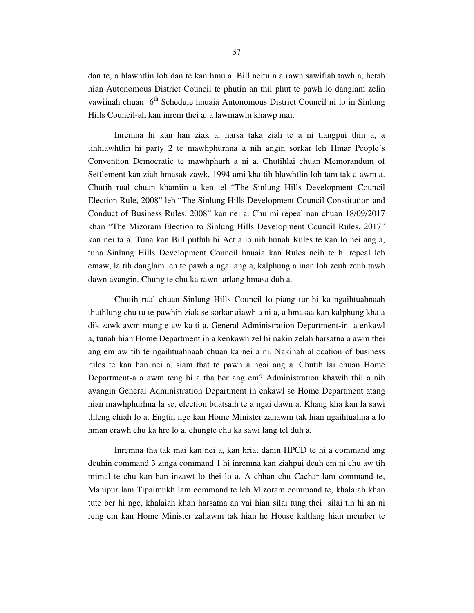dan te, a hlawhtlin loh dan te kan hmu a. Bill neituin a rawn sawifiah tawh a, hetah hian Autonomous District Council te phutin an thil phut te pawh lo danglam zelin vawiinah chuan 6<sup>th</sup> Schedule hnuaia Autonomous District Council ni lo in Sinlung Hills Council-ah kan inrem thei a, a lawmawm khawp mai.

 Inremna hi kan han ziak a, harsa taka ziah te a ni tlangpui thin a, a tihhlawhtlin hi party 2 te mawhphurhna a nih angin sorkar leh Hmar People's Convention Democratic te mawhphurh a ni a. Chutihlai chuan Memorandum of Settlement kan ziah hmasak zawk, 1994 ami kha tih hlawhtlin loh tam tak a awm a. Chutih rual chuan khamiin a ken tel "The Sinlung Hills Development Council Election Rule, 2008" leh "The Sinlung Hills Development Council Constitution and Conduct of Business Rules, 2008" kan nei a. Chu mi repeal nan chuan 18/09/2017 khan "The Mizoram Election to Sinlung Hills Development Council Rules, 2017" kan nei ta a. Tuna kan Bill putluh hi Act a lo nih hunah Rules te kan lo nei ang a, tuna Sinlung Hills Development Council hnuaia kan Rules neih te hi repeal leh emaw, la tih danglam leh te pawh a ngai ang a, kalphung a inan loh zeuh zeuh tawh dawn avangin. Chung te chu ka rawn tarlang hmasa duh a.

 Chutih rual chuan Sinlung Hills Council lo piang tur hi ka ngaihtuahnaah thuthlung chu tu te pawhin ziak se sorkar aiawh a ni a, a hmasaa kan kalphung kha a dik zawk awm mang e aw ka ti a. General Administration Department-in a enkawl a, tunah hian Home Department in a kenkawh zel hi nakin zelah harsatna a awm thei ang em aw tih te ngaihtuahnaah chuan ka nei a ni. Nakinah allocation of business rules te kan han nei a, siam that te pawh a ngai ang a. Chutih lai chuan Home Department-a a awm reng hi a tha ber ang em? Administration khawih thil a nih avangin General Administration Department in enkawl se Home Department atang hian mawhphurhna la se, election buatsaih te a ngai dawn a. Khang kha kan la sawi thleng chiah lo a. Engtin nge kan Home Minister zahawm tak hian ngaihtuahna a lo hman erawh chu ka hre lo a, chungte chu ka sawi lang tel duh a.

 Inremna tha tak mai kan nei a, kan hriat danin HPCD te hi a command ang deuhin command 3 zinga command 1 hi inremna kan ziahpui deuh em ni chu aw tih mimal te chu kan han inzawt lo thei lo a. A chhan chu Cachar lam command te, Manipur lam Tipaimukh lam command te leh Mizoram command te, khalaiah khan tute ber hi nge, khalaiah khan harsatna an vai hian silai tung thei silai tih hi an ni reng em kan Home Minister zahawm tak hian he House kaltlang hian member te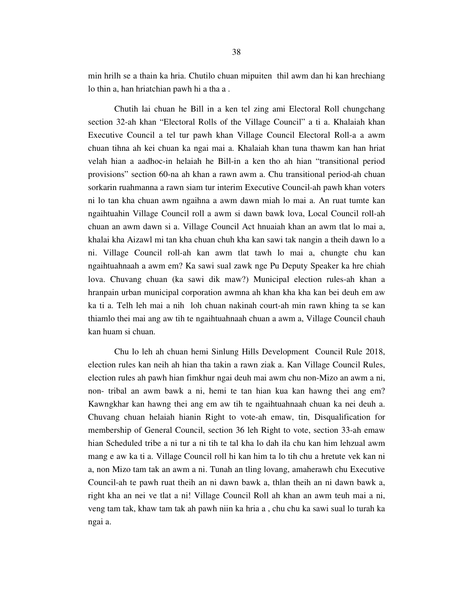min hrilh se a thain ka hria. Chutilo chuan mipuiten thil awm dan hi kan hrechiang lo thin a, han hriatchian pawh hi a tha a .

 Chutih lai chuan he Bill in a ken tel zing ami Electoral Roll chungchang section 32-ah khan "Electoral Rolls of the Village Council" a ti a. Khalaiah khan Executive Council a tel tur pawh khan Village Council Electoral Roll-a a awm chuan tihna ah kei chuan ka ngai mai a. Khalaiah khan tuna thawm kan han hriat velah hian a aadhoc-in helaiah he Bill-in a ken tho ah hian "transitional period provisions" section 60-na ah khan a rawn awm a. Chu transitional period-ah chuan sorkarin ruahmanna a rawn siam tur interim Executive Council-ah pawh khan voters ni lo tan kha chuan awm ngaihna a awm dawn miah lo mai a. An ruat tumte kan ngaihtuahin Village Council roll a awm si dawn bawk lova, Local Council roll-ah chuan an awm dawn si a. Village Council Act hnuaiah khan an awm tlat lo mai a, khalai kha Aizawl mi tan kha chuan chuh kha kan sawi tak nangin a theih dawn lo a ni. Village Council roll-ah kan awm tlat tawh lo mai a, chungte chu kan ngaihtuahnaah a awm em? Ka sawi sual zawk nge Pu Deputy Speaker ka hre chiah lova. Chuvang chuan (ka sawi dik maw?) Municipal election rules-ah khan a hranpain urban municipal corporation awmna ah khan kha kha kan bei deuh em aw ka ti a. Telh leh mai a nih loh chuan nakinah court-ah min rawn khing ta se kan thiamlo thei mai ang aw tih te ngaihtuahnaah chuan a awm a, Village Council chauh kan huam si chuan.

 Chu lo leh ah chuan hemi Sinlung Hills Development Council Rule 2018, election rules kan neih ah hian tha takin a rawn ziak a. Kan Village Council Rules, election rules ah pawh hian fimkhur ngai deuh mai awm chu non-Mizo an awm a ni, non- tribal an awm bawk a ni, hemi te tan hian kua kan hawng thei ang em? Kawngkhar kan hawng thei ang em aw tih te ngaihtuahnaah chuan ka nei deuh a. Chuvang chuan helaiah hianin Right to vote-ah emaw, tin, Disqualification for membership of General Council, section 36 leh Right to vote, section 33-ah emaw hian Scheduled tribe a ni tur a ni tih te tal kha lo dah ila chu kan him lehzual awm mang e aw ka ti a. Village Council roll hi kan him ta lo tih chu a hretute vek kan ni a, non Mizo tam tak an awm a ni. Tunah an tling lovang, amaherawh chu Executive Council-ah te pawh ruat theih an ni dawn bawk a, thlan theih an ni dawn bawk a, right kha an nei ve tlat a ni! Village Council Roll ah khan an awm teuh mai a ni, veng tam tak, khaw tam tak ah pawh niin ka hria a , chu chu ka sawi sual lo turah ka ngai a.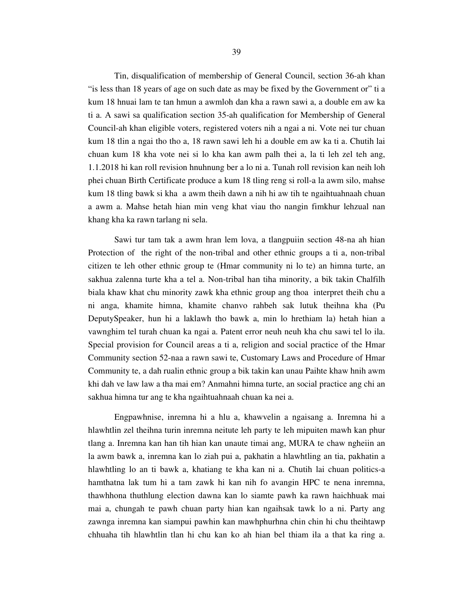Tin, disqualification of membership of General Council, section 36-ah khan "is less than 18 years of age on such date as may be fixed by the Government or" ti a kum 18 hnuai lam te tan hmun a awmloh dan kha a rawn sawi a, a double em aw ka ti a. A sawi sa qualification section 35-ah qualification for Membership of General Council-ah khan eligible voters, registered voters nih a ngai a ni. Vote nei tur chuan kum 18 tlin a ngai tho tho a, 18 rawn sawi leh hi a double em aw ka ti a. Chutih lai chuan kum 18 kha vote nei si lo kha kan awm palh thei a, la ti leh zel teh ang, 1.1.2018 hi kan roll revision hnuhnung ber a lo ni a. Tunah roll revision kan neih loh phei chuan Birth Certificate produce a kum 18 tling reng si roll-a la awm silo, mahse kum 18 tling bawk si kha a awm theih dawn a nih hi aw tih te ngaihtuahnaah chuan a awm a. Mahse hetah hian min veng khat viau tho nangin fimkhur lehzual nan khang kha ka rawn tarlang ni sela.

 Sawi tur tam tak a awm hran lem lova, a tlangpuiin section 48-na ah hian Protection of the right of the non-tribal and other ethnic groups a ti a, non-tribal citizen te leh other ethnic group te (Hmar community ni lo te) an himna turte, an sakhua zalenna turte kha a tel a. Non-tribal han tiha minority, a bik takin Chalfilh biala khaw khat chu minority zawk kha ethnic group ang thoa interpret theih chu a ni anga, khamite himna, khamite chanvo rahbeh sak lutuk theihna kha (Pu DeputySpeaker, hun hi a laklawh tho bawk a, min lo hrethiam la) hetah hian a vawnghim tel turah chuan ka ngai a. Patent error neuh neuh kha chu sawi tel lo ila. Special provision for Council areas a ti a, religion and social practice of the Hmar Community section 52-naa a rawn sawi te, Customary Laws and Procedure of Hmar Community te, a dah rualin ethnic group a bik takin kan unau Paihte khaw hnih awm khi dah ve law law a tha mai em? Anmahni himna turte, an social practice ang chi an sakhua himna tur ang te kha ngaihtuahnaah chuan ka nei a.

 Engpawhnise, inremna hi a hlu a, khawvelin a ngaisang a. Inremna hi a hlawhtlin zel theihna turin inremna neitute leh party te leh mipuiten mawh kan phur tlang a. Inremna kan han tih hian kan unaute timai ang, MURA te chaw ngheiin an la awm bawk a, inremna kan lo ziah pui a, pakhatin a hlawhtling an tia, pakhatin a hlawhtling lo an ti bawk a, khatiang te kha kan ni a. Chutih lai chuan politics-a hamthatna lak tum hi a tam zawk hi kan nih fo avangin HPC te nena inremna, thawhhona thuthlung election dawna kan lo siamte pawh ka rawn haichhuak mai mai a, chungah te pawh chuan party hian kan ngaihsak tawk lo a ni. Party ang zawnga inremna kan siampui pawhin kan mawhphurhna chin chin hi chu theihtawp chhuaha tih hlawhtlin tlan hi chu kan ko ah hian bel thiam ila a that ka ring a.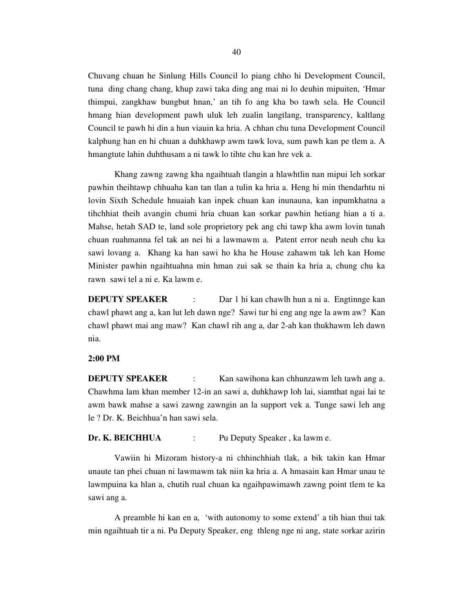Chuvang chuan he Sinlung Hills Council lo piang chho hi Development Council, tuna ding chang chang, khup zawi taka ding ang mai ni lo deuhin mipuiten, 'Hmar thimpui, zangkhaw bungbut hnan,' an tih fo ang kha bo tawh sela. He Council hmang hian development pawh uluk leh zualin langtlang, transparency, kaltlang Council te pawh hi din a hun viauin ka hria. A chhan chu tuna Development Council kalphung han en hi chuan a duhkhawp awm tawk lova, sum pawh kan pe tlem a. A hmangtute lahin duhthusam a ni tawk lo tihte chu kan hre vek a.

 Khang zawng zawng kha ngaihtuah tlangin a hlawhtlin nan mipui leh sorkar pawhin theihtawp chhuaha kan tan tlan a tulin ka hria a. Heng hi min thendarhtu ni lovin Sixth Schedule hnuaiah kan inpek chuan kan inunauna, kan inpumkhatna a tihchhiat theih avangin chumi hria chuan kan sorkar pawhin hetiang hian a ti a. Mahse, hetah SAD te, land sole proprietory pek ang chi tawp kha awm lovin tunah chuan ruahmanna fel tak an nei hi a lawmawm a. Patent error neuh neuh chu ka sawi lovang a. Khang ka han sawi ho kha he House zahawm tak leh kan Home Minister pawhin ngaihtuahna min hman zui sak se thain ka hria a, chung chu ka rawn sawi tel a ni e. Ka lawm e.

**DEPUTY SPEAKER** : Dar 1 hi kan chawlh hun a ni a. Engtinnge kan chawl phawt ang a, kan lut leh dawn nge? Sawi tur hi eng ang nge la awm aw? Kan chawl phawt mai ang maw? Kan chawl rih ang a, dar 2-ah kan thukhawm leh dawn nia.

#### **2:00 PM**

**DEPUTY SPEAKER** : Kan sawihona kan chhunzawm leh tawh ang a. Chawhma lam khan member 12-in an sawi a, duhkhawp loh lai, siamthat ngai lai te awm bawk mahse a sawi zawng zawngin an la support vek a. Tunge sawi leh ang le ? Dr. K. Beichhua'n han sawi sela.

## **Dr. K. BEICHHUA** : Pu Deputy Speaker , ka lawm e.

 Vawiin hi Mizoram history-a ni chhinchhiah tlak, a bik takin kan Hmar unaute tan phei chuan ni lawmawm tak niin ka hria a. A hmasain kan Hmar unau te lawmpuina ka hlan a, chutih rual chuan ka ngaihpawimawh zawng point tlem te ka sawi ang a.

 A preamble hi kan en a, 'with autonomy to some extend' a tih hian thui tak min ngaihtuah tir a ni. Pu Deputy Speaker, eng thleng nge ni ang, state sorkar azirin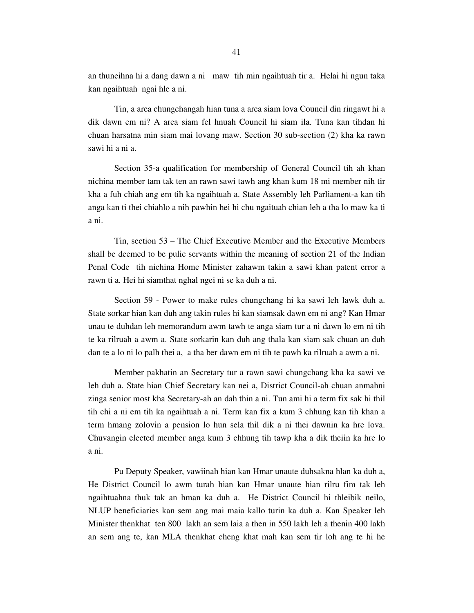an thuneihna hi a dang dawn a ni maw tih min ngaihtuah tir a. Helai hi ngun taka kan ngaihtuah ngai hle a ni.

 Tin, a area chungchangah hian tuna a area siam lova Council din ringawt hi a dik dawn em ni? A area siam fel hnuah Council hi siam ila. Tuna kan tihdan hi chuan harsatna min siam mai lovang maw. Section 30 sub-section (2) kha ka rawn sawi hi a ni a.

 Section 35-a qualification for membership of General Council tih ah khan nichina member tam tak ten an rawn sawi tawh ang khan kum 18 mi member nih tir kha a fuh chiah ang em tih ka ngaihtuah a. State Assembly leh Parliament-a kan tih anga kan ti thei chiahlo a nih pawhin hei hi chu ngaituah chian leh a tha lo maw ka ti a ni.

 Tin, section 53 – The Chief Executive Member and the Executive Members shall be deemed to be pulic servants within the meaning of section 21 of the Indian Penal Code tih nichina Home Minister zahawm takin a sawi khan patent error a rawn ti a. Hei hi siamthat nghal ngei ni se ka duh a ni.

 Section 59 - Power to make rules chungchang hi ka sawi leh lawk duh a. State sorkar hian kan duh ang takin rules hi kan siamsak dawn em ni ang? Kan Hmar unau te duhdan leh memorandum awm tawh te anga siam tur a ni dawn lo em ni tih te ka rilruah a awm a. State sorkarin kan duh ang thala kan siam sak chuan an duh dan te a lo ni lo palh thei a, a tha ber dawn em ni tih te pawh ka rilruah a awm a ni.

 Member pakhatin an Secretary tur a rawn sawi chungchang kha ka sawi ve leh duh a. State hian Chief Secretary kan nei a, District Council-ah chuan anmahni zinga senior most kha Secretary-ah an dah thin a ni. Tun ami hi a term fix sak hi thil tih chi a ni em tih ka ngaihtuah a ni. Term kan fix a kum 3 chhung kan tih khan a term hmang zolovin a pension lo hun sela thil dik a ni thei dawnin ka hre lova. Chuvangin elected member anga kum 3 chhung tih tawp kha a dik theiin ka hre lo a ni.

 Pu Deputy Speaker, vawiinah hian kan Hmar unaute duhsakna hlan ka duh a, He District Council lo awm turah hian kan Hmar unaute hian rilru fim tak leh ngaihtuahna thuk tak an hman ka duh a. He District Council hi thleibik neilo, NLUP beneficiaries kan sem ang mai maia kallo turin ka duh a. Kan Speaker leh Minister thenkhat ten 800 lakh an sem laia a then in 550 lakh leh a thenin 400 lakh an sem ang te, kan MLA thenkhat cheng khat mah kan sem tir loh ang te hi he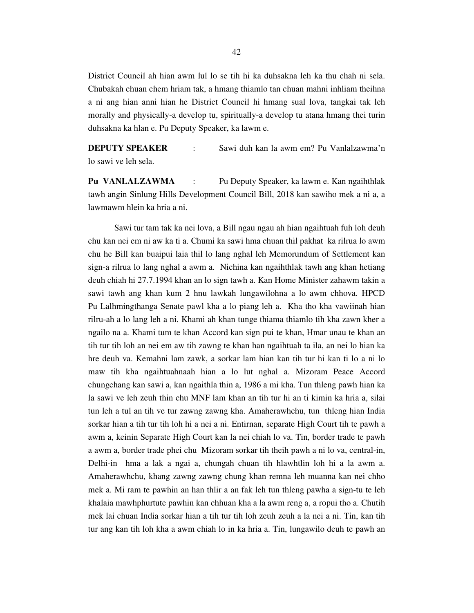District Council ah hian awm lul lo se tih hi ka duhsakna leh ka thu chah ni sela. Chubakah chuan chem hriam tak, a hmang thiamlo tan chuan mahni inhliam theihna a ni ang hian anni hian he District Council hi hmang sual lova, tangkai tak leh morally and physically-a develop tu, spiritually-a develop tu atana hmang thei turin duhsakna ka hlan e. Pu Deputy Speaker, ka lawm e.

**DEPUTY SPEAKER** : Sawi duh kan la awm em? Pu Vanlalzawma'n lo sawi ve leh sela.

**Pu VANLALZAWMA** : Pu Deputy Speaker, ka lawm e. Kan ngaihthlak tawh angin Sinlung Hills Development Council Bill, 2018 kan sawiho mek a ni a, a lawmawm hlein ka hria a ni.

 Sawi tur tam tak ka nei lova, a Bill ngau ngau ah hian ngaihtuah fuh loh deuh chu kan nei em ni aw ka ti a. Chumi ka sawi hma chuan thil pakhat ka rilrua lo awm chu he Bill kan buaipui laia thil lo lang nghal leh Memorundum of Settlement kan sign-a rilrua lo lang nghal a awm a. Nichina kan ngaihthlak tawh ang khan hetiang deuh chiah hi 27.7.1994 khan an lo sign tawh a. Kan Home Minister zahawm takin a sawi tawh ang khan kum 2 hnu lawkah lungawilohna a lo awm chhova. HPCD Pu Lalhmingthanga Senate pawl kha a lo piang leh a. Kha tho kha vawiinah hian rilru-ah a lo lang leh a ni. Khami ah khan tunge thiama thiamlo tih kha zawn kher a ngailo na a. Khami tum te khan Accord kan sign pui te khan, Hmar unau te khan an tih tur tih loh an nei em aw tih zawng te khan han ngaihtuah ta ila, an nei lo hian ka hre deuh va. Kemahni lam zawk, a sorkar lam hian kan tih tur hi kan ti lo a ni lo maw tih kha ngaihtuahnaah hian a lo lut nghal a. Mizoram Peace Accord chungchang kan sawi a, kan ngaithla thin a, 1986 a mi kha. Tun thleng pawh hian ka la sawi ve leh zeuh thin chu MNF lam khan an tih tur hi an ti kimin ka hria a, silai tun leh a tul an tih ve tur zawng zawng kha. Amaherawhchu, tun thleng hian India sorkar hian a tih tur tih loh hi a nei a ni. Entirnan, separate High Court tih te pawh a awm a, keinin Separate High Court kan la nei chiah lo va. Tin, border trade te pawh a awm a, border trade phei chu Mizoram sorkar tih theih pawh a ni lo va, central-in, Delhi-in hma a lak a ngai a, chungah chuan tih hlawhtlin loh hi a la awm a. Amaherawhchu, khang zawng zawng chung khan remna leh muanna kan nei chho mek a. Mi ram te pawhin an han thlir a an fak leh tun thleng pawha a sign-tu te leh khalaia mawhphurtute pawhin kan chhuan kha a la awm reng a, a ropui tho a. Chutih mek lai chuan India sorkar hian a tih tur tih loh zeuh zeuh a la nei a ni. Tin, kan tih tur ang kan tih loh kha a awm chiah lo in ka hria a. Tin, lungawilo deuh te pawh an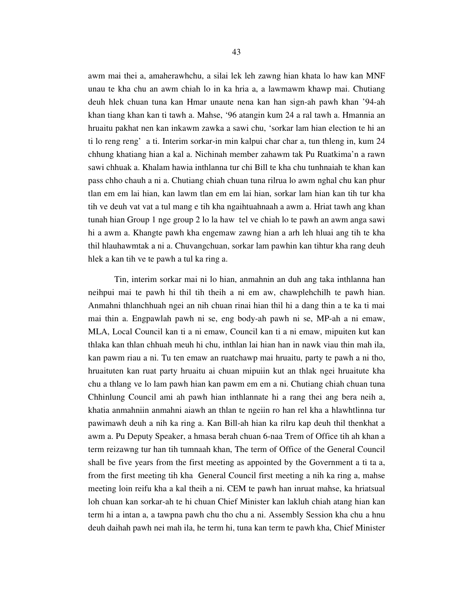awm mai thei a, amaherawhchu, a silai lek leh zawng hian khata lo haw kan MNF unau te kha chu an awm chiah lo in ka hria a, a lawmawm khawp mai. Chutiang deuh hlek chuan tuna kan Hmar unaute nena kan han sign-ah pawh khan '94-ah khan tiang khan kan ti tawh a. Mahse, '96 atangin kum 24 a ral tawh a. Hmannia an hruaitu pakhat nen kan inkawm zawka a sawi chu, 'sorkar lam hian election te hi an ti lo reng reng' a ti. Interim sorkar-in min kalpui char char a, tun thleng in, kum 24 chhung khatiang hian a kal a. Nichinah member zahawm tak Pu Ruatkima'n a rawn sawi chhuak a. Khalam hawia inthlanna tur chi Bill te kha chu tunhnaiah te khan kan pass chho chauh a ni a. Chutiang chiah chuan tuna rilrua lo awm nghal chu kan phur tlan em em lai hian, kan lawm tlan em em lai hian, sorkar lam hian kan tih tur kha tih ve deuh vat vat a tul mang e tih kha ngaihtuahnaah a awm a. Hriat tawh ang khan tunah hian Group 1 nge group 2 lo la haw tel ve chiah lo te pawh an awm anga sawi

hi a awm a. Khangte pawh kha engemaw zawng hian a arh leh hluai ang tih te kha thil hlauhawmtak a ni a. Chuvangchuan, sorkar lam pawhin kan tihtur kha rang deuh hlek a kan tih ve te pawh a tul ka ring a.

 Tin, interim sorkar mai ni lo hian, anmahnin an duh ang taka inthlanna han neihpui mai te pawh hi thil tih theih a ni em aw, chawplehchilh te pawh hian. Anmahni thlanchhuah ngei an nih chuan rinai hian thil hi a dang thin a te ka ti mai mai thin a. Engpawlah pawh ni se, eng body-ah pawh ni se, MP-ah a ni emaw, MLA, Local Council kan ti a ni emaw, Council kan ti a ni emaw, mipuiten kut kan thlaka kan thlan chhuah meuh hi chu, inthlan lai hian han in nawk viau thin mah ila, kan pawm riau a ni. Tu ten emaw an ruatchawp mai hruaitu, party te pawh a ni tho, hruaituten kan ruat party hruaitu ai chuan mipuiin kut an thlak ngei hruaitute kha chu a thlang ve lo lam pawh hian kan pawm em em a ni. Chutiang chiah chuan tuna Chhinlung Council ami ah pawh hian inthlannate hi a rang thei ang bera neih a, khatia anmahniin anmahni aiawh an thlan te ngeiin ro han rel kha a hlawhtlinna tur pawimawh deuh a nih ka ring a. Kan Bill-ah hian ka rilru kap deuh thil thenkhat a awm a. Pu Deputy Speaker, a hmasa berah chuan 6-naa Trem of Office tih ah khan a term reizawng tur han tih tumnaah khan, The term of Office of the General Council shall be five years from the first meeting as appointed by the Government a ti ta a, from the first meeting tih kha General Council first meeting a nih ka ring a, mahse meeting loin reifu kha a kal theih a ni. CEM te pawh han inruat mahse, ka hriatsual loh chuan kan sorkar-ah te hi chuan Chief Minister kan lakluh chiah atang hian kan term hi a intan a, a tawpna pawh chu tho chu a ni. Assembly Session kha chu a hnu deuh daihah pawh nei mah ila, he term hi, tuna kan term te pawh kha, Chief Minister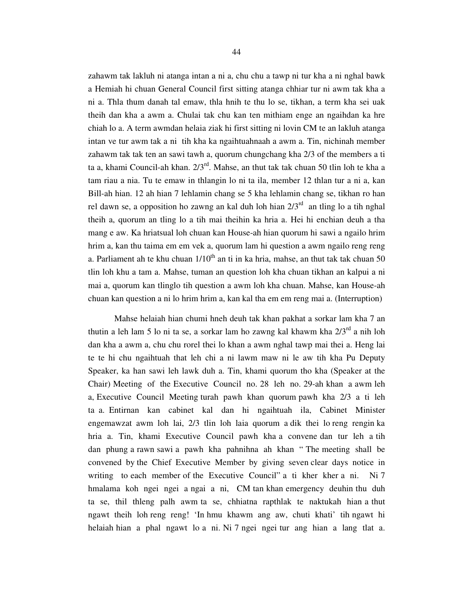zahawm tak lakluh ni atanga intan a ni a, chu chu a tawp ni tur kha a ni nghal bawk a Hemiah hi chuan General Council first sitting atanga chhiar tur ni awm tak kha a ni a. Thla thum danah tal emaw, thla hnih te thu lo se, tikhan, a term kha sei uak theih dan kha a awm a. Chulai tak chu kan ten mithiam enge an ngaihdan ka hre chiah lo a. A term awmdan helaia ziak hi first sitting ni lovin CM te an lakluh atanga intan ve tur awm tak a ni tih kha ka ngaihtuahnaah a awm a. Tin, nichinah member zahawm tak tak ten an sawi tawh a, quorum chungchang kha 2/3 of the members a ti ta a, khami Council-ah khan.  $2/3^{rd}$ . Mahse, an thut tak tak chuan 50 tlin loh te kha a tam riau a nia. Tu te emaw in thlangin lo ni ta ila, member 12 thlan tur a ni a, kan Bill-ah hian. 12 ah hian 7 lehlamin chang se 5 kha lehlamin chang se, tikhan ro han rel dawn se, a opposition ho zawng an kal duh loh hian  $2/3<sup>rd</sup>$  an tling lo a tih nghal theih a, quorum an tling lo a tih mai theihin ka hria a. Hei hi enchian deuh a tha mang e aw. Ka hriatsual loh chuan kan House-ah hian quorum hi sawi a ngailo hrim hrim a, kan thu taima em em vek a, quorum lam hi question a awm ngailo reng reng a. Parliament ah te khu chuan  $1/10<sup>th</sup>$  an ti in ka hria, mahse, an thut tak tak chuan 50 tlin loh khu a tam a. Mahse, tuman an question loh kha chuan tikhan an kalpui a ni mai a, quorum kan tlinglo tih question a awm loh kha chuan. Mahse, kan House-ah chuan kan question a ni lo hrim hrim a, kan kal tha em em reng mai a. (Interruption)

 Mahse helaiah hian chumi hneh deuh tak khan pakhat a sorkar lam kha 7 an thutin a leh lam 5 lo ni ta se, a sorkar lam ho zawng kal khawm kha  $2/3^{rd}$  a nih loh dan kha a awm a, chu chu rorel thei lo khan a awm nghal tawp mai thei a. Heng lai te te hi chu ngaihtuah that leh chi a ni lawm maw ni le aw tih kha Pu Deputy Speaker, ka han sawi leh lawk duh a. Tin, khami quorum tho kha (Speaker at the Chair) Meeting of the Executive Council no. 28 leh no. 29-ah khan a awm leh a, Executive Council Meeting turah pawh khan quorum pawh kha 2/3 a ti leh ta a. Entirnan kan cabinet kal dan hi ngaihtuah ila, Cabinet Minister engemawzat awm loh lai, 2/3 tlin loh laia quorum a dik thei lo reng rengin ka hria a. Tin, khami Executive Council pawh kha a convene dan tur leh a tih dan phung a rawn sawi a pawh kha pahnihna ah khan " The meeting shall be convened by the Chief Executive Member by giving seven clear days notice in writing to each member of the Executive Council" a ti kher kher a ni. Ni 7 hmalama koh ngei ngei a ngai a ni, CM tan khan emergency deuhin thu duh ta se, thil thleng palh awm ta se, chhiatna rapthlak te naktukah hian a thut ngawt theih loh reng reng! 'In hmu khawm ang aw, chuti khati' tih ngawt hi helaiah hian a phal ngawt lo a ni. Ni 7 ngei ngei tur ang hian a lang tlat a.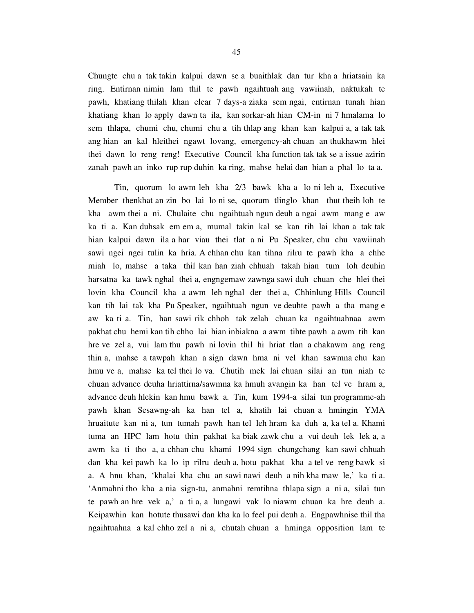Chungte chu a tak takin kalpui dawn se a buaithlak dan tur kha a hriatsain ka ring. Entirnan nimin lam thil te pawh ngaihtuah ang vawiinah, naktukah te pawh, khatiang thilah khan clear 7 days-a ziaka sem ngai, entirnan tunah hian khatiang khan lo apply dawn ta ila, kan sorkar-ah hian CM-in ni 7 hmalama lo sem thlapa, chumi chu, chumi chu a tih thlap ang khan kan kalpui a, a tak tak ang hian an kal hleithei ngawt lovang, emergency-ah chuan an thukhawm hlei thei dawn lo reng reng! Executive Council kha function tak tak se a issue azirin zanah pawh an inko rup rup duhin ka ring, mahse helai dan hian a phal lo ta a.

 Tin, quorum lo awm leh kha 2/3 bawk kha a lo ni leh a, Executive Member thenkhat an zin bo lai lo ni se, quorum tlinglo khan thut theih loh te kha awm thei a ni. Chulaite chu ngaihtuah ngun deuh a ngai awm mang e aw ka ti a. Kan duhsak em em a, mumal takin kal se kan tih lai khan a tak tak hian kalpui dawn ila a har viau thei tlat a ni Pu Speaker, chu chu vawiinah sawi ngei ngei tulin ka hria. A chhan chu kan tihna rilru te pawh kha a chhe miah lo, mahse a taka thil kan han ziah chhuah takah hian tum loh deuhin harsatna ka tawk nghal thei a, engngemaw zawnga sawi duh chuan che hlei thei lovin kha Council kha a awm leh nghal der thei a, Chhinlung Hills Council kan tih lai tak kha Pu Speaker, ngaihtuah ngun ve deuhte pawh a tha mang e aw ka ti a. Tin, han sawi rik chhoh tak zelah chuan ka ngaihtuahnaa awm pakhat chu hemi kan tih chho lai hian inbiakna a awm tihte pawh a awm tih kan hre ve zel a, vui lam thu pawh ni lovin thil hi hriat tlan a chakawm ang reng thin a, mahse a tawpah khan a sign dawn hma ni vel khan sawmna chu kan hmu ve a, mahse ka tel thei lo va. Chutih mek lai chuan silai an tun niah te chuan advance deuha hriattirna/sawmna ka hmuh avangin ka han tel ve hram a, advance deuh hlekin kan hmu bawk a. Tin, kum 1994-a silai tun programme-ah pawh khan Sesawng-ah ka han tel a, khatih lai chuan a hmingin YMA hruaitute kan ni a, tun tumah pawh han tel leh hram ka duh a, ka tel a. Khami tuma an HPC lam hotu thin pakhat ka biak zawk chu a vui deuh lek lek a, a awm ka ti tho a, a chhan chu khami 1994 sign chungchang kan sawi chhuah dan kha kei pawh ka lo ip rilru deuh a, hotu pakhat kha a tel ve reng bawk si a. A hnu khan, 'khalai kha chu an sawi nawi deuh a nih kha maw le,' ka ti a. 'Anmahni tho kha a nia sign-tu, anmahni remtihna thlapa sign a ni a, silai tun te pawh an hre vek a,' a ti a, a lungawi vak lo niawm chuan ka hre deuh a. Keipawhin kan hotute thusawi dan kha ka lo feel pui deuh a. Engpawhnise thil tha ngaihtuahna a kal chho zel a ni a, chutah chuan a hminga opposition lam te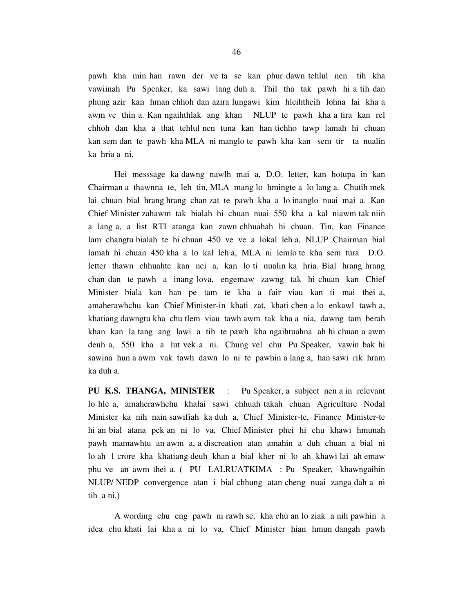pawh kha min han rawn der ve ta se kan phur dawn tehlul nen tih kha vawiinah Pu Speaker, ka sawi lang duh a. Thil tha tak pawh hi a tih dan phung azir kan hman chhoh dan azira lungawi kim hleihtheih lohna lai kha a awm ve thin a. Kan ngaihthlak ang khan NLUP te pawh kha a tira kan rel chhoh dan kha a that tehlul nen tuna kan han tichho tawp lamah hi chuan kan sem dan te pawh kha MLA ni manglo te pawh kha kan sem tir ta nualin ka hria a ni.

 Hei messsage ka dawng nawlh mai a, D.O. letter, kan hotupa in kan Chairman a thawnna te, leh tin, MLA mang lo hmingte a lo lang a. Chutih mek lai chuan bial hrang hrang chan zat te pawh kha a lo inanglo nuai mai a. Kan Chief Minister zahawm tak bialah hi chuan nuai 550 kha a kal niawm tak niin a lang a, a list RTI atanga kan zawn chhuahah hi chuan. Tin, kan Finance lam changtu bialah te hi chuan 450 ve ve a lokal leh a, NLUP Chairman bial lamah hi chuan 450 kha a lo kal leh a, MLA ni lemlo te kha sem tura D.O. letter thawn chhuahte kan nei a, kan lo ti nualin ka hria. Bial hrang hrang chan dan te pawh a inang lova, engemaw zawng tak hi chuan kan Chief Minister biala kan han pe tam te kha a fair viau kan ti mai thei a, amaherawhchu kan Chief Minister-in khati zat, khati chen a lo enkawl tawh a, khatiang dawngtu kha chu tlem viau tawh awm tak kha a nia, dawng tam berah khan kan la tang ang lawi a tih te pawh kha ngaihtuahna ah hi chuan a awm deuh a, 550 kha a lut vek a ni. Chung vel chu Pu Speaker, vawin bak hi sawina hun a awm vak tawh dawn lo ni te pawhin a lang a, han sawi rik hram ka duh a.

**PU K.S. THANGA, MINISTER** : Pu Speaker, a subject nen a in relevant lo hle a, amaherawhchu khalai sawi chhuah takah chuan Agriculture Nodal Minister ka nih nain sawifiah ka duh a, Chief Minister-te, Finance Minister-te hi an bial atana pek an ni lo va, Chief Minister phei hi chu khawi hmunah pawh mamawhtu an awm a, a discreation atan amahin a duh chuan a bial ni lo ah 1 crore kha khatiang deuh khan a bial kher ni lo ah khawi lai ah emaw phu ve an awm thei a. ( PU LALRUATKIMA : Pu Speaker, khawngaihin NLUP/ NEDP convergence atan i bial chhung atan cheng nuai zanga dah a ni tih a ni.)

 A wording chu eng pawh ni rawh se, kha chu an lo ziak a nih pawhin a idea chu khati lai kha a ni lo va, Chief Minister hian hmun dangah pawh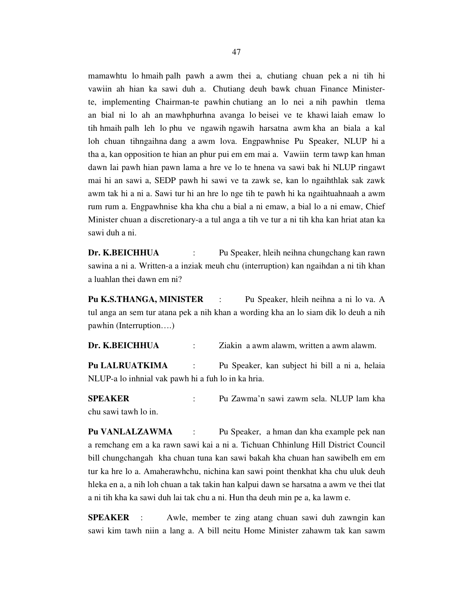mamawhtu lo hmaih palh pawh a awm thei a, chutiang chuan pek a ni tih hi vawiin ah hian ka sawi duh a. Chutiang deuh bawk chuan Finance Ministerte, implementing Chairman-te pawhin chutiang an lo nei a nih pawhin tlema an bial ni lo ah an mawhphurhna avanga lo beisei ve te khawi laiah emaw lo tih hmaih palh leh lo phu ve ngawih ngawih harsatna awm kha an biala a kal loh chuan tihngaihna dang a awm lova. Engpawhnise Pu Speaker, NLUP hi a tha a, kan opposition te hian an phur pui em em mai a. Vawiin term tawp kan hman dawn lai pawh hian pawn lama a hre ve lo te hnena va sawi bak hi NLUP ringawt mai hi an sawi a, SEDP pawh hi sawi ve ta zawk se, kan lo ngaihthlak sak zawk awm tak hi a ni a. Sawi tur hi an hre lo nge tih te pawh hi ka ngaihtuahnaah a awm rum rum a. Engpawhnise kha kha chu a bial a ni emaw, a bial lo a ni emaw, Chief Minister chuan a discretionary-a a tul anga a tih ve tur a ni tih kha kan hriat atan ka sawi duh a ni.

**Dr. K.BEICHHUA** : Pu Speaker, hleih neihna chungchang kan rawn sawina a ni a. Written-a a inziak meuh chu (interruption) kan ngaihdan a ni tih khan a luahlan thei dawn em ni?

**Pu K.S.THANGA, MINISTER** : Pu Speaker, hleih neihna a ni lo va. A tul anga an sem tur atana pek a nih khan a wording kha an lo siam dik lo deuh a nih pawhin (Interruption….)

**Dr. K.BEICHHUA** : Ziakin a awm alawm, written a awm alawm.

**Pu LALRUATKIMA** : Pu Speaker, kan subject hi bill a ni a, helaia NLUP-a lo inhnial vak pawh hi a fuh lo in ka hria.

**SPEAKER** : Pu Zawma'n sawi zawm sela. NLUP lam kha chu sawi tawh lo in.

**Pu VANLALZAWMA** : Pu Speaker, a hman dan kha example pek nan a remchang em a ka rawn sawi kai a ni a. Tichuan Chhinlung Hill District Council bill chungchangah kha chuan tuna kan sawi bakah kha chuan han sawibelh em em tur ka hre lo a. Amaherawhchu, nichina kan sawi point thenkhat kha chu uluk deuh hleka en a, a nih loh chuan a tak takin han kalpui dawn se harsatna a awm ve thei tlat a ni tih kha ka sawi duh lai tak chu a ni. Hun tha deuh min pe a, ka lawm e.

**SPEAKER** : Awle, member te zing atang chuan sawi duh zawngin kan sawi kim tawh niin a lang a. A bill neitu Home Minister zahawm tak kan sawm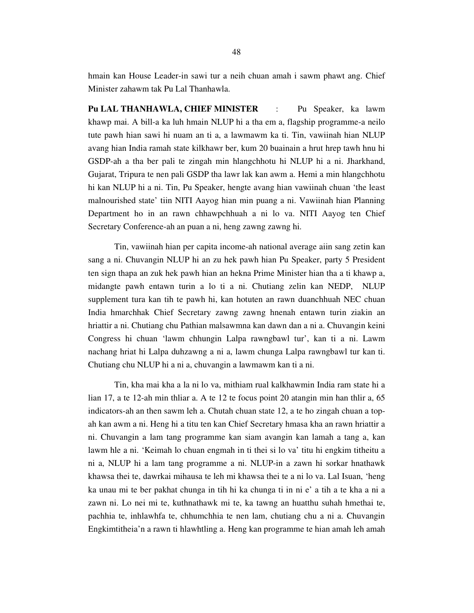hmain kan House Leader-in sawi tur a neih chuan amah i sawm phawt ang. Chief Minister zahawm tak Pu Lal Thanhawla.

**Pu LAL THANHAWLA, CHIEF MINISTER** : Pu Speaker, ka lawm khawp mai. A bill-a ka luh hmain NLUP hi a tha em a, flagship programme-a neilo tute pawh hian sawi hi nuam an ti a, a lawmawm ka ti. Tin, vawiinah hian NLUP avang hian India ramah state kilkhawr ber, kum 20 buainain a hrut hrep tawh hnu hi GSDP-ah a tha ber pali te zingah min hlangchhotu hi NLUP hi a ni. Jharkhand, Gujarat, Tripura te nen pali GSDP tha lawr lak kan awm a. Hemi a min hlangchhotu hi kan NLUP hi a ni. Tin, Pu Speaker, hengte avang hian vawiinah chuan 'the least malnourished state' tiin NITI Aayog hian min puang a ni. Vawiinah hian Planning Department ho in an rawn chhawpchhuah a ni lo va. NITI Aayog ten Chief Secretary Conference-ah an puan a ni, heng zawng zawng hi.

 Tin, vawiinah hian per capita income-ah national average aiin sang zetin kan sang a ni. Chuvangin NLUP hi an zu hek pawh hian Pu Speaker, party 5 President ten sign thapa an zuk hek pawh hian an hekna Prime Minister hian tha a ti khawp a, midangte pawh entawn turin a lo ti a ni. Chutiang zelin kan NEDP, NLUP supplement tura kan tih te pawh hi, kan hotuten an rawn duanchhuah NEC chuan India hmarchhak Chief Secretary zawng zawng hnenah entawn turin ziakin an hriattir a ni. Chutiang chu Pathian malsawmna kan dawn dan a ni a. Chuvangin keini Congress hi chuan 'lawm chhungin Lalpa rawngbawl tur', kan ti a ni. Lawm nachang hriat hi Lalpa duhzawng a ni a, lawm chunga Lalpa rawngbawl tur kan ti. Chutiang chu NLUP hi a ni a, chuvangin a lawmawm kan ti a ni.

 Tin, kha mai kha a la ni lo va, mithiam rual kalkhawmin India ram state hi a lian 17, a te 12-ah min thliar a. A te 12 te focus point 20 atangin min han thlir a, 65 indicators-ah an then sawm leh a. Chutah chuan state 12, a te ho zingah chuan a topah kan awm a ni. Heng hi a titu ten kan Chief Secretary hmasa kha an rawn hriattir a ni. Chuvangin a lam tang programme kan siam avangin kan lamah a tang a, kan lawm hle a ni. 'Keimah lo chuan engmah in ti thei si lo va' titu hi engkim titheitu a ni a, NLUP hi a lam tang programme a ni. NLUP-in a zawn hi sorkar hnathawk khawsa thei te, dawrkai mihausa te leh mi khawsa thei te a ni lo va. Lal Isuan, 'heng ka unau mi te ber pakhat chunga in tih hi ka chunga ti in ni e' a tih a te kha a ni a zawn ni. Lo nei mi te, kuthnathawk mi te, ka tawng an huatthu suhah hmethai te, pachhia te, inhlawhfa te, chhumchhia te nen lam, chutiang chu a ni a. Chuvangin Engkimtitheia'n a rawn ti hlawhtling a. Heng kan programme te hian amah leh amah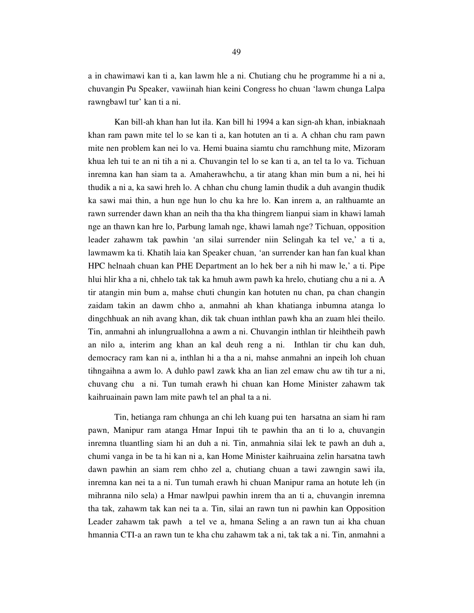a in chawimawi kan ti a, kan lawm hle a ni. Chutiang chu he programme hi a ni a, chuvangin Pu Speaker, vawiinah hian keini Congress ho chuan 'lawm chunga Lalpa rawngbawl tur' kan ti a ni.

 Kan bill-ah khan han lut ila. Kan bill hi 1994 a kan sign-ah khan, inbiaknaah khan ram pawn mite tel lo se kan ti a, kan hotuten an ti a. A chhan chu ram pawn mite nen problem kan nei lo va. Hemi buaina siamtu chu ramchhung mite, Mizoram khua leh tui te an ni tih a ni a. Chuvangin tel lo se kan ti a, an tel ta lo va. Tichuan inremna kan han siam ta a. Amaherawhchu, a tir atang khan min bum a ni, hei hi thudik a ni a, ka sawi hreh lo. A chhan chu chung lamin thudik a duh avangin thudik ka sawi mai thin, a hun nge hun lo chu ka hre lo. Kan inrem a, an ralthuamte an rawn surrender dawn khan an neih tha tha kha thingrem lianpui siam in khawi lamah nge an thawn kan hre lo, Parbung lamah nge, khawi lamah nge? Tichuan, opposition leader zahawm tak pawhin 'an silai surrender niin Selingah ka tel ve,' a ti a, lawmawm ka ti. Khatih laia kan Speaker chuan, 'an surrender kan han fan kual khan HPC helnaah chuan kan PHE Department an lo hek ber a nih hi maw le,' a ti. Pipe hlui hlir kha a ni, chhelo tak tak ka hmuh awm pawh ka hrelo, chutiang chu a ni a. A tir atangin min bum a, mahse chuti chungin kan hotuten nu chan, pa chan changin zaidam takin an dawm chho a, anmahni ah khan khatianga inbumna atanga lo dingchhuak an nih avang khan, dik tak chuan inthlan pawh kha an zuam hlei theilo. Tin, anmahni ah inlungruallohna a awm a ni. Chuvangin inthlan tir hleihtheih pawh an nilo a, interim ang khan an kal deuh reng a ni. Inthlan tir chu kan duh, democracy ram kan ni a, inthlan hi a tha a ni, mahse anmahni an inpeih loh chuan tihngaihna a awm lo. A duhlo pawl zawk kha an lian zel emaw chu aw tih tur a ni, chuvang chu a ni. Tun tumah erawh hi chuan kan Home Minister zahawm tak kaihruainain pawn lam mite pawh tel an phal ta a ni.

 Tin, hetianga ram chhunga an chi leh kuang pui ten harsatna an siam hi ram pawn, Manipur ram atanga Hmar Inpui tih te pawhin tha an ti lo a, chuvangin inremna tluantling siam hi an duh a ni. Tin, anmahnia silai lek te pawh an duh a, chumi vanga in be ta hi kan ni a, kan Home Minister kaihruaina zelin harsatna tawh dawn pawhin an siam rem chho zel a, chutiang chuan a tawi zawngin sawi ila, inremna kan nei ta a ni. Tun tumah erawh hi chuan Manipur rama an hotute leh (in mihranna nilo sela) a Hmar nawlpui pawhin inrem tha an ti a, chuvangin inremna tha tak, zahawm tak kan nei ta a. Tin, silai an rawn tun ni pawhin kan Opposition Leader zahawm tak pawh a tel ve a, hmana Seling a an rawn tun ai kha chuan hmannia CTI-a an rawn tun te kha chu zahawm tak a ni, tak tak a ni. Tin, anmahni a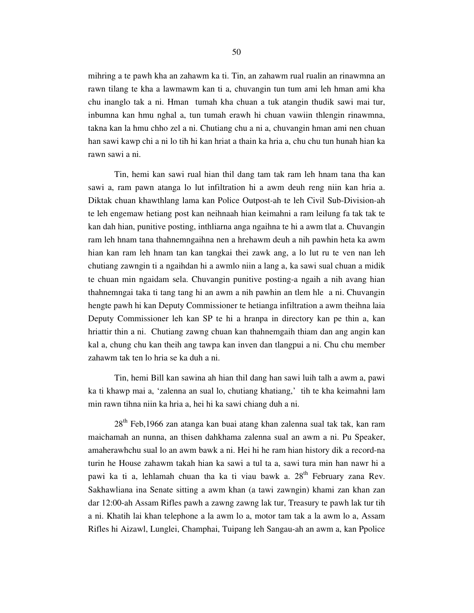mihring a te pawh kha an zahawm ka ti. Tin, an zahawm rual rualin an rinawmna an rawn tilang te kha a lawmawm kan ti a, chuvangin tun tum ami leh hman ami kha chu inanglo tak a ni. Hman tumah kha chuan a tuk atangin thudik sawi mai tur, inbumna kan hmu nghal a, tun tumah erawh hi chuan vawiin thlengin rinawmna, takna kan la hmu chho zel a ni. Chutiang chu a ni a, chuvangin hman ami nen chuan han sawi kawp chi a ni lo tih hi kan hriat a thain ka hria a, chu chu tun hunah hian ka rawn sawi a ni.

 Tin, hemi kan sawi rual hian thil dang tam tak ram leh hnam tana tha kan sawi a, ram pawn atanga lo lut infiltration hi a awm deuh reng niin kan hria a. Diktak chuan khawthlang lama kan Police Outpost-ah te leh Civil Sub-Division-ah te leh engemaw hetiang post kan neihnaah hian keimahni a ram leilung fa tak tak te kan dah hian, punitive posting, inthliarna anga ngaihna te hi a awm tlat a. Chuvangin ram leh hnam tana thahnemngaihna nen a hrehawm deuh a nih pawhin heta ka awm hian kan ram leh hnam tan kan tangkai thei zawk ang, a lo lut ru te ven nan leh chutiang zawngin ti a ngaihdan hi a awmlo niin a lang a, ka sawi sual chuan a midik te chuan min ngaidam sela. Chuvangin punitive posting-a ngaih a nih avang hian thahnemngai taka ti tang tang hi an awm a nih pawhin an tlem hle a ni. Chuvangin hengte pawh hi kan Deputy Commissioner te hetianga infiltration a awm theihna laia Deputy Commissioner leh kan SP te hi a hranpa in directory kan pe thin a, kan hriattir thin a ni. Chutiang zawng chuan kan thahnemgaih thiam dan ang angin kan kal a, chung chu kan theih ang tawpa kan inven dan tlangpui a ni. Chu chu member zahawm tak ten lo hria se ka duh a ni.

 Tin, hemi Bill kan sawina ah hian thil dang han sawi luih talh a awm a, pawi ka ti khawp mai a, 'zalenna an sual lo, chutiang khatiang,' tih te kha keimahni lam min rawn tihna niin ka hria a, hei hi ka sawi chiang duh a ni.

28<sup>th</sup> Feb,1966 zan atanga kan buai atang khan zalenna sual tak tak, kan ram maichamah an nunna, an thisen dahkhama zalenna sual an awm a ni. Pu Speaker, amaherawhchu sual lo an awm bawk a ni. Hei hi he ram hian history dik a record-na turin he House zahawm takah hian ka sawi a tul ta a, sawi tura min han nawr hi a pawi ka ti a, lehlamah chuan tha ka ti viau bawk a.  $28<sup>th</sup>$  February zana Rev. Sakhawliana ina Senate sitting a awm khan (a tawi zawngin) khami zan khan zan dar 12:00-ah Assam Rifles pawh a zawng zawng lak tur, Treasury te pawh lak tur tih a ni. Khatih lai khan telephone a la awm lo a, motor tam tak a la awm lo a, Assam Rifles hi Aizawl, Lunglei, Champhai, Tuipang leh Sangau-ah an awm a, kan Ppolice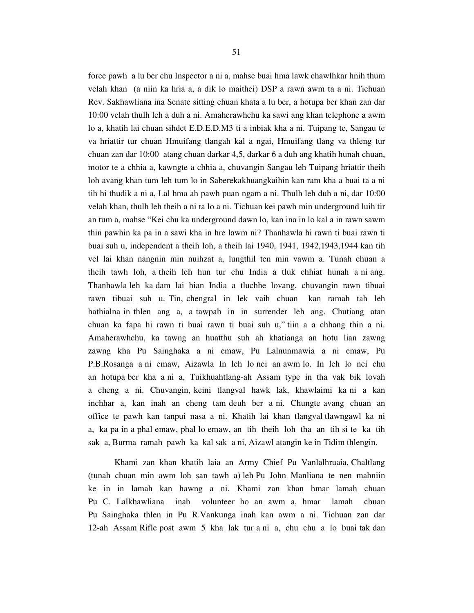force pawh a lu ber chu Inspector a ni a, mahse buai hma lawk chawlhkar hnih thum velah khan (a niin ka hria a, a dik lo maithei) DSP a rawn awm ta a ni. Tichuan Rev. Sakhawliana ina Senate sitting chuan khata a lu ber, a hotupa ber khan zan dar 10:00 velah thulh leh a duh a ni. Amaherawhchu ka sawi ang khan telephone a awm lo a, khatih lai chuan sihdet E.D.E.D.M3 ti a inbiak kha a ni. Tuipang te, Sangau te va hriattir tur chuan Hmuifang tlangah kal a ngai, Hmuifang tlang va thleng tur chuan zan dar 10:00 atang chuan darkar 4,5, darkar 6 a duh ang khatih hunah chuan, motor te a chhia a, kawngte a chhia a, chuvangin Sangau leh Tuipang hriattir theih loh avang khan tum leh tum lo in Saberekakhuangkaihin kan ram kha a buai ta a ni tih hi thudik a ni a, Lal hma ah pawh puan ngam a ni. Thulh leh duh a ni, dar 10:00 velah khan, thulh leh theih a ni ta lo a ni. Tichuan kei pawh min underground luih tir an tum a, mahse "Kei chu ka underground dawn lo, kan ina in lo kal a in rawn sawm thin pawhin ka pa in a sawi kha in hre lawm ni? Thanhawla hi rawn ti buai rawn ti buai suh u, independent a theih loh, a theih lai 1940, 1941, 1942,1943,1944 kan tih vel lai khan nangnin min nuihzat a, lungthil ten min vawm a. Tunah chuan a theih tawh loh, a theih leh hun tur chu India a tluk chhiat hunah a ni ang. Thanhawla leh ka dam lai hian India a tluchhe lovang, chuvangin rawn tibuai rawn tibuai suh u. Tin, chengral in lek vaih chuan kan ramah tah leh hathialna in thlen ang a, a tawpah in in surrender leh ang. Chutiang atan chuan ka fapa hi rawn ti buai rawn ti buai suh u," tiin a a chhang thin a ni. Amaherawhchu, ka tawng an huatthu suh ah khatianga an hotu lian zawng zawng kha Pu Sainghaka a ni emaw, Pu Lalnunmawia a ni emaw, Pu P.B.Rosanga a ni emaw, Aizawla In leh lo nei an awm lo. In leh lo nei chu an hotupa ber kha a ni a, Tuikhuahtlang-ah Assam type in tha vak bik lovah a cheng a ni. Chuvangin, keini tlangval hawk lak, khawlaimi ka ni a kan inchhar a, kan inah an cheng tam deuh ber a ni. Chungte avang chuan an office te pawh kan tanpui nasa a ni. Khatih lai khan tlangval tlawngawl ka ni a, ka pa in a phal emaw, phal lo emaw, an tih theih loh tha an tih si te ka tih sak a, Burma ramah pawh ka kal sak a ni, Aizawl atangin ke in Tidim thlengin.

 Khami zan khan khatih laia an Army Chief Pu Vanlalhruaia, Chaltlang (tunah chuan min awm loh san tawh a) leh Pu John Manliana te nen mahniin ke in in lamah kan hawng a ni. Khami zan khan hmar lamah chuan Pu C. Lalkhawliana inah volunteer ho an awm a, hmar lamah chuan Pu Sainghaka thlen in Pu R.Vankunga inah kan awm a ni. Tichuan zan dar 12-ah Assam Rifle post awm 5 kha lak tur a ni a, chu chu a lo buai tak dan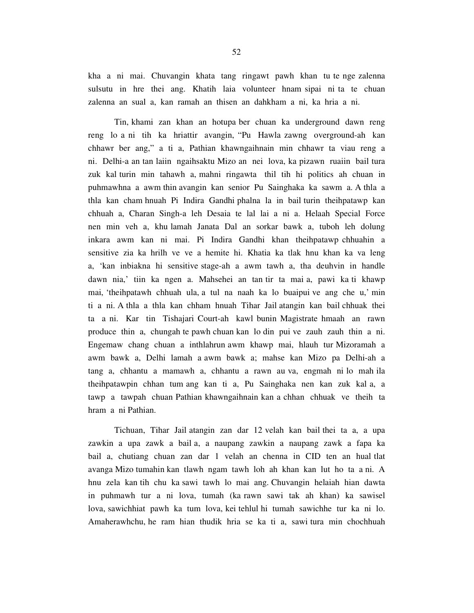kha a ni mai. Chuvangin khata tang ringawt pawh khan tu te nge zalenna sulsutu in hre thei ang. Khatih laia volunteer hnam sipai ni ta te chuan zalenna an sual a, kan ramah an thisen an dahkham a ni, ka hria a ni.

 Tin, khami zan khan an hotupa ber chuan ka underground dawn reng reng lo a ni tih ka hriattir avangin, "Pu Hawla zawng overground-ah kan chhawr ber ang," a ti a, Pathian khawngaihnain min chhawr ta viau reng a ni. Delhi-a an tan laiin ngaihsaktu Mizo an nei lova, ka pizawn ruaiin bail tura zuk kal turin min tahawh a, mahni ringawta thil tih hi politics ah chuan in puhmawhna a awm thin avangin kan senior Pu Sainghaka ka sawm a. A thla a thla kan cham hnuah Pi Indira Gandhi phalna la in bail turin theihpatawp kan chhuah a, Charan Singh-a leh Desaia te lal lai a ni a. Helaah Special Force nen min veh a, khu lamah Janata Dal an sorkar bawk a, tuboh leh dolung inkara awm kan ni mai. Pi Indira Gandhi khan theihpatawp chhuahin a sensitive zia ka hrilh ve ve a hemite hi. Khatia ka tlak hnu khan ka va leng a, 'kan inbiakna hi sensitive stage-ah a awm tawh a, tha deuhvin in handle dawn nia,' tiin ka ngen a. Mahsehei an tan tir ta mai a, pawi ka ti khawp mai, 'theihpatawh chhuah ula, a tul na naah ka lo buaipui ve ang che u,' min ti a ni. A thla a thla kan chham hnuah Tihar Jail atangin kan bail chhuak thei ta a ni. Kar tin Tishajari Court-ah kawl bunin Magistrate hmaah an rawn produce thin a, chungah te pawh chuan kan lo din pui ve zauh zauh thin a ni. Engemaw chang chuan a inthlahrun awm khawp mai, hlauh tur Mizoramah a awm bawk a, Delhi lamah a awm bawk a; mahse kan Mizo pa Delhi-ah a tang a, chhantu a mamawh a, chhantu a rawn au va, engmah ni lo mah ila theihpatawpin chhan tum ang kan ti a, Pu Sainghaka nen kan zuk kal a, a tawp a tawpah chuan Pathian khawngaihnain kan a chhan chhuak ve theih ta hram a ni Pathian.

 Tichuan, Tihar Jail atangin zan dar 12 velah kan bail thei ta a, a upa zawkin a upa zawk a bail a, a naupang zawkin a naupang zawk a fapa ka bail a, chutiang chuan zan dar 1 velah an chenna in CID ten an hual tlat avanga Mizo tumahin kan tlawh ngam tawh loh ah khan kan lut ho ta a ni. A hnu zela kan tih chu ka sawi tawh lo mai ang. Chuvangin helaiah hian dawta in puhmawh tur a ni lova, tumah (ka rawn sawi tak ah khan) ka sawisel lova, sawichhiat pawh ka tum lova, kei tehlul hi tumah sawichhe tur ka ni lo. Amaherawhchu, he ram hian thudik hria se ka ti a, sawi tura min chochhuah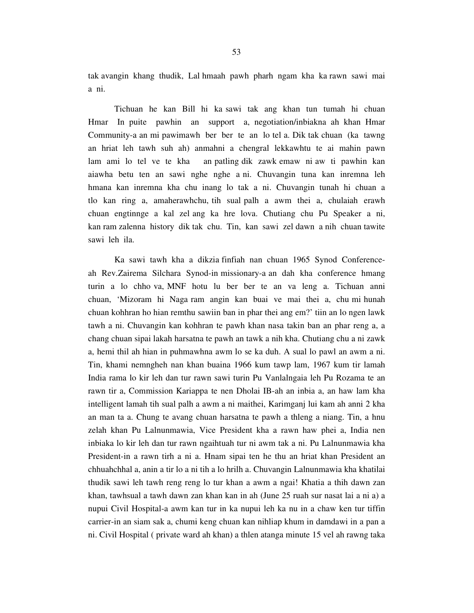tak avangin khang thudik, Lal hmaah pawh pharh ngam kha ka rawn sawi mai a ni.

 Tichuan he kan Bill hi ka sawi tak ang khan tun tumah hi chuan Hmar In puite pawhin an support a, negotiation/inbiakna ah khan Hmar Community-a an mi pawimawh ber ber te an lo tel a. Dik tak chuan (ka tawng an hriat leh tawh suh ah) anmahni a chengral lekkawhtu te ai mahin pawn lam ami lo tel ve te kha an patling dik zawk emaw ni aw ti pawhin kan aiawha betu ten an sawi nghe nghe a ni. Chuvangin tuna kan inremna leh hmana kan inremna kha chu inang lo tak a ni. Chuvangin tunah hi chuan a tlo kan ring a, amaherawhchu, tih sual palh a awm thei a, chulaiah erawh chuan engtinnge a kal zel ang ka hre lova. Chutiang chu Pu Speaker a ni, kan ram zalenna history dik tak chu. Tin, kan sawi zel dawn a nih chuan tawite sawi leh ila.

 Ka sawi tawh kha a dikzia finfiah nan chuan 1965 Synod Conferenceah Rev.Zairema Silchara Synod-in missionary-a an dah kha conference hmang turin a lo chho va, MNF hotu lu ber ber te an va leng a. Tichuan anni chuan, 'Mizoram hi Naga ram angin kan buai ve mai thei a, chu mi hunah chuan kohhran ho hian remthu sawiin ban in phar thei ang em?' tiin an lo ngen lawk tawh a ni. Chuvangin kan kohhran te pawh khan nasa takin ban an phar reng a, a chang chuan sipai lakah harsatna te pawh an tawk a nih kha. Chutiang chu a ni zawk a, hemi thil ah hian in puhmawhna awm lo se ka duh. A sual lo pawl an awm a ni. Tin, khami nemngheh nan khan buaina 1966 kum tawp lam, 1967 kum tir lamah India rama lo kir leh dan tur rawn sawi turin Pu Vanlalngaia leh Pu Rozama te an rawn tir a, Commission Kariappa te nen Dholai IB-ah an inbia a, an haw lam kha intelligent lamah tih sual palh a awm a ni maithei, Karimganj lui kam ah anni 2 kha an man ta a. Chung te avang chuan harsatna te pawh a thleng a niang. Tin, a hnu zelah khan Pu Lalnunmawia, Vice President kha a rawn haw phei a, India nen inbiaka lo kir leh dan tur rawn ngaihtuah tur ni awm tak a ni. Pu Lalnunmawia kha President-in a rawn tirh a ni a. Hnam sipai ten he thu an hriat khan President an chhuahchhal a, anin a tir lo a ni tih a lo hrilh a. Chuvangin Lalnunmawia kha khatilai thudik sawi leh tawh reng reng lo tur khan a awm a ngai! Khatia a thih dawn zan khan, tawhsual a tawh dawn zan khan kan in ah (June 25 ruah sur nasat lai a ni a) a nupui Civil Hospital-a awm kan tur in ka nupui leh ka nu in a chaw ken tur tiffin carrier-in an siam sak a, chumi keng chuan kan nihliap khum in damdawi in a pan a ni. Civil Hospital ( private ward ah khan) a thlen atanga minute 15 vel ah rawng taka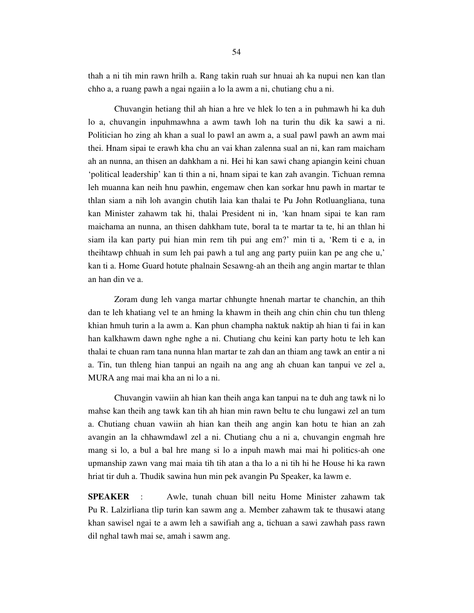thah a ni tih min rawn hrilh a. Rang takin ruah sur hnuai ah ka nupui nen kan tlan chho a, a ruang pawh a ngai ngaiin a lo la awm a ni, chutiang chu a ni.

 Chuvangin hetiang thil ah hian a hre ve hlek lo ten a in puhmawh hi ka duh lo a, chuvangin inpuhmawhna a awm tawh loh na turin thu dik ka sawi a ni. Politician ho zing ah khan a sual lo pawl an awm a, a sual pawl pawh an awm mai thei. Hnam sipai te erawh kha chu an vai khan zalenna sual an ni, kan ram maicham ah an nunna, an thisen an dahkham a ni. Hei hi kan sawi chang apiangin keini chuan 'political leadership' kan ti thin a ni, hnam sipai te kan zah avangin. Tichuan remna leh muanna kan neih hnu pawhin, engemaw chen kan sorkar hnu pawh in martar te thlan siam a nih loh avangin chutih laia kan thalai te Pu John Rotluangliana, tuna kan Minister zahawm tak hi, thalai President ni in, 'kan hnam sipai te kan ram maichama an nunna, an thisen dahkham tute, boral ta te martar ta te, hi an thlan hi siam ila kan party pui hian min rem tih pui ang em?' min ti a, 'Rem ti e a, in theihtawp chhuah in sum leh pai pawh a tul ang ang party puiin kan pe ang che u,' kan ti a. Home Guard hotute phalnain Sesawng-ah an theih ang angin martar te thlan an han din ve a.

 Zoram dung leh vanga martar chhungte hnenah martar te chanchin, an thih dan te leh khatiang vel te an hming la khawm in theih ang chin chin chu tun thleng khian hmuh turin a la awm a. Kan phun champha naktuk naktip ah hian ti fai in kan han kalkhawm dawn nghe nghe a ni. Chutiang chu keini kan party hotu te leh kan thalai te chuan ram tana nunna hlan martar te zah dan an thiam ang tawk an entir a ni a. Tin, tun thleng hian tanpui an ngaih na ang ang ah chuan kan tanpui ve zel a, MURA ang mai mai kha an ni lo a ni.

 Chuvangin vawiin ah hian kan theih anga kan tanpui na te duh ang tawk ni lo mahse kan theih ang tawk kan tih ah hian min rawn beltu te chu lungawi zel an tum a. Chutiang chuan vawiin ah hian kan theih ang angin kan hotu te hian an zah avangin an la chhawmdawl zel a ni. Chutiang chu a ni a, chuvangin engmah hre mang si lo, a bul a bal hre mang si lo a inpuh mawh mai mai hi politics-ah one upmanship zawn vang mai maia tih tih atan a tha lo a ni tih hi he House hi ka rawn hriat tir duh a. Thudik sawina hun min pek avangin Pu Speaker, ka lawm e.

**SPEAKER** : Awle, tunah chuan bill neitu Home Minister zahawm tak Pu R. Lalzirliana tlip turin kan sawm ang a. Member zahawm tak te thusawi atang khan sawisel ngai te a awm leh a sawifiah ang a, tichuan a sawi zawhah pass rawn dil nghal tawh mai se, amah i sawm ang.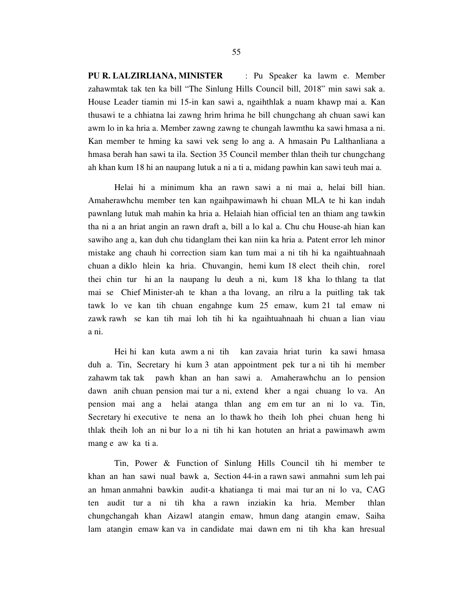**PU R. LALZIRLIANA, MINISTER** : Pu Speaker ka lawm e. Member zahawmtak tak ten ka bill "The Sinlung Hills Council bill, 2018" min sawi sak a. House Leader tiamin mi 15-in kan sawi a, ngaihthlak a nuam khawp mai a. Kan thusawi te a chhiatna lai zawng hrim hrima he bill chungchang ah chuan sawi kan awm lo in ka hria a. Member zawng zawng te chungah lawmthu ka sawi hmasa a ni. Kan member te hming ka sawi vek seng lo ang a. A hmasain Pu Lalthanliana a hmasa berah han sawi ta ila. Section 35 Council member thlan theih tur chungchang ah khan kum 18 hi an naupang lutuk a ni a ti a, midang pawhin kan sawi teuh mai a.

 Helai hi a minimum kha an rawn sawi a ni mai a, helai bill hian. Amaherawhchu member ten kan ngaihpawimawh hi chuan MLA te hi kan indah pawnlang lutuk mah mahin ka hria a. Helaiah hian official ten an thiam ang tawkin tha ni a an hriat angin an rawn draft a, bill a lo kal a. Chu chu House-ah hian kan sawiho ang a, kan duh chu tidanglam thei kan niin ka hria a. Patent error leh minor mistake ang chauh hi correction siam kan tum mai a ni tih hi ka ngaihtuahnaah chuan a diklo hlein ka hria. Chuvangin, hemi kum 18 elect theih chin, rorel thei chin tur hi an la naupang lu deuh a ni, kum 18 kha lo thlang ta tlat mai se Chief Minister-ah te khan a tha lovang, an rilru a la puitling tak tak tawk lo ve kan tih chuan engahnge kum 25 emaw, kum 21 tal emaw ni zawk rawh se kan tih mai loh tih hi ka ngaihtuahnaah hi chuan a lian viau a ni.

 Hei hi kan kuta awm a ni tih kan zavaia hriat turin ka sawi hmasa duh a. Tin, Secretary hi kum 3 atan appointment pek tur a ni tih hi member zahawm tak tak pawh khan an han sawi a. Amaherawhchu an lo pension dawn anih chuan pension mai tur a ni, extend kher a ngai chuang lo va. An pension mai ang a helai atanga thlan ang em em tur an ni lo va. Tin, Secretary hi executive te nena an lo thawk ho theih loh phei chuan heng hi thlak theih loh an ni bur lo a ni tih hi kan hotuten an hriat a pawimawh awm mang e aw ka ti a.

 Tin, Power & Function of Sinlung Hills Council tih hi member te khan an han sawi nual bawk a, Section 44-in a rawn sawi anmahni sum leh pai an hman anmahni bawkin audit-a khatianga ti mai mai tur an ni lo va, CAG ten audit tur a ni tih kha a rawn inziakin ka hria. Member thlan chungchangah khan Aizawl atangin emaw, hmun dang atangin emaw, Saiha lam atangin emaw kan va in candidate mai dawn em ni tih kha kan hresual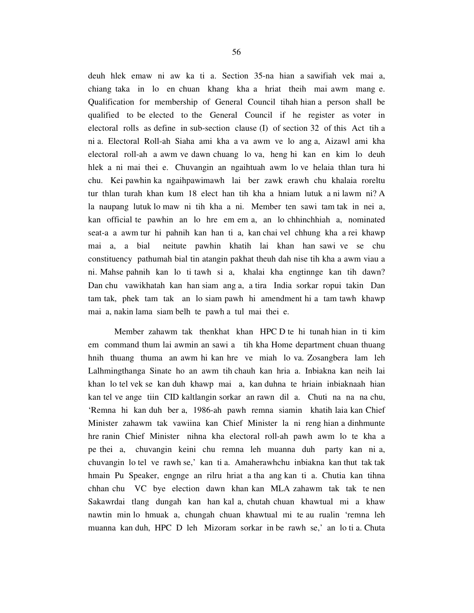deuh hlek emaw ni aw ka ti a. Section 35-na hian a sawifiah vek mai a, chiang taka in lo en chuan khang kha a hriat theih mai awm mang e. Qualification for membership of General Council tihah hian a person shall be qualified to be elected to the General Council if he register as voter in electoral rolls as define in sub-section clause (I) of section 32 of this Act tih a ni a. Electoral Roll-ah Siaha ami kha a va awm ve lo ang a, Aizawl ami kha electoral roll-ah a awm ve dawn chuang lo va, heng hi kan en kim lo deuh hlek a ni mai thei e. Chuvangin an ngaihtuah awm lo ve helaia thlan tura hi chu. Kei pawhin ka ngaihpawimawh lai ber zawk erawh chu khalaia roreltu tur thlan turah khan kum 18 elect han tih kha a hniam lutuk a ni lawm ni? A la naupang lutuk lo maw ni tih kha a ni. Member ten sawi tam tak in nei a, kan official te pawhin an lo hre em em a, an lo chhinchhiah a, nominated seat-a a awm tur hi pahnih kan han ti a, kan chai vel chhung kha a rei khawp mai a, a bial neitute pawhin khatih lai khan han sawi ve se chu constituency pathumah bial tin atangin pakhat theuh dah nise tih kha a awm viau a ni. Mahse pahnih kan lo ti tawh si a, khalai kha engtinnge kan tih dawn? Dan chu vawikhatah kan han siam ang a, a tira India sorkar ropui takin Dan tam tak, phek tam tak an lo siam pawh hi amendment hi a tam tawh khawp mai a, nakin lama siam belh te pawh a tul mai thei e.

 Member zahawm tak thenkhat khan HPC D te hi tunah hian in ti kim em command thum lai awmin an sawi a tih kha Home department chuan thuang hnih thuang thuma an awm hi kan hre ve miah lo va. Zosangbera lam leh Lalhmingthanga Sinate ho an awm tih chauh kan hria a. Inbiakna kan neih lai khan lo tel vek se kan duh khawp mai a, kan duhna te hriain inbiaknaah hian kan tel ve ange tiin CID kaltlangin sorkar an rawn dil a. Chuti na na na chu, 'Remna hi kan duh ber a, 1986-ah pawh remna siamin khatih laia kan Chief Minister zahawm tak vawiina kan Chief Minister la ni reng hian a dinhmunte hre ranin Chief Minister nihna kha electoral roll-ah pawh awm lo te kha a pe thei a, chuvangin keini chu remna leh muanna duh party kan ni a, chuvangin lo tel ve rawh se,' kan ti a. Amaherawhchu inbiakna kan thut tak tak hmain Pu Speaker, engnge an rilru hriat a tha ang kan ti a. Chutia kan tihna chhan chu VC bye election dawn khan kan MLA zahawm tak tak te nen Sakawrdai tlang dungah kan han kal a, chutah chuan khawtual mi a khaw nawtin min lo hmuak a, chungah chuan khawtual mi te au rualin 'remna leh muanna kan duh, HPC D leh Mizoram sorkar in be rawh se,' an lo ti a. Chuta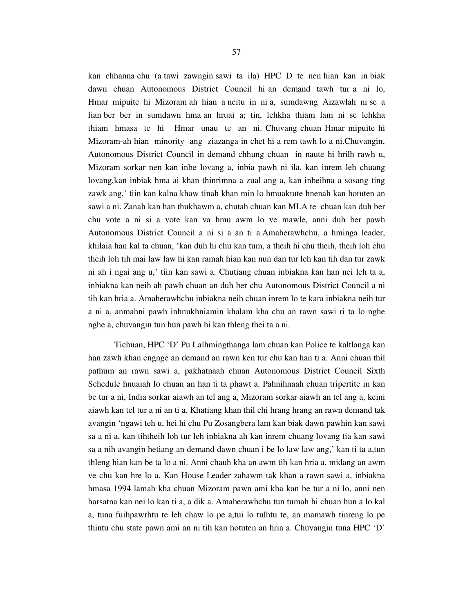kan chhanna chu (a tawi zawngin sawi ta ila) HPC D te nen hian kan in biak dawn chuan Autonomous District Council hi an demand tawh tur a ni lo, Hmar mipuite hi Mizoram ah hian a neitu in ni a, sumdawng Aizawlah ni se a lian ber ber in sumdawn hma an hruai a; tin, lehkha thiam lam ni se lehkha thiam hmasa te hi Hmar unau te an ni. Chuvang chuan Hmar mipuite hi Mizoram-ah hian minority ang ziazanga in chet hi a rem tawh lo a ni.Chuvangin, Autonomous District Council in demand chhung chuan in naute hi hrilh rawh u, Mizoram sorkar nen kan inbe lovang a, inbia pawh ni ila, kan inrem leh chuang lovang,kan inbiak hma ai khan thinrimna a zual ang a, kan inbeihna a sosang ting zawk ang,' tiin kan kalna khaw tinah khan min lo hmuaktute hnenah kan hotuten an sawi a ni. Zanah kan han thukhawm a, chutah chuan kan MLA te chuan kan duh ber chu vote a ni si a vote kan va hmu awm lo ve mawle, anni duh ber pawh Autonomous District Council a ni si a an ti a.Amaherawhchu, a hminga leader, khilaia han kal ta chuan, 'kan duh hi chu kan tum, a theih hi chu theih, theih loh chu theih loh tih mai law law hi kan ramah hian kan nun dan tur leh kan tih dan tur zawk ni ah i ngai ang u,' tiin kan sawi a. Chutiang chuan inbiakna kan han nei leh ta a, inbiakna kan neih ah pawh chuan an duh ber chu Autonomous District Council a ni tih kan hria a. Amaherawhchu inbiakna neih chuan inrem lo te kara inbiakna neih tur a ni a, anmahni pawh inhnukhniamin khalam kha chu an rawn sawi ri ta lo nghe nghe a, chuvangin tun hun pawh hi kan thleng thei ta a ni.

 Tichuan, HPC 'D' Pu Lalhmingthanga lam chuan kan Police te kaltlanga kan han zawh khan engnge an demand an rawn ken tur chu kan han ti a. Anni chuan thil pathum an rawn sawi a, pakhatnaah chuan Autonomous District Council Sixth Schedule hnuaiah lo chuan an han ti ta phawt a. Pahnihnaah chuan tripertite in kan be tur a ni, India sorkar aiawh an tel ang a, Mizoram sorkar aiawh an tel ang a, keini aiawh kan tel tur a ni an ti a. Khatiang khan thil chi hrang hrang an rawn demand tak avangin 'ngawi teh u, hei hi chu Pu Zosangbera lam kan biak dawn pawhin kan sawi sa a ni a, kan tihtheih loh tur leh inbiakna ah kan inrem chuang lovang tia kan sawi sa a nih avangin hetiang an demand dawn chuan i be lo law law ang,' kan ti ta a,tun thleng hian kan be ta lo a ni. Anni chauh kha an awm tih kan hria a, midang an awm ve chu kan hre lo a. Kan House Leader zahawm tak khan a rawn sawi a, inbiakna hmasa 1994 lamah kha chuan Mizoram pawn ami kha kan be tur a ni lo, anni nen harsatna kan nei lo kan ti a, a dik a. Amaherawhchu tun tumah hi chuan hun a lo kal a, tuna fuihpawrhtu te leh chaw lo pe a,tui lo tulhtu te, an mamawh tinreng lo pe thintu chu state pawn ami an ni tih kan hotuten an hria a. Chuvangin tuna HPC 'D'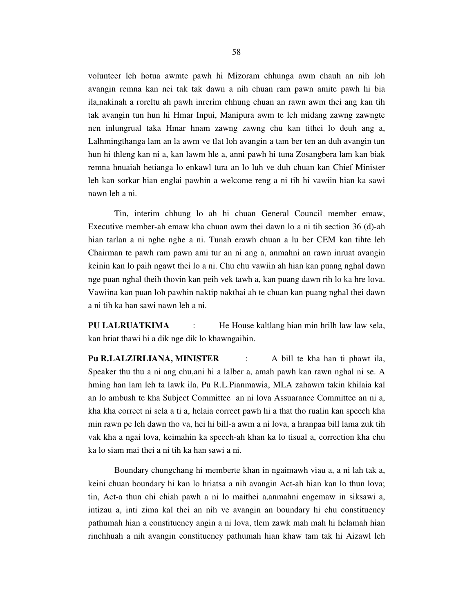volunteer leh hotua awmte pawh hi Mizoram chhunga awm chauh an nih loh avangin remna kan nei tak tak dawn a nih chuan ram pawn amite pawh hi bia ila,nakinah a roreltu ah pawh inrerim chhung chuan an rawn awm thei ang kan tih tak avangin tun hun hi Hmar Inpui, Manipura awm te leh midang zawng zawngte nen inlungrual taka Hmar hnam zawng zawng chu kan tithei lo deuh ang a, Lalhmingthanga lam an la awm ve tlat loh avangin a tam ber ten an duh avangin tun hun hi thleng kan ni a, kan lawm hle a, anni pawh hi tuna Zosangbera lam kan biak remna hnuaiah hetianga lo enkawl tura an lo luh ve duh chuan kan Chief Minister leh kan sorkar hian englai pawhin a welcome reng a ni tih hi vawiin hian ka sawi nawn leh a ni.

 Tin, interim chhung lo ah hi chuan General Council member emaw, Executive member-ah emaw kha chuan awm thei dawn lo a ni tih section 36 (d)-ah hian tarlan a ni nghe nghe a ni. Tunah erawh chuan a lu ber CEM kan tihte leh Chairman te pawh ram pawn ami tur an ni ang a, anmahni an rawn inruat avangin keinin kan lo paih ngawt thei lo a ni. Chu chu vawiin ah hian kan puang nghal dawn nge puan nghal theih thovin kan peih vek tawh a, kan puang dawn rih lo ka hre lova. Vawiina kan puan loh pawhin naktip nakthai ah te chuan kan puang nghal thei dawn a ni tih ka han sawi nawn leh a ni.

**PU LALRUATKIMA** : He House kaltlang hian min hrilh law law sela, kan hriat thawi hi a dik nge dik lo khawngaihin.

**Pu R.LALZIRLIANA, MINISTER** : A bill te kha han ti phawt ila, Speaker thu thu a ni ang chu,ani hi a lalber a, amah pawh kan rawn nghal ni se. A hming han lam leh ta lawk ila, Pu R.L.Pianmawia, MLA zahawm takin khilaia kal an lo ambush te kha Subject Committee an ni lova Assuarance Committee an ni a, kha kha correct ni sela a ti a, helaia correct pawh hi a that tho rualin kan speech kha min rawn pe leh dawn tho va, hei hi bill-a awm a ni lova, a hranpaa bill lama zuk tih vak kha a ngai lova, keimahin ka speech-ah khan ka lo tisual a, correction kha chu ka lo siam mai thei a ni tih ka han sawi a ni.

 Boundary chungchang hi memberte khan in ngaimawh viau a, a ni lah tak a, keini chuan boundary hi kan lo hriatsa a nih avangin Act-ah hian kan lo thun lova; tin, Act-a thun chi chiah pawh a ni lo maithei a,anmahni engemaw in siksawi a, intizau a, inti zima kal thei an nih ve avangin an boundary hi chu constituency pathumah hian a constituency angin a ni lova, tlem zawk mah mah hi helamah hian rinchhuah a nih avangin constituency pathumah hian khaw tam tak hi Aizawl leh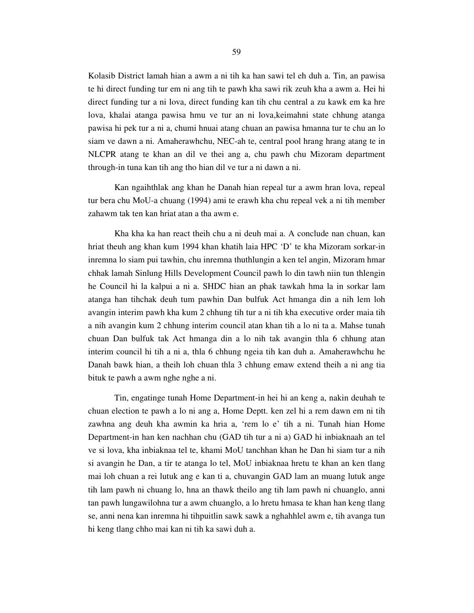Kolasib District lamah hian a awm a ni tih ka han sawi tel eh duh a. Tin, an pawisa te hi direct funding tur em ni ang tih te pawh kha sawi rik zeuh kha a awm a. Hei hi direct funding tur a ni lova, direct funding kan tih chu central a zu kawk em ka hre lova, khalai atanga pawisa hmu ve tur an ni lova,keimahni state chhung atanga pawisa hi pek tur a ni a, chumi hnuai atang chuan an pawisa hmanna tur te chu an lo siam ve dawn a ni. Amaherawhchu, NEC-ah te, central pool hrang hrang atang te in NLCPR atang te khan an dil ve thei ang a, chu pawh chu Mizoram department through-in tuna kan tih ang tho hian dil ve tur a ni dawn a ni.

 Kan ngaihthlak ang khan he Danah hian repeal tur a awm hran lova, repeal tur bera chu MoU-a chuang (1994) ami te erawh kha chu repeal vek a ni tih member zahawm tak ten kan hriat atan a tha awm e.

 Kha kha ka han react theih chu a ni deuh mai a. A conclude nan chuan, kan hriat theuh ang khan kum 1994 khan khatih laia HPC 'D' te kha Mizoram sorkar-in inremna lo siam pui tawhin, chu inremna thuthlungin a ken tel angin, Mizoram hmar chhak lamah Sinlung Hills Development Council pawh lo din tawh niin tun thlengin he Council hi la kalpui a ni a. SHDC hian an phak tawkah hma la in sorkar lam atanga han tihchak deuh tum pawhin Dan bulfuk Act hmanga din a nih lem loh avangin interim pawh kha kum 2 chhung tih tur a ni tih kha executive order maia tih a nih avangin kum 2 chhung interim council atan khan tih a lo ni ta a. Mahse tunah chuan Dan bulfuk tak Act hmanga din a lo nih tak avangin thla 6 chhung atan interim council hi tih a ni a, thla 6 chhung ngeia tih kan duh a. Amaherawhchu he Danah bawk hian, a theih loh chuan thla 3 chhung emaw extend theih a ni ang tia bituk te pawh a awm nghe nghe a ni.

 Tin, engatinge tunah Home Department-in hei hi an keng a, nakin deuhah te chuan election te pawh a lo ni ang a, Home Deptt. ken zel hi a rem dawn em ni tih zawhna ang deuh kha awmin ka hria a, 'rem lo e' tih a ni. Tunah hian Home Department-in han ken nachhan chu (GAD tih tur a ni a) GAD hi inbiaknaah an tel ve si lova, kha inbiaknaa tel te, khami MoU tanchhan khan he Dan hi siam tur a nih si avangin he Dan, a tir te atanga lo tel, MoU inbiaknaa hretu te khan an ken tlang mai loh chuan a rei lutuk ang e kan ti a, chuvangin GAD lam an muang lutuk ange tih lam pawh ni chuang lo, hna an thawk theilo ang tih lam pawh ni chuanglo, anni tan pawh lungawilohna tur a awm chuanglo, a lo hretu hmasa te khan han keng tlang se, anni nena kan inremna hi tihpuitlin sawk sawk a nghahhlel awm e, tih avanga tun hi keng tlang chho mai kan ni tih ka sawi duh a.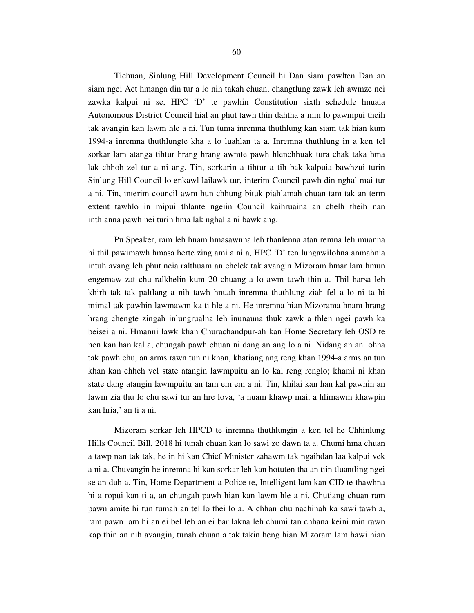Tichuan, Sinlung Hill Development Council hi Dan siam pawlten Dan an siam ngei Act hmanga din tur a lo nih takah chuan, changtlung zawk leh awmze nei zawka kalpui ni se, HPC 'D' te pawhin Constitution sixth schedule hnuaia Autonomous District Council hial an phut tawh thin dahtha a min lo pawmpui theih tak avangin kan lawm hle a ni. Tun tuma inremna thuthlung kan siam tak hian kum 1994-a inremna thuthlungte kha a lo luahlan ta a. Inremna thuthlung in a ken tel sorkar lam atanga tihtur hrang hrang awmte pawh hlenchhuak tura chak taka hma lak chhoh zel tur a ni ang. Tin, sorkarin a tihtur a tih bak kalpuia bawhzui turin Sinlung Hill Council lo enkawl lailawk tur, interim Council pawh din nghal mai tur a ni. Tin, interim council awm hun chhung bituk piahlamah chuan tam tak an term extent tawhlo in mipui thlante ngeiin Council kaihruaina an chelh theih nan inthlanna pawh nei turin hma lak nghal a ni bawk ang.

 Pu Speaker, ram leh hnam hmasawnna leh thanlenna atan remna leh muanna hi thil pawimawh hmasa berte zing ami a ni a, HPC 'D' ten lungawilohna anmahnia intuh avang leh phut neia ralthuam an chelek tak avangin Mizoram hmar lam hmun engemaw zat chu ralkhelin kum 20 chuang a lo awm tawh thin a. Thil harsa leh khirh tak tak paltlang a nih tawh hnuah inremna thuthlung ziah fel a lo ni ta hi mimal tak pawhin lawmawm ka ti hle a ni. He inremna hian Mizorama hnam hrang hrang chengte zingah inlungrualna leh inunauna thuk zawk a thlen ngei pawh ka beisei a ni. Hmanni lawk khan Churachandpur-ah kan Home Secretary leh OSD te nen kan han kal a, chungah pawh chuan ni dang an ang lo a ni. Nidang an an lohna tak pawh chu, an arms rawn tun ni khan, khatiang ang reng khan 1994-a arms an tun khan kan chheh vel state atangin lawmpuitu an lo kal reng renglo; khami ni khan state dang atangin lawmpuitu an tam em em a ni. Tin, khilai kan han kal pawhin an lawm zia thu lo chu sawi tur an hre lova, 'a nuam khawp mai, a hlimawm khawpin kan hria,' an ti a ni.

 Mizoram sorkar leh HPCD te inremna thuthlungin a ken tel he Chhinlung Hills Council Bill, 2018 hi tunah chuan kan lo sawi zo dawn ta a. Chumi hma chuan a tawp nan tak tak, he in hi kan Chief Minister zahawm tak ngaihdan laa kalpui vek a ni a. Chuvangin he inremna hi kan sorkar leh kan hotuten tha an tiin tluantling ngei se an duh a. Tin, Home Department-a Police te, Intelligent lam kan CID te thawhna hi a ropui kan ti a, an chungah pawh hian kan lawm hle a ni. Chutiang chuan ram pawn amite hi tun tumah an tel lo thei lo a. A chhan chu nachinah ka sawi tawh a, ram pawn lam hi an ei bel leh an ei bar lakna leh chumi tan chhana keini min rawn kap thin an nih avangin, tunah chuan a tak takin heng hian Mizoram lam hawi hian